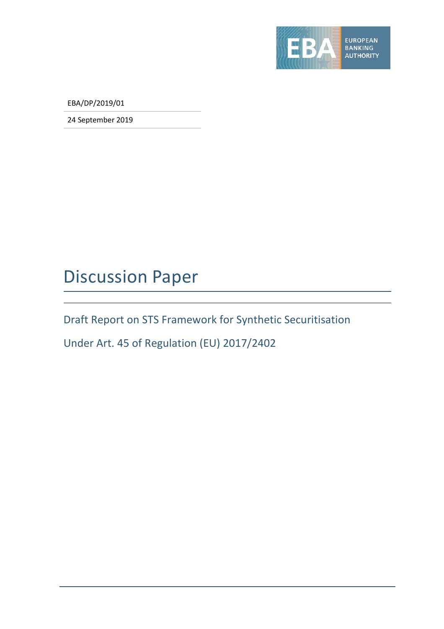

EBA/DP/2019/01

24 September 2019

## Discussion Paper

Draft Report on STS Framework for Synthetic Securitisation

Under Art. 45 of Regulation (EU) 2017/2402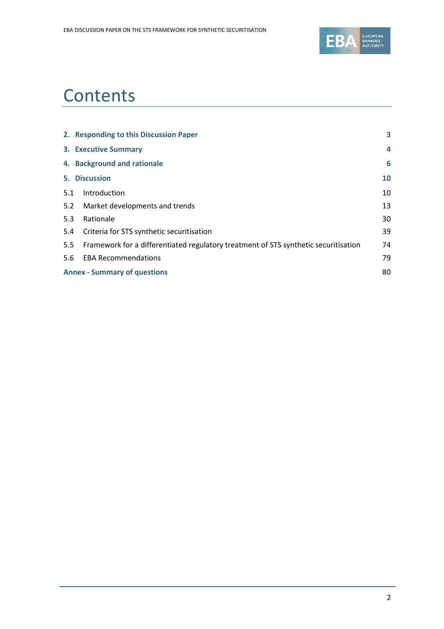

# **Contents**

|     | 2. Responding to this Discussion Paper                                              | 3  |
|-----|-------------------------------------------------------------------------------------|----|
|     | <b>3. Executive Summary</b>                                                         | 4  |
|     | 4. Background and rationale                                                         | 6  |
|     | 5. Discussion                                                                       | 10 |
| 5.1 | Introduction                                                                        | 10 |
| 5.2 | Market developments and trends                                                      | 13 |
| 5.3 | Rationale                                                                           | 30 |
| 5.4 | Criteria for STS synthetic securitisation                                           | 39 |
| 5.5 | Framework for a differentiated regulatory treatment of STS synthetic securitisation | 74 |
| 5.6 | <b>EBA Recommendations</b>                                                          | 79 |
|     | <b>Annex - Summary of questions</b>                                                 | 80 |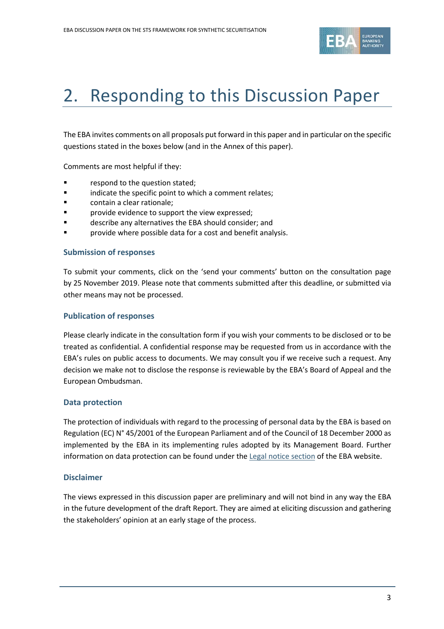

# 2. Responding to this Discussion Paper

The EBA invites comments on all proposals put forward in this paper and in particular on the specific questions stated in the boxes below (and in the Annex of this paper).

Comments are most helpful if they:

- **Fallengia Exercise 1** respond to the question stated;
- **Example 3** indicate the specific point to which a comment relates;
- contain a clear rationale;
- **F** provide evidence to support the view expressed;
- describe any alternatives the EBA should consider; and
- **Parta Forolly** provide where possible data for a cost and benefit analysis.

#### **Submission of responses**

To submit your comments, click on the 'send your comments' button on the consultation page by 25 November 2019. Please note that comments submitted after this deadline, or submitted via other means may not be processed.

#### **Publication of responses**

Please clearly indicate in the consultation form if you wish your comments to be disclosed or to be treated as confidential. A confidential response may be requested from us in accordance with the EBA's rules on public access to documents. We may consult you if we receive such a request. Any decision we make not to disclose the response is reviewable by the EBA's Board of Appeal and the European Ombudsman.

#### **Data protection**

The protection of individuals with regard to the processing of personal data by the EBA is based on Regulation (EC) N° 45/2001 of the European Parliament and of the Council of 18 December 2000 as implemented by the EBA in its implementing rules adopted by its Management Board. Further information on data protection can be found under the [Legal notice section](http://eba.europa.eu/legal-notice) of the EBA website.

### **Disclaimer**

The views expressed in this discussion paper are preliminary and will not bind in any way the EBA in the future development of the draft Report. They are aimed at eliciting discussion and gathering the stakeholders' opinion at an early stage of the process.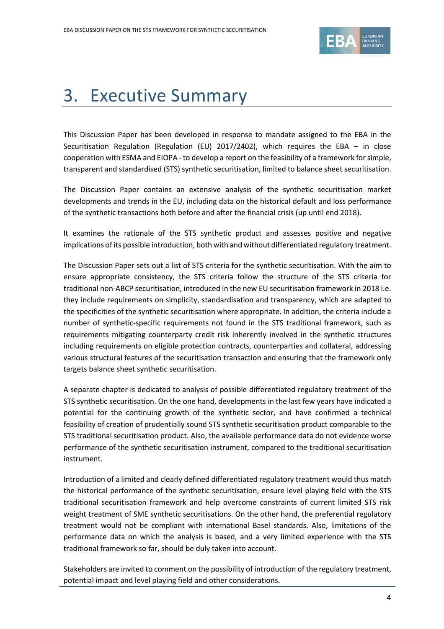

# 3. Executive Summary

This Discussion Paper has been developed in response to mandate assigned to the EBA in the Securitisation Regulation (Regulation (EU) 2017/2402), which requires the EBA – in close cooperation with ESMA and EIOPA - to develop a report on the feasibility of a framework for simple, transparent and standardised (STS) synthetic securitisation, limited to balance sheet securitisation.

The Discussion Paper contains an extensive analysis of the synthetic securitisation market developments and trends in the EU, including data on the historical default and loss performance of the synthetic transactions both before and after the financial crisis (up until end 2018).

It examines the rationale of the STS synthetic product and assesses positive and negative implications of its possible introduction, both with and without differentiated regulatory treatment.

The Discussion Paper sets out a list of STS criteria for the synthetic securitisation. With the aim to ensure appropriate consistency, the STS criteria follow the structure of the STS criteria for traditional non-ABCP securitisation, introduced in the new EU securitisation framework in 2018 i.e. they include requirements on simplicity, standardisation and transparency, which are adapted to the specificities of the synthetic securitisation where appropriate. In addition, the criteria include a number of synthetic-specific requirements not found in the STS traditional framework, such as requirements mitigating counterparty credit risk inherently involved in the synthetic structures including requirements on eligible protection contracts, counterparties and collateral, addressing various structural features of the securitisation transaction and ensuring that the framework only targets balance sheet synthetic securitisation.

A separate chapter is dedicated to analysis of possible differentiated regulatory treatment of the STS synthetic securitisation. On the one hand, developments in the last few years have indicated a potential for the continuing growth of the synthetic sector, and have confirmed a technical feasibility of creation of prudentially sound STS synthetic securitisation product comparable to the STS traditional securitisation product. Also, the available performance data do not evidence worse performance of the synthetic securitisation instrument, compared to the traditional securitisation instrument.

Introduction of a limited and clearly defined differentiated regulatory treatment would thus match the historical performance of the synthetic securitisation, ensure level playing field with the STS traditional securitisation framework and help overcome constraints of current limited STS risk weight treatment of SME synthetic securitisations. On the other hand, the preferential regulatory treatment would not be compliant with international Basel standards. Also, limitations of the performance data on which the analysis is based, and a very limited experience with the STS traditional framework so far, should be duly taken into account.

Stakeholders are invited to comment on the possibility of introduction of the regulatory treatment, potential impact and level playing field and other considerations.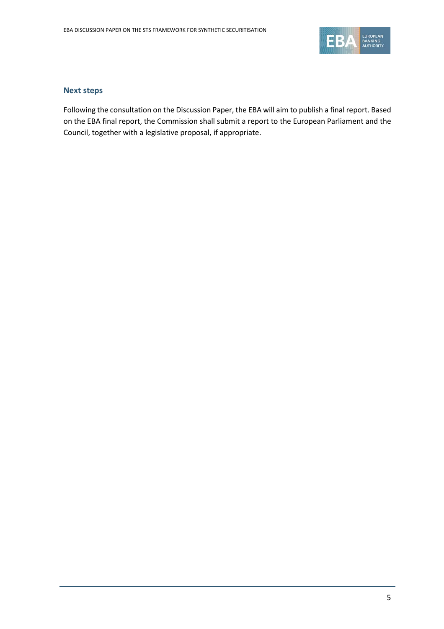

#### **Next steps**

Following the consultation on the Discussion Paper, the EBA will aim to publish a final report. Based on the EBA final report, the Commission shall submit a report to the European Parliament and the Council, together with a legislative proposal, if appropriate.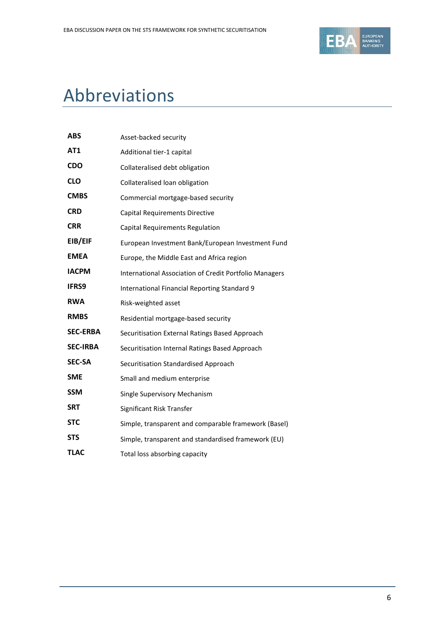

# Abbreviations

| ABS             | Asset-backed security                                  |
|-----------------|--------------------------------------------------------|
| AT1             | Additional tier-1 capital                              |
| <b>CDO</b>      | Collateralised debt obligation                         |
| <b>CLO</b>      | Collateralised loan obligation                         |
| <b>CMBS</b>     | Commercial mortgage-based security                     |
| <b>CRD</b>      | Capital Requirements Directive                         |
| <b>CRR</b>      | Capital Requirements Regulation                        |
| EIB/EIF         | European Investment Bank/European Investment Fund      |
| <b>EMEA</b>     | Europe, the Middle East and Africa region              |
| <b>IACPM</b>    | International Association of Credit Portfolio Managers |
| <b>IFRS9</b>    | International Financial Reporting Standard 9           |
| <b>RWA</b>      | Risk-weighted asset                                    |
| <b>RMBS</b>     | Residential mortgage-based security                    |
| <b>SEC-ERBA</b> | Securitisation External Ratings Based Approach         |
| <b>SEC-IRBA</b> | Securitisation Internal Ratings Based Approach         |
| <b>SEC-SA</b>   | Securitisation Standardised Approach                   |
| <b>SME</b>      | Small and medium enterprise                            |
| <b>SSM</b>      | Single Supervisory Mechanism                           |
| <b>SRT</b>      | Significant Risk Transfer                              |
| <b>STC</b>      | Simple, transparent and comparable framework (Basel)   |
| <b>STS</b>      | Simple, transparent and standardised framework (EU)    |
| <b>TLAC</b>     | Total loss absorbing capacity                          |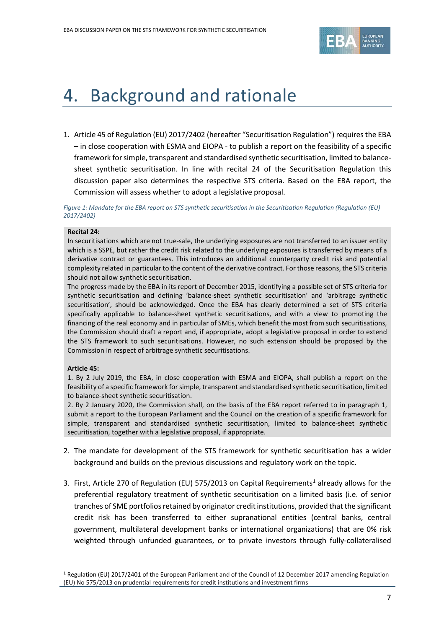

# 4. Background and rationale

1. Article 45 of Regulation (EU) 2017/2402 (hereafter "Securitisation Regulation") requires the EBA – in close cooperation with ESMA and EIOPA - to publish a report on the feasibility of a specific framework for simple, transparent and standardised synthetic securitisation, limited to balancesheet synthetic securitisation. In line with recital 24 of the Securitisation Regulation this discussion paper also determines the respective STS criteria. Based on the EBA report, the Commission will assess whether to adopt a legislative proposal.

*Figure 1: Mandate for the EBA report on STS synthetic securitisation in the Securitisation Regulation (Regulation (EU) 2017/2402)*

#### **Recital 24:**

In securitisations which are not true-sale, the underlying exposures are not transferred to an issuer entity which is a SSPE, but rather the credit risk related to the underlying exposures is transferred by means of a derivative contract or guarantees. This introduces an additional counterparty credit risk and potential complexity related in particular to the content of the derivative contract. For those reasons, the STS criteria should not allow synthetic securitisation.

The progress made by the EBA in its report of December 2015, identifying a possible set of STS criteria for synthetic securitisation and defining 'balance-sheet synthetic securitisation' and 'arbitrage synthetic securitisation', should be acknowledged. Once the EBA has clearly determined a set of STS criteria specifically applicable to balance-sheet synthetic securitisations, and with a view to promoting the financing of the real economy and in particular of SMEs, which benefit the most from such securitisations, the Commission should draft a report and, if appropriate, adopt a legislative proposal in order to extend the STS framework to such securitisations. However, no such extension should be proposed by the Commission in respect of arbitrage synthetic securitisations.

#### **Article 45:**

 $\overline{a}$ 

1. By 2 July 2019, the EBA, in close cooperation with ESMA and EIOPA, shall publish a report on the feasibility of a specific framework for simple, transparent and standardised synthetic securitisation, limited to balance-sheet synthetic securitisation.

2. By 2 January 2020, the Commission shall, on the basis of the EBA report referred to in paragraph 1, submit a report to the European Parliament and the Council on the creation of a specific framework for simple, transparent and standardised synthetic securitisation, limited to balance-sheet synthetic securitisation, together with a legislative proposal, if appropriate.

- 2. The mandate for development of the STS framework for synthetic securitisation has a wider background and builds on the previous discussions and regulatory work on the topic.
- 3. First, Article 270 of Regulation (EU) 575/20[1](#page-6-0)3 on Capital Requirements<sup>1</sup> already allows for the preferential regulatory treatment of synthetic securitisation on a limited basis (i.e. of senior tranches of SME portfolios retained by originator credit institutions, provided that the significant credit risk has been transferred to either supranational entities (central banks, central government, multilateral development banks or international organizations) that are 0% risk weighted through unfunded guarantees, or to private investors through fully-collateralised

<span id="page-6-0"></span><sup>&</sup>lt;sup>1</sup> Regulation (EU) 2017/2401 of the European Parliament and of the Council of 12 December 2017 amending Regulation (EU) No 575/2013 on prudential requirements for credit institutions and investment firms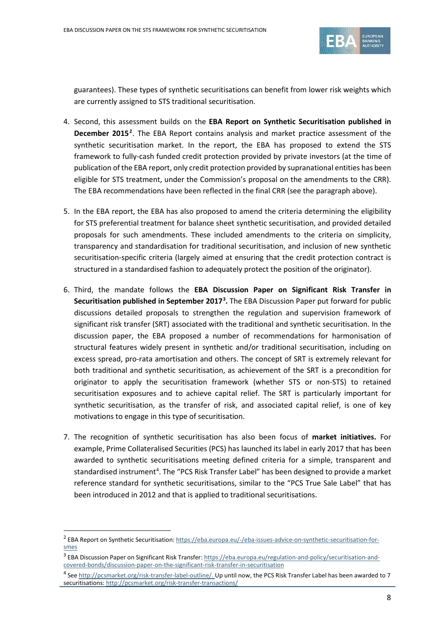

guarantees). These types of synthetic securitisations can benefit from lower risk weights which are currently assigned to STS traditional securitisation.

- 4. Second, this assessment builds on the **EBA Report on Synthetic Securitisation published in December 2015[2](#page-7-0)**. The EBA Report contains analysis and market practice assessment of the synthetic securitisation market. In the report, the EBA has proposed to extend the STS framework to fully-cash funded credit protection provided by private investors (at the time of publication of the EBA report, only credit protection provided by supranational entities has been eligible for STS treatment, under the Commission's proposal on the amendments to the CRR). The EBA recommendations have been reflected in the final CRR (see the paragraph above).
- 5. In the EBA report, the EBA has also proposed to amend the criteria determining the eligibility for STS preferential treatment for balance sheet synthetic securitisation, and provided detailed proposals for such amendments. These included amendments to the criteria on simplicity, transparency and standardisation for traditional securitisation, and inclusion of new synthetic securitisation-specific criteria (largely aimed at ensuring that the credit protection contract is structured in a standardised fashion to adequately protect the position of the originator).
- 6. Third, the mandate follows the **EBA Discussion Paper on Significant Risk Transfer in Securitisation published in September 2017[3](#page-7-1) .** The EBA Discussion Paper put forward for public discussions detailed proposals to strengthen the regulation and supervision framework of significant risk transfer (SRT) associated with the traditional and synthetic securitisation. In the discussion paper, the EBA proposed a number of recommendations for harmonisation of structural features widely present in synthetic and/or traditional securitisation, including on excess spread, pro-rata amortisation and others. The concept of SRT is extremely relevant for both traditional and synthetic securitisation, as achievement of the SRT is a precondition for originator to apply the securitisation framework (whether STS or non-STS) to retained securitisation exposures and to achieve capital relief. The SRT is particularly important for synthetic securitisation, as the transfer of risk, and associated capital relief, is one of key motivations to engage in this type of securitisation.
- 7. The recognition of synthetic securitisation has also been focus of **market initiatives.** For example, Prime Collateralised Securities (PCS) has launched its label in early 2017 that has been awarded to synthetic securitisations meeting defined criteria for a simple, transparent and standardised instrument<sup>[4](#page-7-2)</sup>. The "PCS Risk Transfer Label" has been designed to provide a market reference standard for synthetic securitisations, similar to the "PCS True Sale Label" that has been introduced in 2012 and that is applied to traditional securitisations.

 $\overline{a}$ 

<span id="page-7-0"></span><sup>&</sup>lt;sup>2</sup> EBA Report on Synthetic Securitisation: [https://eba.europa.eu/-/eba-issues-advice-on-synthetic-securitisation-for](https://eba.europa.eu/-/eba-issues-advice-on-synthetic-securitisation-for-smes)[smes](https://eba.europa.eu/-/eba-issues-advice-on-synthetic-securitisation-for-smes)

<span id="page-7-1"></span><sup>&</sup>lt;sup>3</sup> EBA Discussion Paper on Significant Risk Transfer[: https://eba.europa.eu/regulation-and-policy/securitisation-and](https://eba.europa.eu/regulation-and-policy/securitisation-and-covered-bonds/discussion-paper-on-the-significant-risk-transfer-in-securitisation)[covered-bonds/discussion-paper-on-the-significant-risk-transfer-in-securitisation](https://eba.europa.eu/regulation-and-policy/securitisation-and-covered-bonds/discussion-paper-on-the-significant-risk-transfer-in-securitisation)

<span id="page-7-2"></span><sup>&</sup>lt;sup>4</sup> See [http://pcsmarket.org/risk-transfer-label-outline/.](http://pcsmarket.org/risk-transfer-label-outline/) Up until now, the PCS Risk Transfer Label has been awarded to 7 securitisations[: http://pcsmarket.org/risk-transfer-transactions/](http://pcsmarket.org/risk-transfer-transactions/)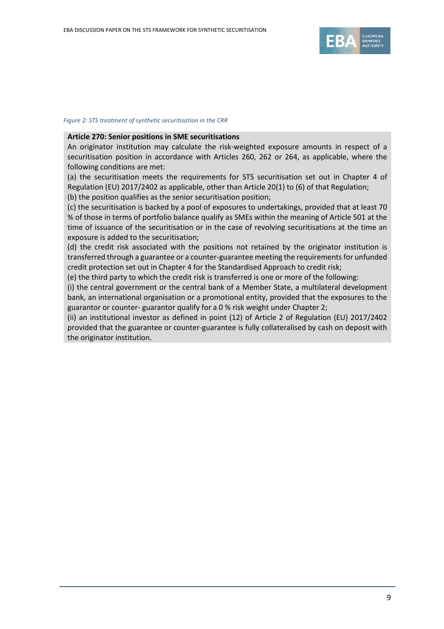

#### *Figure 2: STS treatment of synthetic securitisation in the CRR*

#### **Article 270: Senior positions in SME securitisations**

An originator institution may calculate the risk-weighted exposure amounts in respect of a securitisation position in accordance with Articles 260, 262 or 264, as applicable, where the following conditions are met:

(a) the securitisation meets the requirements for STS securitisation set out in Chapter 4 of Regulation (EU) 2017/2402 as applicable, other than Article 20(1) to (6) of that Regulation; (b) the position qualifies as the senior securitisation position;

(c) the securitisation is backed by a pool of exposures to undertakings, provided that at least 70 % of those in terms of portfolio balance qualify as SMEs within the meaning of Article 501 at the time of issuance of the securitisation or in the case of revolving securitisations at the time an exposure is added to the securitisation;

(d) the credit risk associated with the positions not retained by the originator institution is transferred through a guarantee or a counter-guarantee meeting the requirements for unfunded credit protection set out in Chapter 4 for the Standardised Approach to credit risk;

(e) the third party to which the credit risk is transferred is one or more of the following:

(i) the central government or the central bank of a Member State, a multilateral development bank, an international organisation or a promotional entity, provided that the exposures to the guarantor or counter- guarantor qualify for a 0 % risk weight under Chapter 2;

(ii) an institutional investor as defined in point (12) of Article 2 of Regulation (EU) 2017/2402 provided that the guarantee or counter-guarantee is fully collateralised by cash on deposit with the originator institution.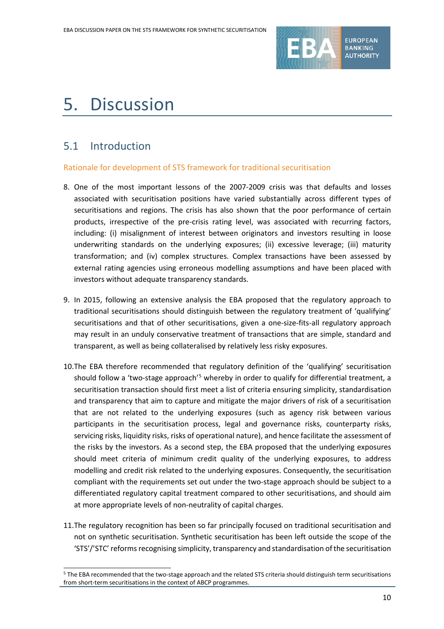

# 5. Discussion

### 5.1 Introduction

 $\overline{a}$ 

#### Rationale for development of STS framework for traditional securitisation

- 8. One of the most important lessons of the 2007-2009 crisis was that defaults and losses associated with securitisation positions have varied substantially across different types of securitisations and regions. The crisis has also shown that the poor performance of certain products, irrespective of the pre-crisis rating level, was associated with recurring factors, including: (i) misalignment of interest between originators and investors resulting in loose underwriting standards on the underlying exposures; (ii) excessive leverage; (iii) maturity transformation; and (iv) complex structures. Complex transactions have been assessed by external rating agencies using erroneous modelling assumptions and have been placed with investors without adequate transparency standards.
- 9. In 2015, following an extensive analysis the EBA proposed that the regulatory approach to traditional securitisations should distinguish between the regulatory treatment of 'qualifying' securitisations and that of other securitisations, given a one-size-fits-all regulatory approach may result in an unduly conservative treatment of transactions that are simple, standard and transparent, as well as being collateralised by relatively less risky exposures.
- 10.The EBA therefore recommended that regulatory definition of the 'qualifying' securitisation should follow a 'two-stage approach'<sup>[5](#page-9-0)</sup> whereby in order to qualify for differential treatment, a securitisation transaction should first meet a list of criteria ensuring simplicity, standardisation and transparency that aim to capture and mitigate the major drivers of risk of a securitisation that are not related to the underlying exposures (such as agency risk between various participants in the securitisation process, legal and governance risks, counterparty risks, servicing risks, liquidity risks, risks of operational nature), and hence facilitate the assessment of the risks by the investors. As a second step, the EBA proposed that the underlying exposures should meet criteria of minimum credit quality of the underlying exposures, to address modelling and credit risk related to the underlying exposures. Consequently, the securitisation compliant with the requirements set out under the two-stage approach should be subject to a differentiated regulatory capital treatment compared to other securitisations, and should aim at more appropriate levels of non-neutrality of capital charges.
- 11.The regulatory recognition has been so far principally focused on traditional securitisation and not on synthetic securitisation. Synthetic securitisation has been left outside the scope of the 'STS'/'STC' reforms recognising simplicity, transparency and standardisation of the securitisation

<span id="page-9-0"></span><sup>5</sup> The EBA recommended that the two-stage approach and the related STS criteria should distinguish term securitisations from short-term securitisations in the context of ABCP programmes.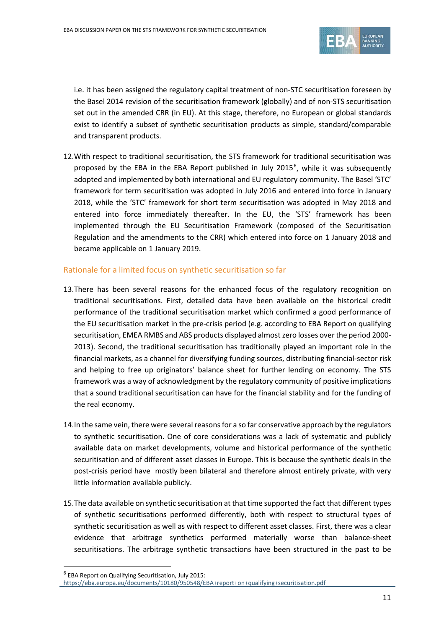

i.e. it has been assigned the regulatory capital treatment of non-STC securitisation foreseen by the Basel 2014 revision of the securitisation framework (globally) and of non-STS securitisation set out in the amended CRR (in EU). At this stage, therefore, no European or global standards exist to identify a subset of synthetic securitisation products as simple, standard/comparable and transparent products.

12.With respect to traditional securitisation, the STS framework for traditional securitisation was proposed by the EBA in the EBA Report published in July 2015<sup>[6](#page-10-0)</sup>, while it was subsequently adopted and implemented by both international and EU regulatory community. The Basel 'STC' framework for term securitisation was adopted in July 2016 and entered into force in January 2018, while the 'STC' framework for short term securitisation was adopted in May 2018 and entered into force immediately thereafter. In the EU, the 'STS' framework has been implemented through the EU Securitisation Framework (composed of the Securitisation Regulation and the amendments to the CRR) which entered into force on 1 January 2018 and became applicable on 1 January 2019.

#### Rationale for a limited focus on synthetic securitisation so far

- 13.There has been several reasons for the enhanced focus of the regulatory recognition on traditional securitisations. First, detailed data have been available on the historical credit performance of the traditional securitisation market which confirmed a good performance of the EU securitisation market in the pre-crisis period (e.g. according to EBA Report on qualifying securitisation, EMEA RMBS and ABS products displayed almost zero losses over the period 2000- 2013). Second, the traditional securitisation has traditionally played an important role in the financial markets, as a channel for diversifying funding sources, distributing financial-sector risk and helping to free up originators' balance sheet for further lending on economy. The STS framework was a way of acknowledgment by the regulatory community of positive implications that a sound traditional securitisation can have for the financial stability and for the funding of the real economy.
- 14.In the same vein, there were several reasons for a so far conservative approach by the regulators to synthetic securitisation. One of core considerations was a lack of systematic and publicly available data on market developments, volume and historical performance of the synthetic securitisation and of different asset classes in Europe. This is because the synthetic deals in the post-crisis period have mostly been bilateral and therefore almost entirely private, with very little information available publicly.
- 15.The data available on synthetic securitisation at that time supported the fact that different types of synthetic securitisations performed differently, both with respect to structural types of synthetic securitisation as well as with respect to different asset classes. First, there was a clear evidence that arbitrage synthetics performed materially worse than balance-sheet securitisations. The arbitrage synthetic transactions have been structured in the past to be

 $\overline{a}$ 

<span id="page-10-0"></span><sup>6</sup> EBA Report on Qualifying Securitisation, July 2015: <https://eba.europa.eu/documents/10180/950548/EBA+report+on+qualifying+securitisation.pdf>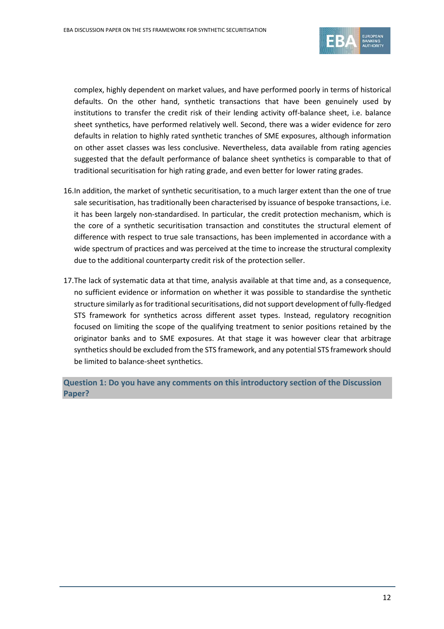

complex, highly dependent on market values, and have performed poorly in terms of historical defaults. On the other hand, synthetic transactions that have been genuinely used by institutions to transfer the credit risk of their lending activity off-balance sheet, i.e. balance sheet synthetics, have performed relatively well. Second, there was a wider evidence for zero defaults in relation to highly rated synthetic tranches of SME exposures, although information on other asset classes was less conclusive. Nevertheless, data available from rating agencies suggested that the default performance of balance sheet synthetics is comparable to that of traditional securitisation for high rating grade, and even better for lower rating grades.

- 16.In addition, the market of synthetic securitisation, to a much larger extent than the one of true sale securitisation, has traditionally been characterised by issuance of bespoke transactions, i.e. it has been largely non-standardised. In particular, the credit protection mechanism, which is the core of a synthetic securitisation transaction and constitutes the structural element of difference with respect to true sale transactions, has been implemented in accordance with a wide spectrum of practices and was perceived at the time to increase the structural complexity due to the additional counterparty credit risk of the protection seller.
- 17.The lack of systematic data at that time, analysis available at that time and, as a consequence, no sufficient evidence or information on whether it was possible to standardise the synthetic structure similarly as for traditional securitisations, did not support development of fully-fledged STS framework for synthetics across different asset types. Instead, regulatory recognition focused on limiting the scope of the qualifying treatment to senior positions retained by the originator banks and to SME exposures. At that stage it was however clear that arbitrage synthetics should be excluded from the STS framework, and any potential STS framework should be limited to balance-sheet synthetics.

**Question 1: Do you have any comments on this introductory section of the Discussion Paper?**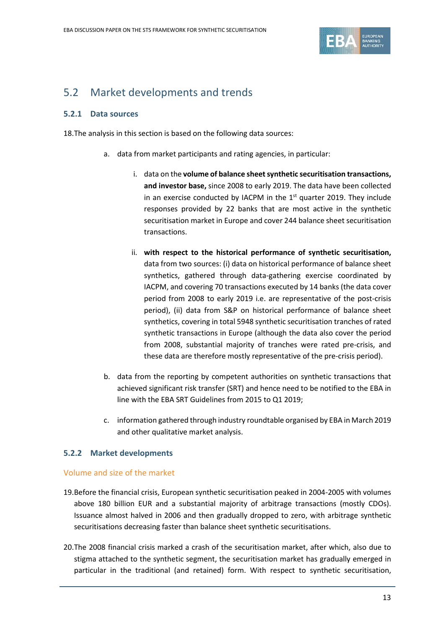

## 5.2 Market developments and trends

#### **5.2.1 Data sources**

18.The analysis in this section is based on the following data sources:

- a. data from market participants and rating agencies, in particular:
	- i. data on the **volume of balance sheet synthetic securitisation transactions, and investor base,** since 2008 to early 2019. The data have been collected in an exercise conducted by IACPM in the  $1<sup>st</sup>$  quarter 2019. They include responses provided by 22 banks that are most active in the synthetic securitisation market in Europe and cover 244 balance sheet securitisation transactions.
	- ii. **with respect to the historical performance of synthetic securitisation,** data from two sources: (i) data on historical performance of balance sheet synthetics, gathered through data-gathering exercise coordinated by IACPM, and covering 70 transactions executed by 14 banks (the data cover period from 2008 to early 2019 i.e. are representative of the post-crisis period), (ii) data from S&P on historical performance of balance sheet synthetics, covering in total 5948 synthetic securitisation tranches of rated synthetic transactions in Europe (although the data also cover the period from 2008, substantial majority of tranches were rated pre-crisis, and these data are therefore mostly representative of the pre-crisis period).
- b. data from the reporting by competent authorities on synthetic transactions that achieved significant risk transfer (SRT) and hence need to be notified to the EBA in line with the EBA SRT Guidelines from 2015 to Q1 2019;
- c. information gathered through industry roundtable organised by EBA in March 2019 and other qualitative market analysis.

#### **5.2.2 Market developments**

#### Volume and size of the market

- 19.Before the financial crisis, European synthetic securitisation peaked in 2004-2005 with volumes above 180 billion EUR and a substantial majority of arbitrage transactions (mostly CDOs). Issuance almost halved in 2006 and then gradually dropped to zero, with arbitrage synthetic securitisations decreasing faster than balance sheet synthetic securitisations.
- 20.The 2008 financial crisis marked a crash of the securitisation market, after which, also due to stigma attached to the synthetic segment, the securitisation market has gradually emerged in particular in the traditional (and retained) form. With respect to synthetic securitisation,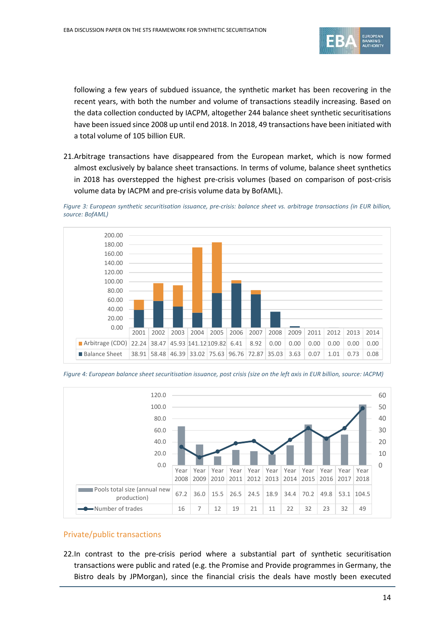

following a few years of subdued issuance, the synthetic market has been recovering in the recent years, with both the number and volume of transactions steadily increasing. Based on the data collection conducted by IACPM, altogether 244 balance sheet synthetic securitisations have been issued since 2008 up until end 2018. In 2018, 49 transactions have been initiated with a total volume of 105 billion EUR.

21.Arbitrage transactions have disappeared from the European market, which is now formed almost exclusively by balance sheet transactions. In terms of volume, balance sheet synthetics in 2018 has overstepped the highest pre-crisis volumes (based on comparison of post-crisis volume data by IACPM and pre-crisis volume data by BofAML).

*Figure 3: European synthetic securitisation issuance, pre-crisis: balance sheet vs. arbitrage transactions (in EUR billion, source: BofAML)*



*Figure 4: European balance sheet securitisation issuance, post crisis (size on the left axis in EUR billion, source: IACPM)*



#### Private/public transactions

22.In contrast to the pre-crisis period where a substantial part of synthetic securitisation transactions were public and rated (e.g. the Promise and Provide programmes in Germany, the Bistro deals by JPMorgan), since the financial crisis the deals have mostly been executed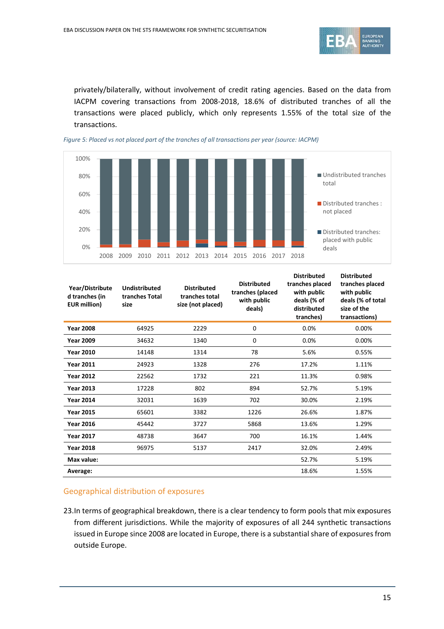

privately/bilaterally, without involvement of credit rating agencies. Based on the data from IACPM covering transactions from 2008-2018, 18.6% of distributed tranches of all the transactions were placed publicly, which only represents 1.55% of the total size of the transactions.





| Year/Distribute<br>d tranches (in<br><b>EUR million)</b> | <b>Undistributed</b><br>tranches Total<br>size | <b>Distributed</b><br>tranches total<br>size (not placed) | <b>Distributed</b><br>tranches (placed<br>with public<br>deals) | <b>Distributed</b><br>tranches placed<br>with public<br>deals (% of<br>distributed<br>tranches) | <b>Distributed</b><br>tranches placed<br>with public<br>deals (% of total<br>size of the<br>transactions) |
|----------------------------------------------------------|------------------------------------------------|-----------------------------------------------------------|-----------------------------------------------------------------|-------------------------------------------------------------------------------------------------|-----------------------------------------------------------------------------------------------------------|
| <b>Year 2008</b>                                         | 64925                                          | 2229                                                      | $\mathbf 0$                                                     | 0.0%                                                                                            | 0.00%                                                                                                     |
| <b>Year 2009</b>                                         | 34632                                          | 1340                                                      | 0                                                               | 0.0%                                                                                            | 0.00%                                                                                                     |
| <b>Year 2010</b>                                         | 14148                                          | 1314                                                      | 78                                                              | 5.6%                                                                                            | 0.55%                                                                                                     |
| <b>Year 2011</b>                                         | 24923                                          | 1328                                                      | 276                                                             | 17.2%                                                                                           | 1.11%                                                                                                     |
| <b>Year 2012</b>                                         | 22562                                          | 1732                                                      | 221                                                             | 11.3%                                                                                           | 0.98%                                                                                                     |
| <b>Year 2013</b>                                         | 17228                                          | 802                                                       | 894                                                             | 52.7%                                                                                           | 5.19%                                                                                                     |
| <b>Year 2014</b>                                         | 32031                                          | 1639                                                      | 702                                                             | 30.0%                                                                                           | 2.19%                                                                                                     |
| <b>Year 2015</b>                                         | 65601                                          | 3382                                                      | 1226                                                            | 26.6%                                                                                           | 1.87%                                                                                                     |
| <b>Year 2016</b>                                         | 45442                                          | 3727                                                      | 5868                                                            | 13.6%                                                                                           | 1.29%                                                                                                     |
| <b>Year 2017</b>                                         | 48738                                          | 3647                                                      | 700                                                             | 16.1%                                                                                           | 1.44%                                                                                                     |
| <b>Year 2018</b>                                         | 96975                                          | 5137                                                      | 2417                                                            | 32.0%                                                                                           | 2.49%                                                                                                     |
| Max value:                                               |                                                |                                                           |                                                                 | 52.7%                                                                                           | 5.19%                                                                                                     |
| Average:                                                 |                                                |                                                           |                                                                 | 18.6%                                                                                           | 1.55%                                                                                                     |

#### Geographical distribution of exposures

23.In terms of geographical breakdown, there is a clear tendency to form pools that mix exposures from different jurisdictions. While the majority of exposures of all 244 synthetic transactions issued in Europe since 2008 are located in Europe, there is a substantial share of exposures from outside Europe.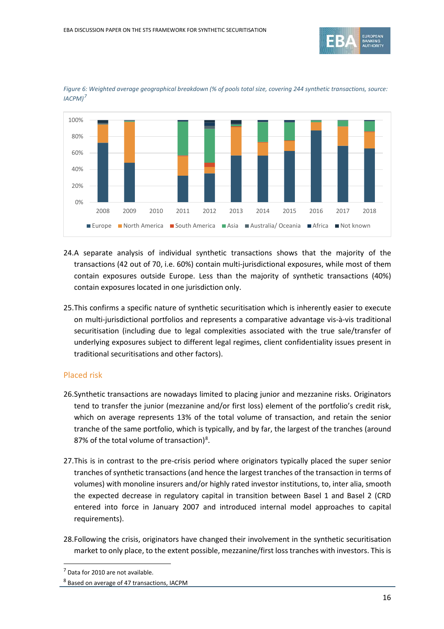



*Figure 6: Weighted average geographical breakdown (% of pools total size, covering 244 synthetic transactions, source: IACPM)[7](#page-15-0)*

- 24.A separate analysis of individual synthetic transactions shows that the majority of the transactions (42 out of 70, i.e. 60%) contain multi-jurisdictional exposures, while most of them contain exposures outside Europe. Less than the majority of synthetic transactions (40%) contain exposures located in one jurisdiction only.
- 25.This confirms a specific nature of synthetic securitisation which is inherently easier to execute on multi-jurisdictional portfolios and represents a comparative advantage vis-à-vis traditional securitisation (including due to legal complexities associated with the true sale/transfer of underlying exposures subject to different legal regimes, client confidentiality issues present in traditional securitisations and other factors).

#### Placed risk

- 26.Synthetic transactions are nowadays limited to placing junior and mezzanine risks. Originators tend to transfer the junior (mezzanine and/or first loss) element of the portfolio's credit risk, which on average represents 13% of the total volume of transaction, and retain the senior tranche of the same portfolio, which is typically, and by far, the largest of the tranches (around [8](#page-15-1)7% of the total volume of transaction)<sup>8</sup>.
- 27.This is in contrast to the pre-crisis period where originators typically placed the super senior tranches of synthetic transactions (and hence the largest tranches of the transaction in terms of volumes) with monoline insurers and/or highly rated investor institutions, to, inter alia, smooth the expected decrease in regulatory capital in transition between Basel 1 and Basel 2 (CRD entered into force in January 2007 and introduced internal model approaches to capital requirements).
- 28.Following the crisis, originators have changed their involvement in the synthetic securitisation market to only place, to the extent possible, mezzanine/first loss tranches with investors. This is

j

<span id="page-15-0"></span><sup>7</sup> Data for 2010 are not available.

<span id="page-15-1"></span><sup>8</sup> Based on average of 47 transactions, IACPM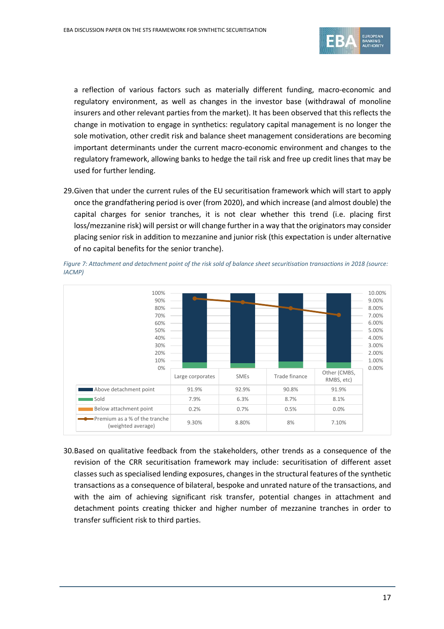

a reflection of various factors such as materially different funding, macro-economic and regulatory environment, as well as changes in the investor base (withdrawal of monoline insurers and other relevant parties from the market). It has been observed that this reflects the change in motivation to engage in synthetics: regulatory capital management is no longer the sole motivation, other credit risk and balance sheet management considerations are becoming important determinants under the current macro-economic environment and changes to the regulatory framework, allowing banks to hedge the tail risk and free up credit lines that may be used for further lending.

29.Given that under the current rules of the EU securitisation framework which will start to apply once the grandfathering period is over (from 2020), and which increase (and almost double) the capital charges for senior tranches, it is not clear whether this trend (i.e. placing first loss/mezzanine risk) will persist or will change further in a way that the originators may consider placing senior risk in addition to mezzanine and junior risk (this expectation is under alternative of no capital benefits for the senior tranche).



*Figure 7: Attachment and detachment point of the risk sold of balance sheet securitisation transactions in 2018 (source: IACMP)*

30.Based on qualitative feedback from the stakeholders, other trends as a consequence of the revision of the CRR securitisation framework may include: securitisation of different asset classes such as specialised lending exposures, changes in the structural features of the synthetic transactions as a consequence of bilateral, bespoke and unrated nature of the transactions, and with the aim of achieving significant risk transfer, potential changes in attachment and detachment points creating thicker and higher number of mezzanine tranches in order to transfer sufficient risk to third parties.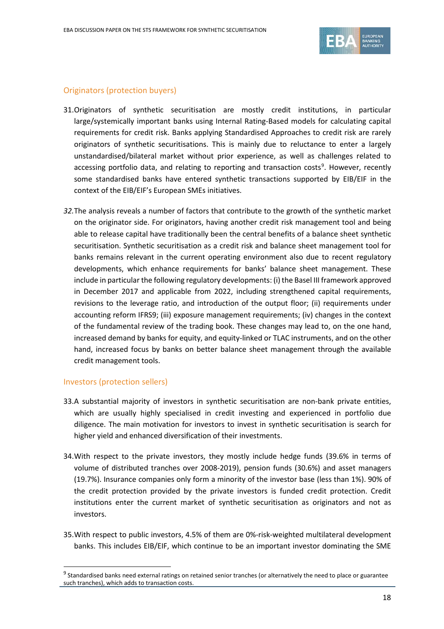

### Originators (protection buyers)

- 31.Originators of synthetic securitisation are mostly credit institutions, in particular large/systemically important banks using Internal Rating-Based models for calculating capital requirements for credit risk. Banks applying Standardised Approaches to credit risk are rarely originators of synthetic securitisations. This is mainly due to reluctance to enter a largely unstandardised/bilateral market without prior experience, as well as challenges related to accessing portfolio data, and relating to reporting and transaction costs<sup>[9](#page-17-0)</sup>. However, recently some standardised banks have entered synthetic transactions supported by EIB/EIF in the context of the EIB/EIF's European SMEs initiatives.
- *32.*The analysis reveals a number of factors that contribute to the growth of the synthetic market on the originator side. For originators, having another credit risk management tool and being able to release capital have traditionally been the central benefits of a balance sheet synthetic securitisation. Synthetic securitisation as a credit risk and balance sheet management tool for banks remains relevant in the current operating environment also due to recent regulatory developments, which enhance requirements for banks' balance sheet management. These include in particular the following regulatory developments: (i) the Basel III framework approved in December 2017 and applicable from 2022, including strengthened capital requirements, revisions to the leverage ratio, and introduction of the output floor; (ii) requirements under accounting reform IFRS9; (iii) exposure management requirements; (iv) changes in the context of the fundamental review of the trading book. These changes may lead to, on the one hand, increased demand by banks for equity, and equity-linked or TLAC instruments, and on the other hand, increased focus by banks on better balance sheet management through the available credit management tools.

#### Investors (protection sellers)

 $\overline{a}$ 

- 33.A substantial majority of investors in synthetic securitisation are non-bank private entities, which are usually highly specialised in credit investing and experienced in portfolio due diligence. The main motivation for investors to invest in synthetic securitisation is search for higher yield and enhanced diversification of their investments.
- 34.With respect to the private investors, they mostly include hedge funds (39.6% in terms of volume of distributed tranches over 2008-2019), pension funds (30.6%) and asset managers (19.7%). Insurance companies only form a minority of the investor base (less than 1%). 90% of the credit protection provided by the private investors is funded credit protection. Credit institutions enter the current market of synthetic securitisation as originators and not as investors.
- 35.With respect to public investors, 4.5% of them are 0%-risk-weighted multilateral development banks. This includes EIB/EIF, which continue to be an important investor dominating the SME

<span id="page-17-0"></span><sup>&</sup>lt;sup>9</sup> Standardised banks need external ratings on retained senior tranches (or alternatively the need to place or guarantee such tranches), which adds to transaction costs.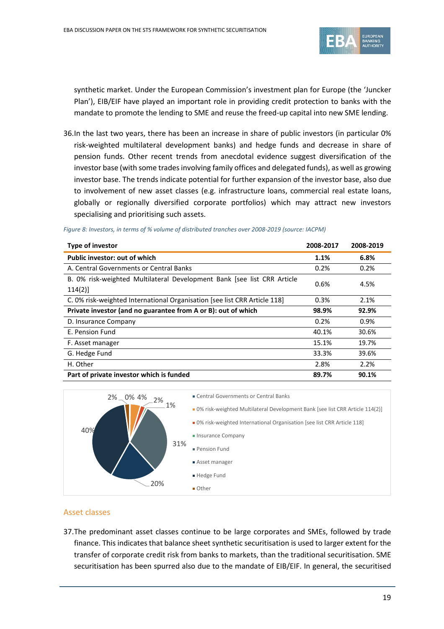

synthetic market. Under the European Commission's investment plan for Europe (the 'Juncker Plan'), EIB/EIF have played an important role in providing credit protection to banks with the mandate to promote the lending to SME and reuse the freed-up capital into new SME lending.

36.In the last two years, there has been an increase in share of public investors (in particular 0% risk-weighted multilateral development banks) and hedge funds and decrease in share of pension funds. Other recent trends from anecdotal evidence suggest diversification of the investor base (with some trades involving family offices and delegated funds), as well as growing investor base. The trends indicate potential for further expansion of the investor base, also due to involvement of new asset classes (e.g. infrastructure loans, commercial real estate loans, globally or regionally diversified corporate portfolios) which may attract new investors specialising and prioritising such assets.

| <b>Type of investor</b>                                                           | 2008-2017 | 2008-2019 |
|-----------------------------------------------------------------------------------|-----------|-----------|
| Public investor: out of which                                                     | 1.1%      | 6.8%      |
| A. Central Governments or Central Banks                                           | 0.2%      | 0.2%      |
| B. 0% risk-weighted Multilateral Development Bank [see list CRR Article<br>114(2) | 0.6%      | 4.5%      |
| C. 0% risk-weighted International Organisation [see list CRR Article 118]         | 0.3%      | 2.1%      |
| Private investor (and no guarantee from A or B): out of which                     | 98.9%     | 92.9%     |
| D. Insurance Company                                                              | 0.2%      | 0.9%      |
| E. Pension Fund                                                                   | 40.1%     | 30.6%     |
| F. Asset manager                                                                  | 15.1%     | 19.7%     |
| G. Hedge Fund                                                                     | 33.3%     | 39.6%     |
| H. Other                                                                          | 2.8%      | 2.2%      |
| Part of private investor which is funded                                          | 89.7%     | 90.1%     |

#### *Figure 8: Investors, in terms of % volume of distributed tranches over 2008-2019 (source: IACPM)*



### Asset classes

37.The predominant asset classes continue to be large corporates and SMEs, followed by trade finance. This indicates that balance sheet synthetic securitisation is used to larger extent for the transfer of corporate credit risk from banks to markets, than the traditional securitisation. SME securitisation has been spurred also due to the mandate of EIB/EIF. In general, the securitised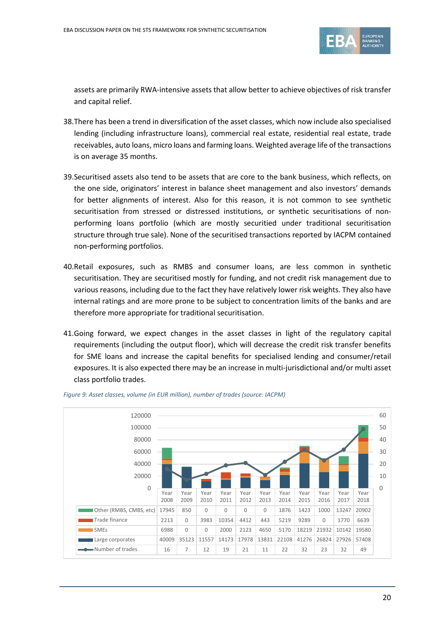

assets are primarily RWA-intensive assets that allow better to achieve objectives of risk transfer and capital relief.

- 38.There has been a trend in diversification of the asset classes, which now include also specialised lending (including infrastructure loans), commercial real estate, residential real estate, trade receivables, auto loans, micro loans and farming loans. Weighted average life of the transactions is on average 35 months.
- 39.Securitised assets also tend to be assets that are core to the bank business, which reflects, on the one side, originators' interest in balance sheet management and also investors' demands for better alignments of interest. Also for this reason, it is not common to see synthetic securitisation from stressed or distressed institutions, or synthetic securitisations of nonperforming loans portfolio (which are mostly securitied under traditional securitisation structure through true sale). None of the securitised transactions reported by IACPM contained non-performing portfolios.
- 40.Retail exposures, such as RMBS and consumer loans, are less common in synthetic securitisation. They are securitised mostly for funding, and not credit risk management due to various reasons, including due to the fact they have relatively lower risk weights. They also have internal ratings and are more prone to be subject to concentration limits of the banks and are therefore more appropriate for traditional securitisation.
- 41.Going forward, we expect changes in the asset classes in light of the regulatory capital requirements (including the output floor), which will decrease the credit risk transfer benefits for SME loans and increase the capital benefits for specialised lending and consumer/retail exposures. It is also expected there may be an increase in multi-jurisdictional and/or multi asset class portfolio trades.



*Figure 9: Asset classes, volume (in EUR million), number of trades (source: IACPM)*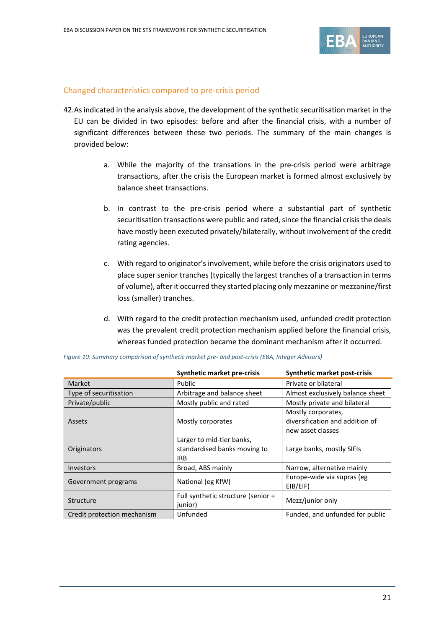

#### Changed characteristics compared to pre-crisis period

- 42.As indicated in the analysis above, the development of the synthetic securitisation market in the EU can be divided in two episodes: before and after the financial crisis, with a number of significant differences between these two periods. The summary of the main changes is provided below:
	- a. While the majority of the transations in the pre-crisis period were arbitrage transactions, after the crisis the European market is formed almost exclusively by balance sheet transactions.
	- b. In contrast to the pre-crisis period where a substantial part of synthetic securitisation transactions were public and rated, since the financial crisis the deals have mostly been executed privately/bilaterally, without involvement of the credit rating agencies.
	- c. With regard to originator's involvement, while before the crisis originators used to place super senior tranches (typically the largest tranches of a transaction in terms of volume), after it occurred they started placing only mezzanine or mezzanine/first loss (smaller) tranches.
	- d. With regard to the credit protection mechanism used, unfunded credit protection was the prevalent credit protection mechanism applied before the financial crisis, whereas funded protection became the dominant mechanism after it occurred.

|                             | Synthetic market pre-crisis                                             | <b>Synthetic market post-crisis</b>                                        |  |
|-----------------------------|-------------------------------------------------------------------------|----------------------------------------------------------------------------|--|
| Market                      | Public                                                                  | Private or bilateral                                                       |  |
| Type of securitisation      | Arbitrage and balance sheet                                             | Almost exclusively balance sheet                                           |  |
| Private/public              | Mostly public and rated                                                 | Mostly private and bilateral                                               |  |
| Assets                      | Mostly corporates                                                       | Mostly corporates,<br>diversification and addition of<br>new asset classes |  |
| Originators                 | Larger to mid-tier banks,<br>standardised banks moving to<br><b>IRB</b> | Large banks, mostly SIFIs                                                  |  |
| Investors                   | Broad, ABS mainly                                                       | Narrow, alternative mainly                                                 |  |
| Government programs         | National (eg KfW)                                                       | Europe-wide via supras (eg<br>EIB/EIF)                                     |  |
| Structure                   | Full synthetic structure (senior +<br>junior)                           | Mezz/junior only                                                           |  |
| Credit protection mechanism | Unfunded                                                                | Funded, and unfunded for public                                            |  |

*Figure 10: Summary comparison of synthetic market pre- and post-crisis (EBA, Integer Advisors)*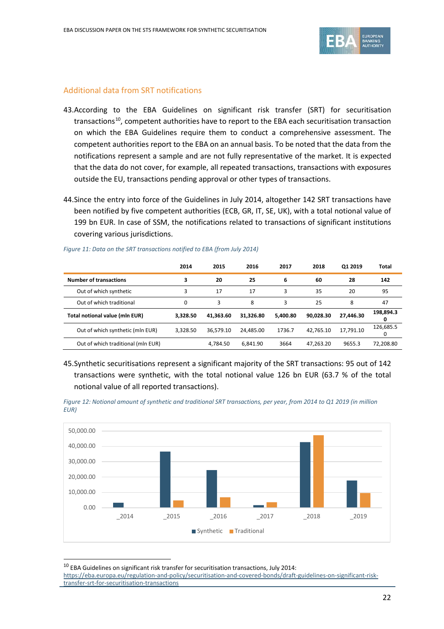

#### Additional data from SRT notifications

- 43.According to the EBA Guidelines on significant risk transfer (SRT) for securitisation transactions<sup>10</sup>, competent authorities have to report to the EBA each securitisation transaction on which the EBA Guidelines require them to conduct a comprehensive assessment. The competent authorities report to the EBA on an annual basis. To be noted that the data from the notifications represent a sample and are not fully representative of the market. It is expected that the data do not cover, for example, all repeated transactions, transactions with exposures outside the EU, transactions pending approval or other types of transactions.
- 44.Since the entry into force of the Guidelines in July 2014, altogether 142 SRT transactions have been notified by five competent authorities (ECB, GR, IT, SE, UK), with a total notional value of 199 bn EUR. In case of SSM, the notifications related to transactions of significant institutions covering various jurisdictions.

|                                    | 2014     | 2015      | 2016      | 2017     | 2018      | Q1 2019   | Total          |
|------------------------------------|----------|-----------|-----------|----------|-----------|-----------|----------------|
| <b>Number of transactions</b>      | 3        | 20        | 25        | 6        | 60        | 28        | 142            |
| Out of which synthetic             | 3        | 17        | 17        | 3        | 35        | 20        | 95             |
| Out of which traditional           | $\Omega$ | 3         | 8         | 3        | 25        | 8         | 47             |
| Total notional value (mln EUR)     | 3.328.50 | 41.363.60 | 31.326.80 | 5.400.80 | 90.028.30 | 27.446.30 | 198,894.3<br>U |
| Out of which synthetic (mln EUR)   | 3.328.50 | 36.579.10 | 24.485.00 | 1736.7   | 42.765.10 | 17.791.10 | 126,685.5<br>0 |
| Out of which traditional (mln EUR) |          | 4,784.50  | 6.841.90  | 3664     | 47,263.20 | 9655.3    | 72,208.80      |

*Figure 11: Data on the SRT transactions notified to EBA (from July 2014)*

45.Synthetic securitisations represent a significant majority of the SRT transactions: 95 out of 142 transactions were synthetic, with the total notional value 126 bn EUR (63.7 % of the total notional value of all reported transactions).





 $10$  EBA Guidelines on significant risk transfer for securitisation transactions, July 2014:

 $\overline{a}$ 

<span id="page-21-0"></span>[https://eba.europa.eu/regulation-and-policy/securitisation-and-covered-bonds/draft-guidelines-on-significant-risk](https://eba.europa.eu/regulation-and-policy/securitisation-and-covered-bonds/draft-guidelines-on-significant-risk-transfer-srt-for-securitisation-transactions)[transfer-srt-for-securitisation-transactions](https://eba.europa.eu/regulation-and-policy/securitisation-and-covered-bonds/draft-guidelines-on-significant-risk-transfer-srt-for-securitisation-transactions)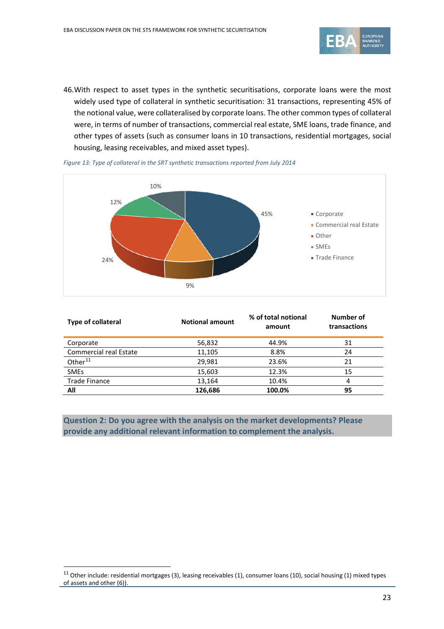

46.With respect to asset types in the synthetic securitisations, corporate loans were the most widely used type of collateral in synthetic securitisation: 31 transactions, representing 45% of the notional value, were collateralised by corporate loans. The other common types of collateral were, in terms of number of transactions, commercial real estate, SME loans, trade finance, and other types of assets (such as consumer loans in 10 transactions, residential mortgages, social housing, leasing receivables, and mixed asset types).



*Figure 13: Type of collateral in the SRT synthetic transactions reported from July 2014*

| <b>Type of collateral</b>     | <b>Notional amount</b> | % of total notional<br>amount | Number of<br>transactions |
|-------------------------------|------------------------|-------------------------------|---------------------------|
| Corporate                     | 56,832                 | 44.9%                         | 31                        |
| <b>Commercial real Estate</b> | 11,105                 | 8.8%                          | 24                        |
| Other <sup>11</sup>           | 29,981                 | 23.6%                         | 21                        |
| <b>SMEs</b>                   | 15,603                 | 12.3%                         | 15                        |
| <b>Trade Finance</b>          | 13,164                 | 10.4%                         | 4                         |
| All                           | 126,686                | 100.0%                        | 95                        |

**Question 2: Do you agree with the analysis on the market developments? Please provide any additional relevant information to complement the analysis.** 

 $\overline{a}$ 

<span id="page-22-0"></span> $11$  Other include: residential mortgages (3), leasing receivables (1), consumer loans (10), social housing (1) mixed types of assets and other (6)).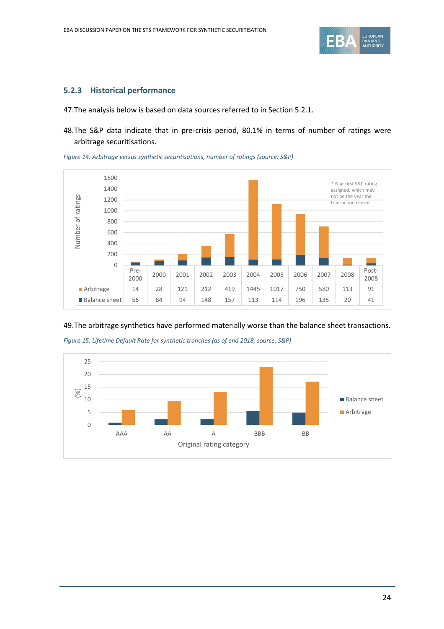

#### **5.2.3 Historical performance**

47.The analysis below is based on data sources referred to in Section 5.2.1.

48.The S&P data indicate that in pre-crisis period, 80.1% in terms of number of ratings were arbitrage securitisations.

*Figure 14: Arbitrage versus synthetic securitisations, number of ratings (source: S&P)*



#### 49.The arbitrage synthetics have performed materially worse than the balance sheet transactions.



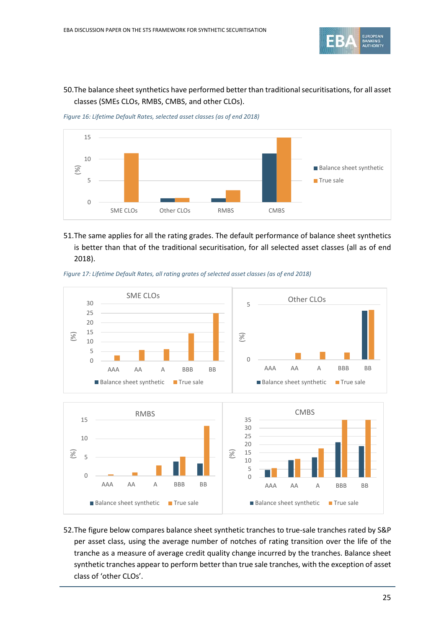

### 50.The balance sheet synthetics have performed better than traditional securitisations, for all asset classes (SMEs CLOs, RMBS, CMBS, and other CLOs).

*Figure 16: Lifetime Default Rates, selected asset classes (as of end 2018)*



51.The same applies for all the rating grades. The default performance of balance sheet synthetics is better than that of the traditional securitisation, for all selected asset classes (all as of end 2018).





52.The figure below compares balance sheet synthetic tranches to true-sale tranches rated by S&P per asset class, using the average number of notches of rating transition over the life of the tranche as a measure of average credit quality change incurred by the tranches. Balance sheet synthetic tranches appear to perform better than true sale tranches, with the exception of asset class of 'other CLOs'.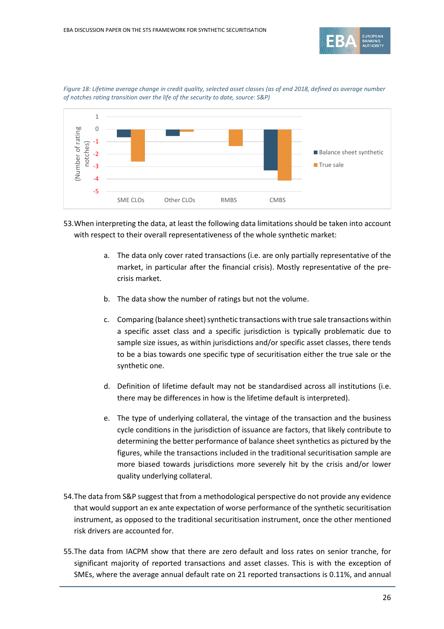



*Figure 18: Lifetime average change in credit quality, selected asset classes (as of end 2018, defined as average number of notches rating transition over the life of the security to date, source: S&P)*

- 53.When interpreting the data, at least the following data limitations should be taken into account with respect to their overall representativeness of the whole synthetic market:
	- a. The data only cover rated transactions (i.e. are only partially representative of the market, in particular after the financial crisis). Mostly representative of the precrisis market.
	- b. The data show the number of ratings but not the volume.
	- c. Comparing (balance sheet) synthetic transactions with true sale transactions within a specific asset class and a specific jurisdiction is typically problematic due to sample size issues, as within jurisdictions and/or specific asset classes, there tends to be a bias towards one specific type of securitisation either the true sale or the synthetic one.
	- d. Definition of lifetime default may not be standardised across all institutions (i.e. there may be differences in how is the lifetime default is interpreted).
	- e. The type of underlying collateral, the vintage of the transaction and the business cycle conditions in the jurisdiction of issuance are factors, that likely contribute to determining the better performance of balance sheet synthetics as pictured by the figures, while the transactions included in the traditional securitisation sample are more biased towards jurisdictions more severely hit by the crisis and/or lower quality underlying collateral.
- 54.The data from S&P suggest that from a methodological perspective do not provide any evidence that would support an ex ante expectation of worse performance of the synthetic securitisation instrument, as opposed to the traditional securitisation instrument, once the other mentioned risk drivers are accounted for.
- 55.The data from IACPM show that there are zero default and loss rates on senior tranche, for significant majority of reported transactions and asset classes. This is with the exception of SMEs, where the average annual default rate on 21 reported transactions is 0.11%, and annual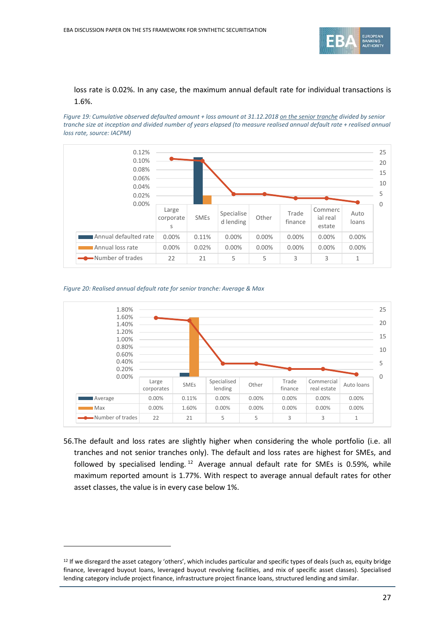

### loss rate is 0.02%. In any case, the maximum annual default rate for individual transactions is 1.6%.

*Figure 19: Cumulative observed defaulted amount + loss amount at 31.12.2018 on the senior tranche divided by senior tranche size at inception and divided number of years elapsed (to measure realised annual default rate + realised annual loss rate, source: IACPM)*





 $\overline{a}$ 



56.The default and loss rates are slightly higher when considering the whole portfolio (i.e. all tranches and not senior tranches only). The default and loss rates are highest for SMEs, and followed by specialised lending.<sup>[12](#page-26-0)</sup> Average annual default rate for SMEs is 0.59%, while maximum reported amount is 1.77%. With respect to average annual default rates for other asset classes, the value is in every case below 1%.

<span id="page-26-0"></span><sup>&</sup>lt;sup>12</sup> If we disregard the asset category 'others', which includes particular and specific types of deals (such as, equity bridge finance, leveraged buyout loans, leveraged buyout revolving facilities, and mix of specific asset classes). Specialised lending category include project finance, infrastructure project finance loans, structured lending and similar.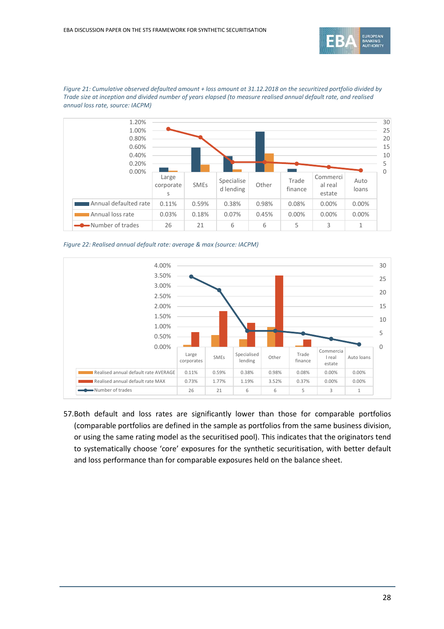



*Figure 21: Cumulative observed defaulted amount + loss amount at 31.12.2018 on the securitized portfolio divided by Trade size at inception and divided number of years elapsed (to measure realised annual default rate, and realised annual loss rate, source: IACPM)*

*Figure 22: Realised annual default rate: average & max (source: IACPM)*



57.Both default and loss rates are significantly lower than those for comparable portfolios (comparable portfolios are defined in the sample as portfolios from the same business division, or using the same rating model as the securitised pool). This indicates that the originators tend to systematically choose 'core' exposures for the synthetic securitisation, with better default and loss performance than for comparable exposures held on the balance sheet.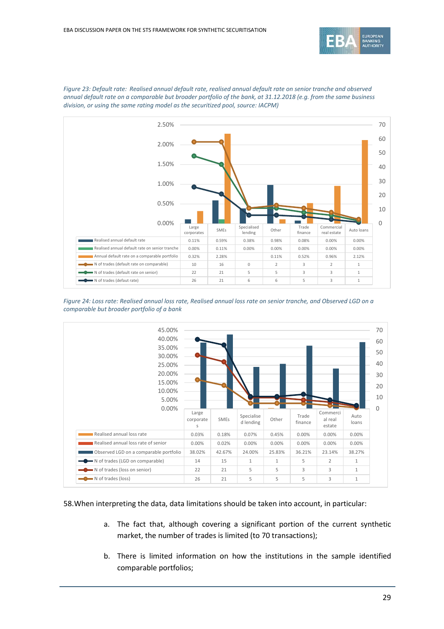



*Figure 23: Default rate: Realised annual default rate, realised annual default rate on senior tranche and observed annual default rate on a comparable but broader portfolio of the bank, at 31.12.2018 (e.g. from the same business division, or using the same rating model as the securitized pool, source: IACPM)*





58.When interpreting the data, data limitations should be taken into account, in particular:

- a. The fact that, although covering a significant portion of the current synthetic market, the number of trades is limited (to 70 transactions);
- b. There is limited information on how the institutions in the sample identified comparable portfolios;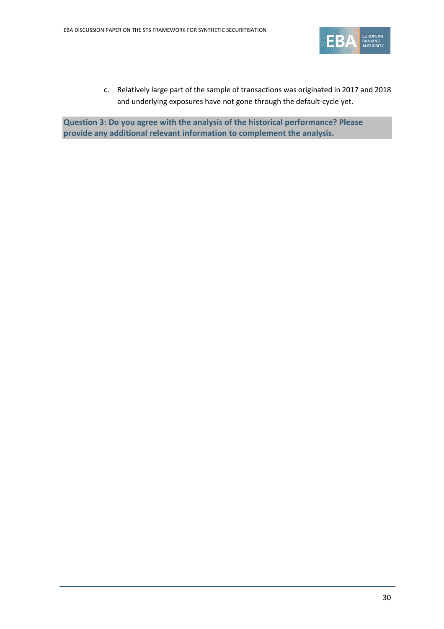

c. Relatively large part of the sample of transactions was originated in 2017 and 2018 and underlying exposures have not gone through the default-cycle yet.

**Question 3: Do you agree with the analysis of the historical performance? Please provide any additional relevant information to complement the analysis.**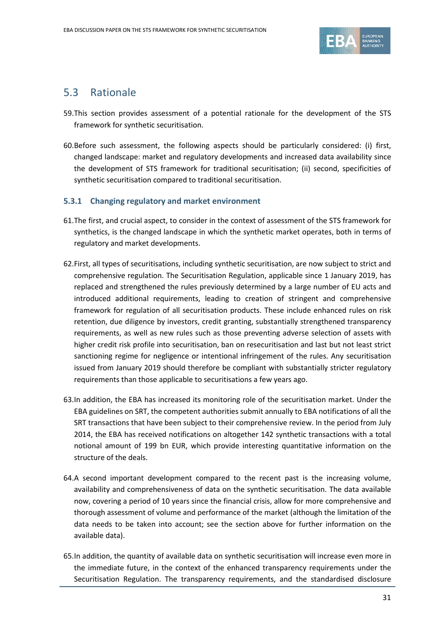

## 5.3 Rationale

- 59.This section provides assessment of a potential rationale for the development of the STS framework for synthetic securitisation.
- 60.Before such assessment, the following aspects should be particularly considered: (i) first, changed landscape: market and regulatory developments and increased data availability since the development of STS framework for traditional securitisation; (ii) second, specificities of synthetic securitisation compared to traditional securitisation.

### **5.3.1 Changing regulatory and market environment**

- 61.The first, and crucial aspect, to consider in the context of assessment of the STS framework for synthetics, is the changed landscape in which the synthetic market operates, both in terms of regulatory and market developments.
- 62.First, all types of securitisations, including synthetic securitisation, are now subject to strict and comprehensive regulation. The Securitisation Regulation, applicable since 1 January 2019, has replaced and strengthened the rules previously determined by a large number of EU acts and introduced additional requirements, leading to creation of stringent and comprehensive framework for regulation of all securitisation products. These include enhanced rules on risk retention, due diligence by investors, credit granting, substantially strengthened transparency requirements, as well as new rules such as those preventing adverse selection of assets with higher credit risk profile into securitisation, ban on resecuritisation and last but not least strict sanctioning regime for negligence or intentional infringement of the rules. Any securitisation issued from January 2019 should therefore be compliant with substantially stricter regulatory requirements than those applicable to securitisations a few years ago.
- 63.In addition, the EBA has increased its monitoring role of the securitisation market. Under the EBA guidelines on SRT, the competent authorities submit annually to EBA notifications of all the SRT transactions that have been subject to their comprehensive review. In the period from July 2014, the EBA has received notifications on altogether 142 synthetic transactions with a total notional amount of 199 bn EUR, which provide interesting quantitative information on the structure of the deals.
- 64.A second important development compared to the recent past is the increasing volume, availability and comprehensiveness of data on the synthetic securitisation. The data available now, covering a period of 10 years since the financial crisis, allow for more comprehensive and thorough assessment of volume and performance of the market (although the limitation of the data needs to be taken into account; see the section above for further information on the available data).
- 65.In addition, the quantity of available data on synthetic securitisation will increase even more in the immediate future, in the context of the enhanced transparency requirements under the Securitisation Regulation. The transparency requirements, and the standardised disclosure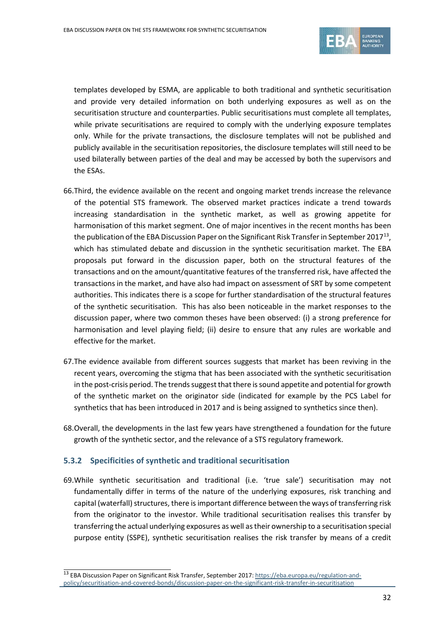

templates developed by ESMA, are applicable to both traditional and synthetic securitisation and provide very detailed information on both underlying exposures as well as on the securitisation structure and counterparties. Public securitisations must complete all templates, while private securitisations are required to comply with the underlying exposure templates only. While for the private transactions, the disclosure templates will not be published and publicly available in the securitisation repositories, the disclosure templates will still need to be used bilaterally between parties of the deal and may be accessed by both the supervisors and the ESAs.

- 66.Third, the evidence available on the recent and ongoing market trends increase the relevance of the potential STS framework. The observed market practices indicate a trend towards increasing standardisation in the synthetic market, as well as growing appetite for harmonisation of this market segment. One of major incentives in the recent months has been the publication of the EBA Discussion Paper on the Significant Risk Transfer in September 2017<sup>[13](#page-31-0)</sup>, which has stimulated debate and discussion in the synthetic securitisation market. The EBA proposals put forward in the discussion paper, both on the structural features of the transactions and on the amount/quantitative features of the transferred risk, have affected the transactions in the market, and have also had impact on assessment of SRT by some competent authorities. This indicates there is a scope for further standardisation of the structural features of the synthetic securitisation. This has also been noticeable in the market responses to the discussion paper, where two common theses have been observed: (i) a strong preference for harmonisation and level playing field; (ii) desire to ensure that any rules are workable and effective for the market.
- 67.The evidence available from different sources suggests that market has been reviving in the recent years, overcoming the stigma that has been associated with the synthetic securitisation in the post-crisis period. The trends suggest that there is sound appetite and potential for growth of the synthetic market on the originator side (indicated for example by the PCS Label for synthetics that has been introduced in 2017 and is being assigned to synthetics since then).
- 68.Overall, the developments in the last few years have strengthened a foundation for the future growth of the synthetic sector, and the relevance of a STS regulatory framework.

#### **5.3.2 Specificities of synthetic and traditional securitisation**

69.While synthetic securitisation and traditional (i.e. 'true sale') securitisation may not fundamentally differ in terms of the nature of the underlying exposures, risk tranching and capital (waterfall) structures, there is important difference between the ways of transferring risk from the originator to the investor. While traditional securitisation realises this transfer by transferring the actual underlying exposures as well as their ownership to a securitisation special purpose entity (SSPE), synthetic securitisation realises the risk transfer by means of a credit

<span id="page-31-0"></span> <sup>13</sup> EBA Discussion Paper on Significant Risk Transfer, September 2017[: https://eba.europa.eu/regulation-and](https://eba.europa.eu/regulation-and-policy/securitisation-and-covered-bonds/discussion-paper-on-the-significant-risk-transfer-in-securitisation)[policy/securitisation-and-covered-bonds/discussion-paper-on-the-significant-risk-transfer-in-securitisation](https://eba.europa.eu/regulation-and-policy/securitisation-and-covered-bonds/discussion-paper-on-the-significant-risk-transfer-in-securitisation)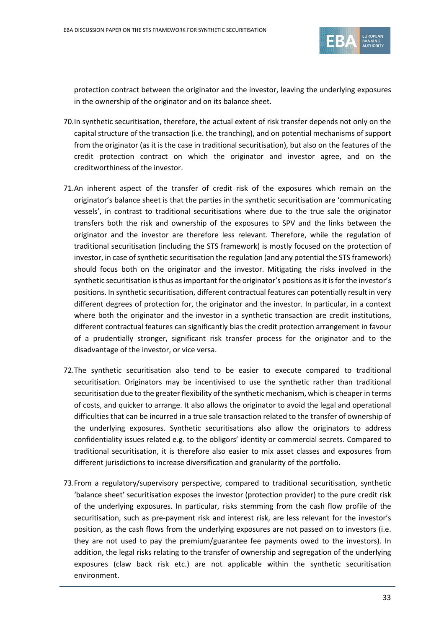

protection contract between the originator and the investor, leaving the underlying exposures in the ownership of the originator and on its balance sheet.

- 70.In synthetic securitisation, therefore, the actual extent of risk transfer depends not only on the capital structure of the transaction (i.e. the tranching), and on potential mechanisms of support from the originator (as it is the case in traditional securitisation), but also on the features of the credit protection contract on which the originator and investor agree, and on the creditworthiness of the investor.
- 71.An inherent aspect of the transfer of credit risk of the exposures which remain on the originator's balance sheet is that the parties in the synthetic securitisation are 'communicating vessels', in contrast to traditional securitisations where due to the true sale the originator transfers both the risk and ownership of the exposures to SPV and the links between the originator and the investor are therefore less relevant. Therefore, while the regulation of traditional securitisation (including the STS framework) is mostly focused on the protection of investor, in case of synthetic securitisation the regulation (and any potential the STS framework) should focus both on the originator and the investor. Mitigating the risks involved in the synthetic securitisation is thus as important for the originator's positions as it is for the investor's positions. In synthetic securitisation, different contractual features can potentially result in very different degrees of protection for, the originator and the investor. In particular, in a context where both the originator and the investor in a synthetic transaction are credit institutions, different contractual features can significantly bias the credit protection arrangement in favour of a prudentially stronger, significant risk transfer process for the originator and to the disadvantage of the investor, or vice versa.
- 72.The synthetic securitisation also tend to be easier to execute compared to traditional securitisation. Originators may be incentivised to use the synthetic rather than traditional securitisation due to the greater flexibility of the synthetic mechanism, which is cheaper in terms of costs, and quicker to arrange. It also allows the originator to avoid the legal and operational difficulties that can be incurred in a true sale transaction related to the transfer of ownership of the underlying exposures. Synthetic securitisations also allow the originators to address confidentiality issues related e.g. to the obligors' identity or commercial secrets. Compared to traditional securitisation, it is therefore also easier to mix asset classes and exposures from different jurisdictions to increase diversification and granularity of the portfolio.
- 73.From a regulatory/supervisory perspective, compared to traditional securitisation, synthetic 'balance sheet' securitisation exposes the investor (protection provider) to the pure credit risk of the underlying exposures. In particular, risks stemming from the cash flow profile of the securitisation, such as pre-payment risk and interest risk, are less relevant for the investor's position, as the cash flows from the underlying exposures are not passed on to investors (i.e. they are not used to pay the premium/guarantee fee payments owed to the investors). In addition, the legal risks relating to the transfer of ownership and segregation of the underlying exposures (claw back risk etc.) are not applicable within the synthetic securitisation environment.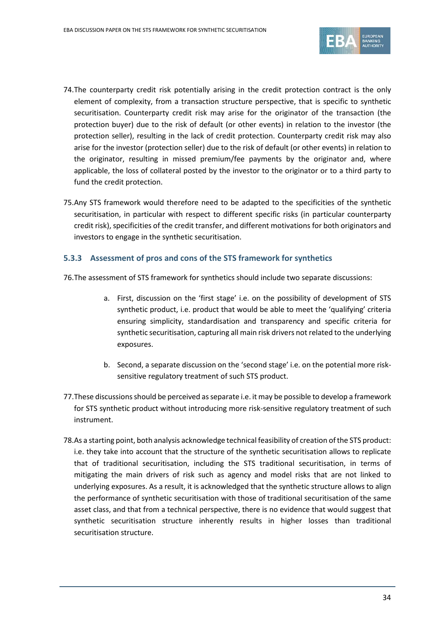

- 74.The counterparty credit risk potentially arising in the credit protection contract is the only element of complexity, from a transaction structure perspective, that is specific to synthetic securitisation. Counterparty credit risk may arise for the originator of the transaction (the protection buyer) due to the risk of default (or other events) in relation to the investor (the protection seller), resulting in the lack of credit protection. Counterparty credit risk may also arise for the investor (protection seller) due to the risk of default (or other events) in relation to the originator, resulting in missed premium/fee payments by the originator and, where applicable, the loss of collateral posted by the investor to the originator or to a third party to fund the credit protection.
- 75.Any STS framework would therefore need to be adapted to the specificities of the synthetic securitisation, in particular with respect to different specific risks (in particular counterparty credit risk), specificities of the credit transfer, and different motivations for both originators and investors to engage in the synthetic securitisation.

#### **5.3.3 Assessment of pros and cons of the STS framework for synthetics**

76.The assessment of STS framework for synthetics should include two separate discussions:

- a. First, discussion on the 'first stage' i.e. on the possibility of development of STS synthetic product, i.e. product that would be able to meet the 'qualifying' criteria ensuring simplicity, standardisation and transparency and specific criteria for synthetic securitisation, capturing all main risk drivers not related to the underlying exposures.
- b. Second, a separate discussion on the 'second stage' i.e. on the potential more risksensitive regulatory treatment of such STS product.
- 77.These discussions should be perceived as separate i.e. it may be possible to develop a framework for STS synthetic product without introducing more risk-sensitive regulatory treatment of such instrument.
- 78.As a starting point, both analysis acknowledge technical feasibility of creation of the STS product: i.e. they take into account that the structure of the synthetic securitisation allows to replicate that of traditional securitisation, including the STS traditional securitisation, in terms of mitigating the main drivers of risk such as agency and model risks that are not linked to underlying exposures. As a result, it is acknowledged that the synthetic structure allows to align the performance of synthetic securitisation with those of traditional securitisation of the same asset class, and that from a technical perspective, there is no evidence that would suggest that synthetic securitisation structure inherently results in higher losses than traditional securitisation structure.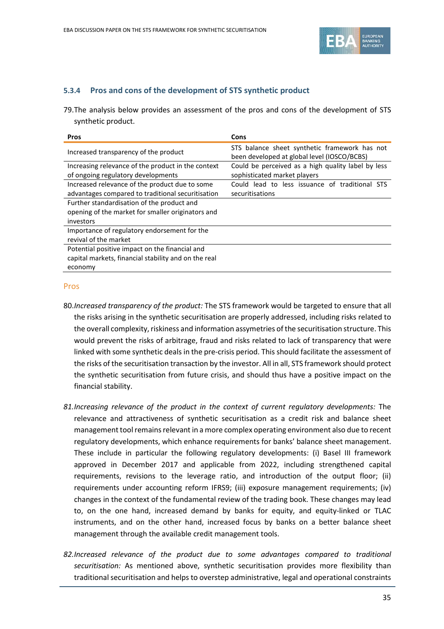

#### **5.3.4 Pros and cons of the development of STS synthetic product**

79.The analysis below provides an assessment of the pros and cons of the development of STS synthetic product.

| <b>Pros</b>                                          | Cons                                                                                         |
|------------------------------------------------------|----------------------------------------------------------------------------------------------|
| Increased transparency of the product                | STS balance sheet synthetic framework has not<br>been developed at global level (IOSCO/BCBS) |
| Increasing relevance of the product in the context   | Could be perceived as a high quality label by less                                           |
| of ongoing regulatory developments                   | sophisticated market players                                                                 |
| Increased relevance of the product due to some       | Could lead to less issuance of traditional STS                                               |
| advantages compared to traditional securitisation    | securitisations                                                                              |
| Further standardisation of the product and           |                                                                                              |
| opening of the market for smaller originators and    |                                                                                              |
| investors                                            |                                                                                              |
| Importance of regulatory endorsement for the         |                                                                                              |
| revival of the market                                |                                                                                              |
| Potential positive impact on the financial and       |                                                                                              |
| capital markets, financial stability and on the real |                                                                                              |
| economy                                              |                                                                                              |

#### Pros

- 80.*Increased transparency of the product:* The STS framework would be targeted to ensure that all the risks arising in the synthetic securitisation are properly addressed, including risks related to the overall complexity, riskiness and information assymetries of the securitisation structure. This would prevent the risks of arbitrage, fraud and risks related to lack of transparency that were linked with some synthetic deals in the pre-crisis period. This should facilitate the assessment of the risks of the securitisation transaction by the investor. All in all, STS framework should protect the synthetic securitisation from future crisis, and should thus have a positive impact on the financial stability.
- *81.Increasing relevance of the product in the context of current regulatory developments:* The relevance and attractiveness of synthetic securitisation as a credit risk and balance sheet management tool remains relevant in a more complex operating environment also due to recent regulatory developments, which enhance requirements for banks' balance sheet management. These include in particular the following regulatory developments: (i) Basel III framework approved in December 2017 and applicable from 2022, including strengthened capital requirements, revisions to the leverage ratio, and introduction of the output floor; (ii) requirements under accounting reform IFRS9; (iii) exposure management requirements; (iv) changes in the context of the fundamental review of the trading book. These changes may lead to, on the one hand, increased demand by banks for equity, and equity-linked or TLAC instruments, and on the other hand, increased focus by banks on a better balance sheet management through the available credit management tools.
- *82.Increased relevance of the product due to some advantages compared to traditional securitisation:* As mentioned above, synthetic securitisation provides more flexibility than traditional securitisation and helps to overstep administrative, legal and operational constraints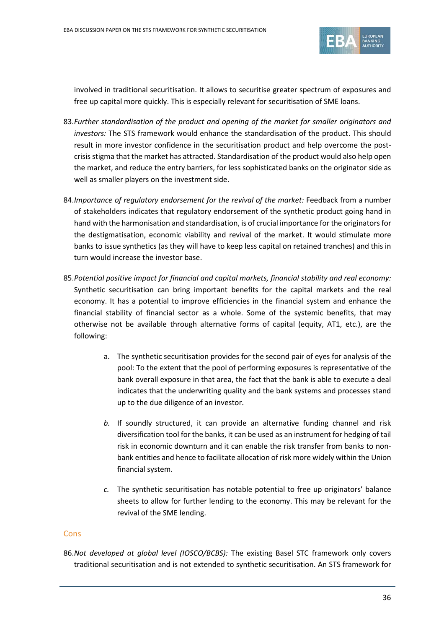

involved in traditional securitisation. It allows to securitise greater spectrum of exposures and free up capital more quickly. This is especially relevant for securitisation of SME loans.

- 83.*Further standardisation of the product and opening of the market for smaller originators and investors:* The STS framework would enhance the standardisation of the product. This should result in more investor confidence in the securitisation product and help overcome the postcrisis stigma that the market has attracted. Standardisation of the product would also help open the market, and reduce the entry barriers, for less sophisticated banks on the originator side as well as smaller players on the investment side.
- 84.*Importance of regulatory endorsement for the revival of the market:* Feedback from a number of stakeholders indicates that regulatory endorsement of the synthetic product going hand in hand with the harmonisation and standardisation, is of crucial importance for the originators for the destigmatisation, economic viability and revival of the market. It would stimulate more banks to issue synthetics (as they will have to keep less capital on retained tranches) and this in turn would increase the investor base.
- 85.*Potential positive impact for financial and capital markets, financial stability and real economy:*  Synthetic securitisation can bring important benefits for the capital markets and the real economy. It has a potential to improve efficiencies in the financial system and enhance the financial stability of financial sector as a whole. Some of the systemic benefits, that may otherwise not be available through alternative forms of capital (equity, AT1, etc.), are the following:
	- a. The synthetic securitisation provides for the second pair of eyes for analysis of the pool: To the extent that the pool of performing exposures is representative of the bank overall exposure in that area, the fact that the bank is able to execute a deal indicates that the underwriting quality and the bank systems and processes stand up to the due diligence of an investor.
	- *b.* If soundly structured, it can provide an alternative funding channel and risk diversification tool for the banks, it can be used as an instrument for hedging of tail risk in economic downturn and it can enable the risk transfer from banks to nonbank entities and hence to facilitate allocation of risk more widely within the Union financial system.
	- *c.* The synthetic securitisation has notable potential to free up originators' balance sheets to allow for further lending to the economy. This may be relevant for the revival of the SME lending.

#### **Cons**

86.*Not developed at global level (IOSCO/BCBS):* The existing Basel STC framework only covers traditional securitisation and is not extended to synthetic securitisation. An STS framework for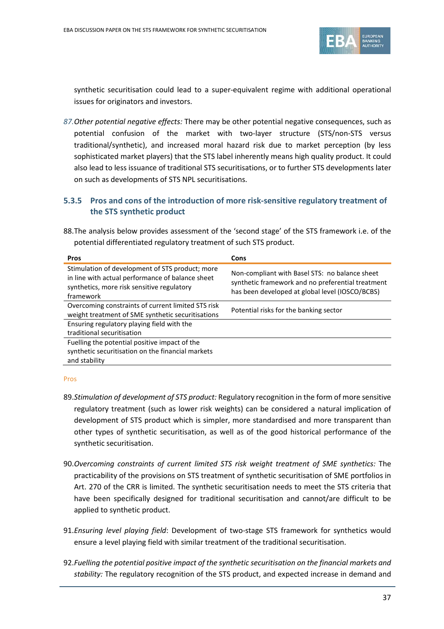

synthetic securitisation could lead to a super-equivalent regime with additional operational issues for originators and investors.

*87.Other potential negative effects:* There may be other potential negative consequences, such as potential confusion of the market with two-layer structure (STS/non-STS versus traditional/synthetic), and increased moral hazard risk due to market perception (by less sophisticated market players) that the STS label inherently means high quality product. It could also lead to less issuance of traditional STS securitisations, or to further STS developments later on such as developments of STS NPL securitisations.

# **5.3.5 Pros and cons of the introduction of more risk-sensitive regulatory treatment of the STS synthetic product**

88.The analysis below provides assessment of the 'second stage' of the STS framework i.e. of the potential differentiated regulatory treatment of such STS product.

| <b>Pros</b>                                                                                                                                                    | Cons                                                                                                                                                   |
|----------------------------------------------------------------------------------------------------------------------------------------------------------------|--------------------------------------------------------------------------------------------------------------------------------------------------------|
| Stimulation of development of STS product; more<br>in line with actual performance of balance sheet<br>synthetics, more risk sensitive regulatory<br>framework | Non-compliant with Basel STS: no balance sheet<br>synthetic framework and no preferential treatment<br>has been developed at global level (IOSCO/BCBS) |
| Overcoming constraints of current limited STS risk<br>weight treatment of SME synthetic securitisations                                                        | Potential risks for the banking sector                                                                                                                 |
| Ensuring regulatory playing field with the                                                                                                                     |                                                                                                                                                        |
| traditional securitisation                                                                                                                                     |                                                                                                                                                        |
| Fuelling the potential positive impact of the                                                                                                                  |                                                                                                                                                        |
| synthetic securitisation on the financial markets                                                                                                              |                                                                                                                                                        |
| and stability                                                                                                                                                  |                                                                                                                                                        |

### Pros

- 89.*Stimulation of development of STS product:* Regulatory recognition in the form of more sensitive regulatory treatment (such as lower risk weights) can be considered a natural implication of development of STS product which is simpler, more standardised and more transparent than other types of synthetic securitisation, as well as of the good historical performance of the synthetic securitisation.
- 90.*Overcoming constraints of current limited STS risk weight treatment of SME synthetics:* The practicability of the provisions on STS treatment of synthetic securitisation of SME portfolios in Art. 270 of the CRR is limited. The synthetic securitisation needs to meet the STS criteria that have been specifically designed for traditional securitisation and cannot/are difficult to be applied to synthetic product.
- 91.*Ensuring level playing field*: Development of two-stage STS framework for synthetics would ensure a level playing field with similar treatment of the traditional securitisation.
- 92.*Fuelling the potential positive impact of the synthetic securitisation on the financial markets and stability:* The regulatory recognition of the STS product, and expected increase in demand and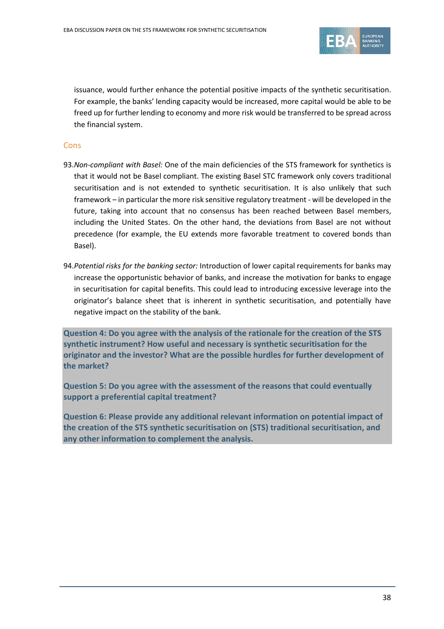

issuance, would further enhance the potential positive impacts of the synthetic securitisation. For example, the banks' lending capacity would be increased, more capital would be able to be freed up for further lending to economy and more risk would be transferred to be spread across the financial system.

### **Cons**

- 93.*Non-compliant with Basel:* One of the main deficiencies of the STS framework for synthetics is that it would not be Basel compliant. The existing Basel STC framework only covers traditional securitisation and is not extended to synthetic securitisation. It is also unlikely that such framework – in particular the more risk sensitive regulatory treatment - will be developed in the future, taking into account that no consensus has been reached between Basel members, including the United States. On the other hand, the deviations from Basel are not without precedence (for example, the EU extends more favorable treatment to covered bonds than Basel).
- 94.*Potential risks for the banking sector:* Introduction of lower capital requirements for banks may increase the opportunistic behavior of banks, and increase the motivation for banks to engage in securitisation for capital benefits. This could lead to introducing excessive leverage into the originator's balance sheet that is inherent in synthetic securitisation, and potentially have negative impact on the stability of the bank.

**Question 4: Do you agree with the analysis of the rationale for the creation of the STS synthetic instrument? How useful and necessary is synthetic securitisation for the originator and the investor? What are the possible hurdles for further development of the market?**

**Question 5: Do you agree with the assessment of the reasons that could eventually support a preferential capital treatment?**

**Question 6: Please provide any additional relevant information on potential impact of the creation of the STS synthetic securitisation on (STS) traditional securitisation, and any other information to complement the analysis.**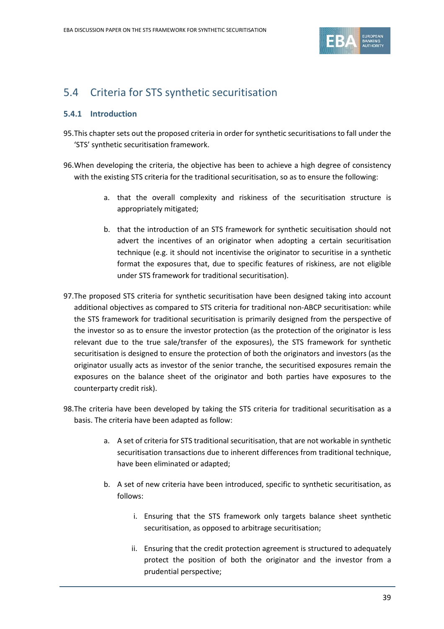

# 5.4 Criteria for STS synthetic securitisation

## **5.4.1 Introduction**

- 95.This chapter sets out the proposed criteria in order forsynthetic securitisations to fall under the 'STS' synthetic securitisation framework.
- 96.When developing the criteria, the objective has been to achieve a high degree of consistency with the existing STS criteria for the traditional securitisation, so as to ensure the following:
	- a. that the overall complexity and riskiness of the securitisation structure is appropriately mitigated;
	- b. that the introduction of an STS framework for synthetic secuitisation should not advert the incentives of an originator when adopting a certain securitisation technique (e.g. it should not incentivise the originator to securitise in a synthetic format the exposures that, due to specific features of riskiness, are not eligible under STS framework for traditional securitisation).
- 97.The proposed STS criteria for synthetic securitisation have been designed taking into account additional objectives as compared to STS criteria for traditional non-ABCP securitisation: while the STS framework for traditional securitisation is primarily designed from the perspective of the investor so as to ensure the investor protection (as the protection of the originator is less relevant due to the true sale/transfer of the exposures), the STS framework for synthetic securitisation is designed to ensure the protection of both the originators and investors (as the originator usually acts as investor of the senior tranche, the securitised exposures remain the exposures on the balance sheet of the originator and both parties have exposures to the counterparty credit risk).
- 98.The criteria have been developed by taking the STS criteria for traditional securitisation as a basis. The criteria have been adapted as follow:
	- a. A set of criteria for STS traditional securitisation, that are not workable in synthetic securitisation transactions due to inherent differences from traditional technique, have been eliminated or adapted;
	- b. A set of new criteria have been introduced, specific to synthetic securitisation, as follows:
		- i. Ensuring that the STS framework only targets balance sheet synthetic securitisation, as opposed to arbitrage securitisation;
		- ii. Ensuring that the credit protection agreement is structured to adequately protect the position of both the originator and the investor from a prudential perspective;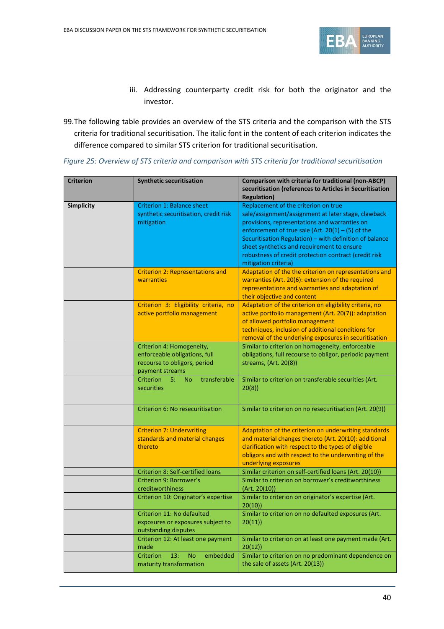

- iii. Addressing counterparty credit risk for both the originator and the investor.
- 99.The following table provides an overview of the STS criteria and the comparison with the STS criteria for traditional securitisation. The italic font in the content of each criterion indicates the difference compared to similar STS criterion for traditional securitisation.

| <b>Criterion</b>                                                              | <b>Synthetic securitisation</b>                                                                               | Comparison with criteria for traditional (non-ABCP)<br>securitisation (references to Articles in Securitisation<br><b>Regulation</b> )                                                                                                                                                                                                                                                        |
|-------------------------------------------------------------------------------|---------------------------------------------------------------------------------------------------------------|-----------------------------------------------------------------------------------------------------------------------------------------------------------------------------------------------------------------------------------------------------------------------------------------------------------------------------------------------------------------------------------------------|
| <b>Simplicity</b>                                                             | <b>Criterion 1: Balance sheet</b><br>synthetic securitisation, credit risk<br>mitigation                      | Replacement of the criterion on true<br>sale/assignment/assignment at later stage, clawback<br>provisions, representations and warranties on<br>enforcement of true sale (Art. $20(1) - (5)$ of the<br>Securitisation Regulation) - with definition of balance<br>sheet synthetics and requirement to ensure<br>robustness of credit protection contract (credit risk<br>mitigation criteria) |
|                                                                               | <b>Criterion 2: Representations and</b><br>warranties                                                         | Adaptation of the the criterion on representations and<br>warranties (Art. 20(6): extension of the required<br>representations and warranties and adaptation of<br>their objective and content                                                                                                                                                                                                |
|                                                                               | Criterion 3: Eligibility criteria, no<br>active portfolio management                                          | Adaptation of the criterion on eligibility criteria, no<br>active portfolio management (Art. 20(7)): adaptation<br>of allowed portfolio management<br>techniques, inclusion of additional conditions for<br>removal of the underlying exposures in securitisation                                                                                                                             |
|                                                                               | Criterion 4: Homogeneity,<br>enforceable obligations, full<br>recourse to obligors, period<br>payment streams | Similar to criterion on homogeneity, enforceable<br>obligations, full recourse to obligor, periodic payment<br>streams, (Art. 20(8))                                                                                                                                                                                                                                                          |
|                                                                               | transferable<br><b>Criterion</b><br>5:<br><b>No</b><br>securities                                             | Similar to criterion on transferable securities (Art.<br>20(8)                                                                                                                                                                                                                                                                                                                                |
|                                                                               | Criterion 6: No resecuritisation                                                                              | Similar to criterion on no resecuritisation (Art. 20(9))                                                                                                                                                                                                                                                                                                                                      |
| <b>Criterion 7: Underwriting</b><br>standards and material changes<br>thereto |                                                                                                               | Adaptation of the criterion on underwriting standards<br>and material changes thereto (Art. 20(10): additional<br>clarification with respect to the types of eligible<br>obligors and with respect to the underwriting of the<br>underlying exposures                                                                                                                                         |
|                                                                               | <b>Criterion 8: Self-certified loans</b>                                                                      | Similar criterion on self-certified loans (Art. 20(10))                                                                                                                                                                                                                                                                                                                                       |
|                                                                               | Criterion 9: Borrower's<br>creditworthiness                                                                   | Similar to criterion on borrower's creditworthiness<br>(Art. 20(10))                                                                                                                                                                                                                                                                                                                          |
|                                                                               | Criterion 10: Originator's expertise                                                                          | Similar to criterion on originator's expertise (Art.<br>20(10)                                                                                                                                                                                                                                                                                                                                |
|                                                                               | Criterion 11: No defaulted<br>exposures or exposures subject to<br>outstanding disputes                       | Similar to criterion on no defaulted exposures (Art.<br>20(11)                                                                                                                                                                                                                                                                                                                                |
|                                                                               | Criterion 12: At least one payment<br>made                                                                    | Similar to criterion on at least one payment made (Art.<br>20(12)                                                                                                                                                                                                                                                                                                                             |
|                                                                               | Criterion<br>13:<br>embedded<br><b>No</b><br>maturity transformation                                          | Similar to criterion on no predominant dependence on<br>the sale of assets (Art. 20(13))                                                                                                                                                                                                                                                                                                      |

*Figure 25: Overview of STS criteria and comparison with STS criteria for traditional securitisation*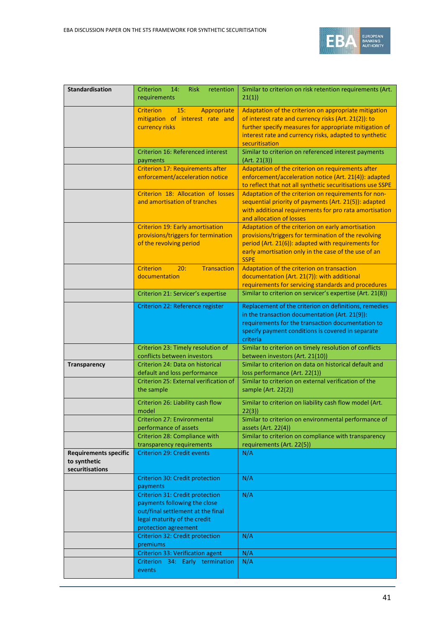

| <b>Standardisation</b>                                          | Criterion<br>14:<br><b>Risk</b><br>retention<br>requirements                                                                                                 | Similar to criterion on risk retention requirements (Art.<br>21(1)                                                                                                                                                                                  |
|-----------------------------------------------------------------|--------------------------------------------------------------------------------------------------------------------------------------------------------------|-----------------------------------------------------------------------------------------------------------------------------------------------------------------------------------------------------------------------------------------------------|
|                                                                 | <b>Criterion</b><br>15:<br>Appropriate<br>mitigation of interest rate and<br>currency risks                                                                  | Adaptation of the criterion on appropriate mitigation<br>of interest rate and currency risks (Art. 21(2)): to<br>further specify measures for appropriate mitigation of<br>interest rate and currency risks, adapted to synthetic<br>securitisation |
|                                                                 | Criterion 16: Referenced interest<br>payments                                                                                                                | Similar to criterion on referenced interest payments<br>(Art. 21(3))                                                                                                                                                                                |
|                                                                 | <b>Criterion 17: Requirements after</b><br>enforcement/acceleration notice                                                                                   | Adaptation of the criterion on requirements after<br>enforcement/acceleration notice (Art. 21(4)): adapted<br>to reflect that not all synthetic securitisations use SSPE                                                                            |
|                                                                 | Criterion 18: Allocation of losses<br>and amortisation of tranches                                                                                           | Adaptation of the criterion on requirements for non-<br>sequential priority of payments (Art. 21(5)): adapted<br>with additional requirements for pro rata amortisation<br>and allocation of losses                                                 |
|                                                                 | <b>Criterion 19: Early amortisation</b><br>provisions/triggers for termination<br>of the revolving period                                                    | Adaptation of the criterion on early amortisation<br>provisions/triggers for termination of the revolving<br>period (Art. 21(6)): adapted with requirements for<br>early amortisation only in the case of the use of an<br><b>SSPE</b>              |
|                                                                 | <b>Criterion</b><br>20:<br><b>Transaction</b><br>documentation                                                                                               | Adaptation of the criterion on transaction<br>documentation (Art. 21(7)): with additional<br>requirements for servicing standards and procedures                                                                                                    |
|                                                                 | Criterion 21: Servicer's expertise                                                                                                                           | Similar to criterion on servicer's expertise (Art. 21(8))                                                                                                                                                                                           |
|                                                                 | Criterion 22: Reference register                                                                                                                             | Replacement of the criterion on definitions, remedies<br>in the transaction documentation (Art. 21(9)):<br>requirements for the transaction documentation to<br>specify payment conditions is covered in separate<br>criteria                       |
|                                                                 | Criterion 23: Timely resolution of<br>conflicts between investors                                                                                            | Similar to criterion on timely resolution of conflicts<br>between investors (Art. 21(10))                                                                                                                                                           |
| <b>Transparency</b>                                             | Criterion 24: Data on historical<br>default and loss performance                                                                                             | Similar to criterion on data on historical default and<br>loss performance (Art. 22(1))                                                                                                                                                             |
|                                                                 | Criterion 25: External verification of<br>the sample                                                                                                         | Similar to criterion on external verification of the<br>sample (Art. 22(2))                                                                                                                                                                         |
|                                                                 | Criterion 26: Liability cash flow<br>model                                                                                                                   | Similar to criterion on liability cash flow model (Art.<br>22(3)                                                                                                                                                                                    |
|                                                                 | Criterion 27: Environmental<br>performance of assets                                                                                                         | Similar to criterion on environmental performance of<br>assets $(Art. 22(4))$                                                                                                                                                                       |
|                                                                 | Criterion 28: Compliance with<br>transparency requirements                                                                                                   | Similar to criterion on compliance with transparency<br>requirements (Art. 22(5))                                                                                                                                                                   |
| <b>Requirements specific</b><br>to synthetic<br>securitisations | Criterion 29: Credit events                                                                                                                                  | N/A                                                                                                                                                                                                                                                 |
|                                                                 | Criterion 30: Credit protection<br>payments                                                                                                                  | N/A                                                                                                                                                                                                                                                 |
|                                                                 | Criterion 31: Credit protection<br>payments following the close<br>out/final settlement at the final<br>legal maturity of the credit<br>protection agreement | N/A                                                                                                                                                                                                                                                 |
|                                                                 | Criterion 32: Credit protection<br>premiums                                                                                                                  | N/A                                                                                                                                                                                                                                                 |
|                                                                 | Criterion 33: Verification agent                                                                                                                             | N/A                                                                                                                                                                                                                                                 |
|                                                                 | Criterion 34: Early termination<br>events                                                                                                                    | N/A                                                                                                                                                                                                                                                 |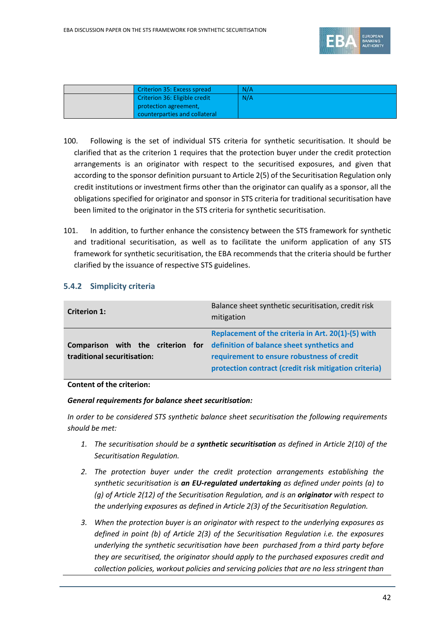

| Criterion 35: Excess spread   | N/A |
|-------------------------------|-----|
| Criterion 36: Eligible credit | N/A |
| protection agreement,         |     |
| counterparties and collateral |     |

- 100. Following is the set of individual STS criteria for synthetic securitisation. It should be clarified that as the criterion 1 requires that the protection buyer under the credit protection arrangements is an originator with respect to the securitised exposures, and given that according to the sponsor definition pursuant to Article 2(5) of the Securitisation Regulation only credit institutions or investment firms other than the originator can qualify as a sponsor, all the obligations specified for originator and sponsor in STS criteria for traditional securitisation have been limited to the originator in the STS criteria for synthetic securitisation.
- 101. In addition, to further enhance the consistency between the STS framework for synthetic and traditional securitisation, as well as to facilitate the uniform application of any STS framework for synthetic securitisation, the EBA recommends that the criteria should be further clarified by the issuance of respective STS guidelines.

# **5.4.2 Simplicity criteria**

| <b>Criterion 1:</b>                              | Balance sheet synthetic securitisation, credit risk<br>mitigation                                                                                                                                                              |
|--------------------------------------------------|--------------------------------------------------------------------------------------------------------------------------------------------------------------------------------------------------------------------------------|
| <b>Comparison</b><br>traditional securitisation: | Replacement of the criteria in Art. 20(1)-(5) with<br>with the criterion for definition of balance sheet synthetics and<br>requirement to ensure robustness of credit<br>protection contract (credit risk mitigation criteria) |

### **Content of the criterion:**

### *General requirements for balance sheet securitisation:*

*In order to be considered STS synthetic balance sheet securitisation the following requirements should be met:*

- *1. The securitisation should be a synthetic securitisation as defined in Article 2(10) of the Securitisation Regulation.*
- *2. The protection buyer under the credit protection arrangements establishing the synthetic securitisation is an EU-regulated undertaking as defined under points (a) to (g) of Article 2(12) of the Securitisation Regulation, and is an originator with respect to the underlying exposures as defined in Article 2(3) of the Securitisation Regulation.*
- *3. When the protection buyer is an originator with respect to the underlying exposures as defined in point (b) of Article 2(3) of the Securitisation Regulation i.e. the exposures underlying the synthetic securitisation have been purchased from a third party before they are securitised, the originator should apply to the purchased exposures credit and collection policies, workout policies and servicing policies that are no less stringent than*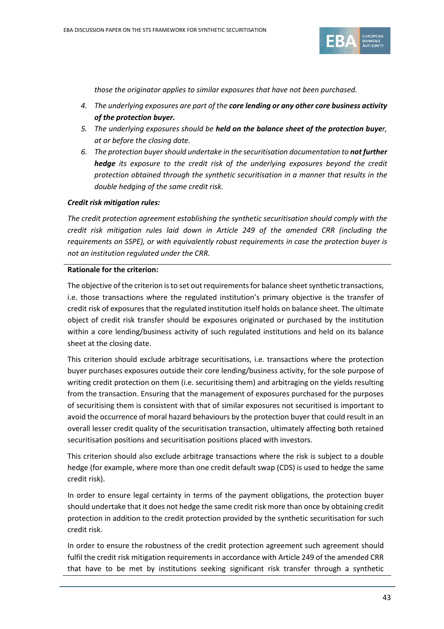

*those the originator applies to similar exposures that have not been purchased.*

- *4. The underlying exposures are part of the core lending or any other core business activity of the protection buyer.*
- *5. The underlying exposures should be held on the balance sheet of the protection buyer, at or before the closing date.*
- *6. The protection buyer should undertake in the securitisation documentation to not further hedge its exposure to the credit risk of the underlying exposures beyond the credit protection obtained through the synthetic securitisation in a manner that results in the double hedging of the same credit risk.*

### *Credit risk mitigation rules:*

*The credit protection agreement establishing the synthetic securitisation should comply with the credit risk mitigation rules laid down in Article 249 of the amended CRR (including the requirements on SSPE), or with equivalently robust requirements in case the protection buyer is not an institution regulated under the CRR.* 

### **Rationale for the criterion:**

The objective of the criterion is to set out requirements for balance sheet synthetic transactions, i.e. those transactions where the regulated institution's primary objective is the transfer of credit risk of exposures that the regulated institution itself holds on balance sheet. The ultimate object of credit risk transfer should be exposures originated or purchased by the institution within a core lending/business activity of such regulated institutions and held on its balance sheet at the closing date.

This criterion should exclude arbitrage securitisations, i.e. transactions where the protection buyer purchases exposures outside their core lending/business activity, for the sole purpose of writing credit protection on them (i.e. securitising them) and arbitraging on the yields resulting from the transaction. Ensuring that the management of exposures purchased for the purposes of securitising them is consistent with that of similar exposures not securitised is important to avoid the occurrence of moral hazard behaviours by the protection buyer that could result in an overall lesser credit quality of the securitisation transaction, ultimately affecting both retained securitisation positions and securitisation positions placed with investors.

This criterion should also exclude arbitrage transactions where the risk is subject to a double hedge (for example, where more than one credit default swap (CDS) is used to hedge the same credit risk).

In order to ensure legal certainty in terms of the payment obligations, the protection buyer should undertake that it does not hedge the same credit risk more than once by obtaining credit protection in addition to the credit protection provided by the synthetic securitisation for such credit risk.

In order to ensure the robustness of the credit protection agreement such agreement should fulfil the credit risk mitigation requirements in accordance with Article 249 of the amended CRR that have to be met by institutions seeking significant risk transfer through a synthetic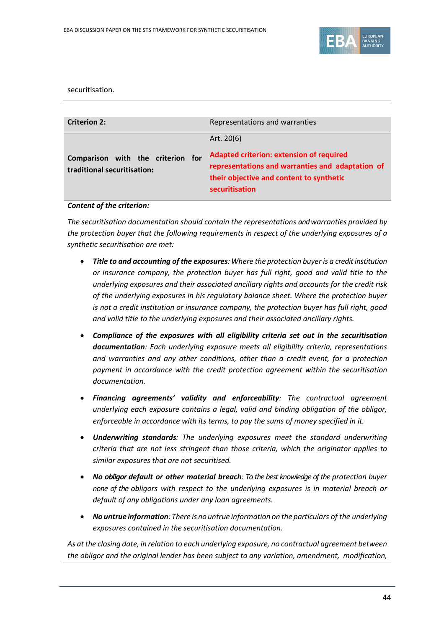

#### securitisation.

| <b>Criterion 2:</b>                                              | Representations and warranties                                                                                                                                                    |
|------------------------------------------------------------------|-----------------------------------------------------------------------------------------------------------------------------------------------------------------------------------|
| Comparison with the criterion for<br>traditional securitisation: | Art. $20(6)$<br><b>Adapted criterion: extension of required</b><br>representations and warranties and adaptation of<br>their objective and content to synthetic<br>securitisation |

#### *Content of the criterion:*

*The securitisation documentation should contain the representations and warranties provided by the protection buyer that the following requirements in respect of the underlying exposures of a synthetic securitisation are met:* 

- *Title to and accounting of the exposures:Where the protection buyer is a credit institution or insurance company, the protection buyer has full right, good and valid title to the underlying exposures and their associated ancillary rights and accounts for the credit risk of the underlying exposures in his regulatory balance sheet. Where the protection buyer is not a credit institution or insurance company, the protection buyer has full right, good and valid title to the underlying exposures and their associated ancillary rights.*
- *Compliance of the exposures with all eligibility criteria set out in the securitisation documentation: Each underlying exposure meets all eligibility criteria, representations and warranties and any other conditions, other than a credit event, for a protection payment in accordance with the credit protection agreement within the securitisation documentation.*
- *Financing agreements' validity and enforceability: The contractual agreement underlying each exposure contains a legal, valid and binding obligation of the obligor, enforceable in accordance with its terms, to pay the sums of money specified in it.*
- *Underwriting standards: The underlying exposures meet the standard underwriting criteria that are not less stringent than those criteria, which the originator applies to similar exposures that are not securitised.*
- *No obligor default or other material breach: To the best knowledge of the protection buyer none of the obligors with respect to the underlying exposures is in material breach or default of any obligations under any loan agreements.*
- *No untrue information: There is no untrue information on the particulars of the underlying exposures contained in the securitisation documentation.*

*As at the closing date, in relation to each underlying exposure, no contractual agreement between the obligor and the original lender has been subject to any variation, amendment, modification,*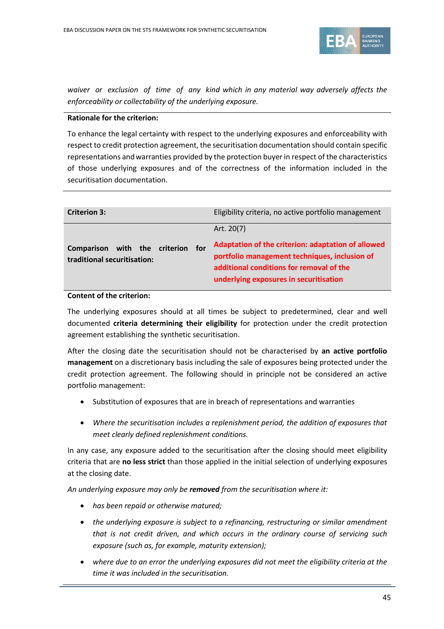

*waiver or exclusion of time of any kind which in any material way adversely affects the enforceability or collectability of the underlying exposure.*

### **Rationale for the criterion:**

To enhance the legal certainty with respect to the underlying exposures and enforceability with respect to credit protection agreement, the securitisation documentation should contain specific representations andwarranties provided by the protection buyer in respect of the characteristics of those underlying exposures and of the correctness of the information included in the securitisation documentation.

| <b>Criterion 3:</b>                                          |     | Eligibility criteria, no active portfolio management                                                                                                                                                    |
|--------------------------------------------------------------|-----|---------------------------------------------------------------------------------------------------------------------------------------------------------------------------------------------------------|
| Comparison with the criterion<br>traditional securitisation: | for | Art. 20(7)<br>Adaptation of the criterion: adaptation of allowed<br>portfolio management techniques, inclusion of<br>additional conditions for removal of the<br>underlying exposures in securitisation |

### **Content of the criterion:**

The underlying exposures should at all times be subject to predetermined, clear and well documented **criteria determining their eligibility** for protection under the credit protection agreement establishing the synthetic securitisation.

After the closing date the securitisation should not be characterised by **an active portfolio management** on a discretionary basis including the sale of exposures being protected under the credit protection agreement. The following should in principle not be considered an active portfolio management:

- Substitution of exposures that are in breach of representations and warranties
- *Where the securitisation includes a replenishment period, the addition of exposures that meet clearly defined replenishment conditions.*

In any case, any exposure added to the securitisation after the closing should meet eligibility criteria that are **no less strict** than those applied in the initial selection of underlying exposures at the closing date.

*An underlying exposure may only be removed from the securitisation where it:*

- *has been repaid or otherwise matured;*
- *the underlying exposure is subject to a refinancing, restructuring or similar amendment that is not credit driven, and which occurs in the ordinary course of servicing such exposure (such as, for example, maturity extension);*
- *where due to an error the underlying exposures did not meet the eligibility criteria at the time it was included in the securitisation.*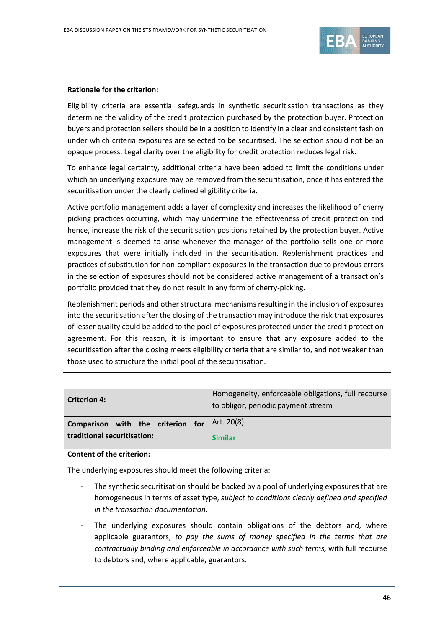

### **Rationale for the criterion:**

Eligibility criteria are essential safeguards in synthetic securitisation transactions as they determine the validity of the credit protection purchased by the protection buyer. Protection buyers and protection sellers should be in a position to identify in a clear and consistent fashion under which criteria exposures are selected to be securitised. The selection should not be an opaque process. Legal clarity over the eligibility for credit protection reduces legal risk.

To enhance legal certainty, additional criteria have been added to limit the conditions under which an underlying exposure may be removed from the securitisation, once it has entered the securitisation under the clearly defined eligibility criteria.

Active portfolio management adds a layer of complexity and increases the likelihood of cherry picking practices occurring, which may undermine the effectiveness of credit protection and hence, increase the risk of the securitisation positions retained by the protection buyer. Active management is deemed to arise whenever the manager of the portfolio sells one or more exposures that were initially included in the securitisation. Replenishment practices and practices of substitution for non-compliant exposures in the transaction due to previous errors in the selection of exposures should not be considered active management of a transaction's portfolio provided that they do not result in any form of cherry-picking.

Replenishment periods and other structural mechanisms resulting in the inclusion of exposures into the securitisation after the closing of the transaction may introduce the risk that exposures of lesser quality could be added to the pool of exposures protected under the credit protection agreement. For this reason, it is important to ensure that any exposure added to the securitisation after the closing meets eligibility criteria that are similar to, and not weaker than those used to structure the initial pool of the securitisation.

| <b>Criterion 4:</b>               | Homogeneity, enforceable obligations, full recourse<br>to obligor, periodic payment stream |
|-----------------------------------|--------------------------------------------------------------------------------------------|
| Comparison with the criterion for | Art. 20(8)                                                                                 |
| traditional securitisation:       | <b>Similar</b>                                                                             |

### **Content of the criterion:**

The underlying exposures should meet the following criteria:

- The synthetic securitisation should be backed by a pool of underlying exposures that are homogeneous in terms of asset type, *subject to conditions clearly defined and specified in the transaction documentation.*
- The underlying exposures should contain obligations of the debtors and, where applicable guarantors, *to pay the sums of money specified in the terms that are contractually binding and enforceable in accordance with such terms,* with full recourse to debtors and, where applicable, guarantors.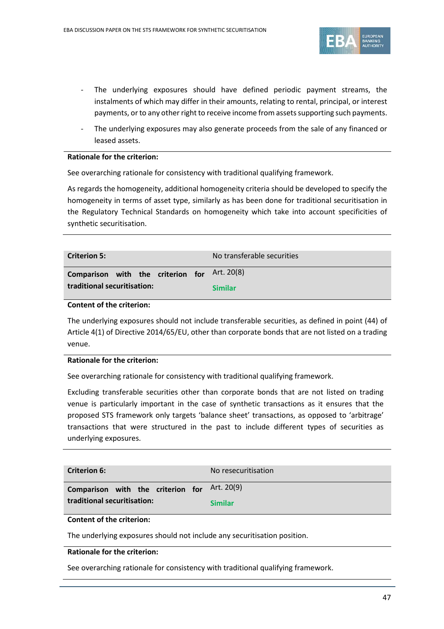

- The underlying exposures should have defined periodic payment streams, the instalments of which may differ in their amounts, relating to rental, principal, or interest payments, or to any other right to receive income from assets supporting such payments.
- The underlying exposures may also generate proceeds from the sale of any financed or leased assets.

#### **Rationale for the criterion:**

See overarching rationale for consistency with traditional qualifying framework.

As regards the homogeneity, additional homogeneity criteria should be developed to specify the homogeneity in terms of asset type, similarly as has been done for traditional securitisation in the Regulatory Technical Standards on homogeneity which take into account specificities of synthetic securitisation.

| <b>Criterion 5:</b>                          | No transferable securities |
|----------------------------------------------|----------------------------|
| Comparison with the criterion for Art. 20(8) |                            |
| traditional securitisation:                  | <b>Similar</b>             |

#### **Content of the criterion:**

The underlying exposures should not include transferable securities, as defined in point (44) of Article 4(1) of Directive 2014/65/EU, other than corporate bonds that are not listed on a trading venue.

### **Rationale for the criterion:**

See overarching rationale for consistency with traditional qualifying framework.

Excluding transferable securities other than corporate bonds that are not listed on trading venue is particularly important in the case of synthetic transactions as it ensures that the proposed STS framework only targets 'balance sheet' transactions, as opposed to 'arbitrage' transactions that were structured in the past to include different types of securities as underlying exposures.

| <b>Criterion 6:</b>               | No resecuritisation |
|-----------------------------------|---------------------|
| Comparison with the criterion for | Art. 20(9)          |
| traditional securitisation:       | <b>Similar</b>      |

### **Content of the criterion:**

The underlying exposures should not include any securitisation position.

### **Rationale for the criterion:**

See overarching rationale for consistency with traditional qualifying framework.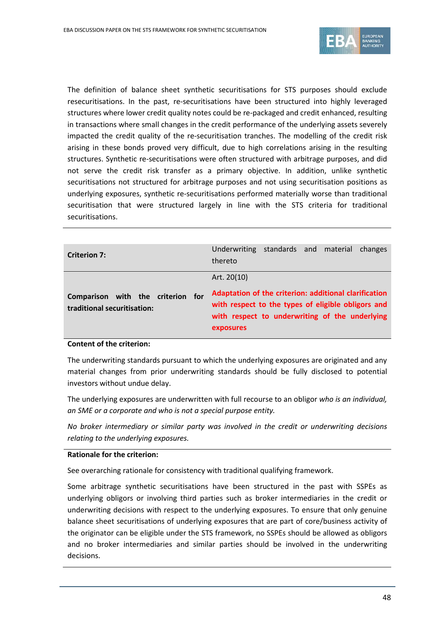

The definition of balance sheet synthetic securitisations for STS purposes should exclude resecuritisations. In the past, re-securitisations have been structured into highly leveraged structures where lower credit quality notes could be re-packaged and credit enhanced, resulting in transactions where small changes in the credit performance of the underlying assets severely impacted the credit quality of the re-securitisation tranches. The modelling of the credit risk arising in these bonds proved very difficult, due to high correlations arising in the resulting structures. Synthetic re-securitisations were often structured with arbitrage purposes, and did not serve the credit risk transfer as a primary objective. In addition, unlike synthetic securitisations not structured for arbitrage purposes and not using securitisation positions as underlying exposures, synthetic re-securitisations performed materially worse than traditional securitisation that were structured largely in line with the STS criteria for traditional securitisations.

| <b>Criterion 7:</b>                                              | standards and material changes<br>Underwriting<br>thereto                                                                                                                  |
|------------------------------------------------------------------|----------------------------------------------------------------------------------------------------------------------------------------------------------------------------|
|                                                                  | Art. 20(10)                                                                                                                                                                |
| Comparison with the criterion for<br>traditional securitisation: | Adaptation of the criterion: additional clarification<br>with respect to the types of eligible obligors and<br>with respect to underwriting of the underlying<br>exposures |

#### **Content of the criterion:**

The underwriting standards pursuant to which the underlying exposures are originated and any material changes from prior underwriting standards should be fully disclosed to potential investors without undue delay.

The underlying exposures are underwritten with full recourse to an obligor *who is an individual, an SME or a corporate and who is not a special purpose entity.*

*No broker intermediary or similar party was involved in the credit or underwriting decisions relating to the underlying exposures.*

#### **Rationale for the criterion:**

See overarching rationale for consistency with traditional qualifying framework.

Some arbitrage synthetic securitisations have been structured in the past with SSPEs as underlying obligors or involving third parties such as broker intermediaries in the credit or underwriting decisions with respect to the underlying exposures. To ensure that only genuine balance sheet securitisations of underlying exposures that are part of core/business activity of the originator can be eligible under the STS framework, no SSPEs should be allowed as obligors and no broker intermediaries and similar parties should be involved in the underwriting decisions.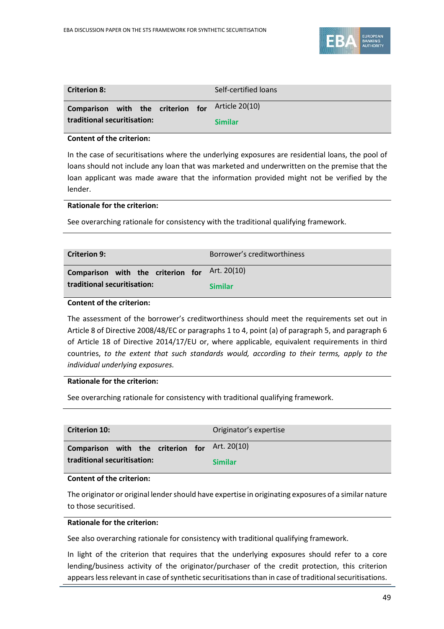

| <b>Criterion 8:</b>                              |  | Self-certified loans |
|--------------------------------------------------|--|----------------------|
| Comparison with the criterion for Article 20(10) |  |                      |
| traditional securitisation:                      |  | <b>Similar</b>       |

### **Content of the criterion:**

In the case of securitisations where the underlying exposures are residential loans, the pool of loans should not include any loan that was marketed and underwritten on the premise that the loan applicant was made aware that the information provided might not be verified by the lender.

### **Rationale for the criterion:**

See overarching rationale for consistency with the traditional qualifying framework.

| <b>Criterion 9:</b>                           | Borrower's creditworthiness |
|-----------------------------------------------|-----------------------------|
| Comparison with the criterion for Art. 20(10) |                             |
| traditional securitisation:                   | <b>Similar</b>              |

### **Content of the criterion:**

The assessment of the borrower's creditworthiness should meet the requirements set out in Article 8 of Directive 2008/48/EC or paragraphs 1 to 4, point (a) of paragraph 5, and paragraph 6 of Article 18 of Directive 2014/17/EU or, where applicable, equivalent requirements in third countries, *to the extent that such standards would, according to their terms, apply to the individual underlying exposures.*

### **Rationale for the criterion:**

See overarching rationale for consistency with traditional qualifying framework.

| <b>Criterion 10:</b>                          | Originator's expertise |
|-----------------------------------------------|------------------------|
| Comparison with the criterion for Art. 20(10) |                        |
| traditional securitisation:                   | <b>Similar</b>         |

### **Content of the criterion:**

The originator or original lender should have expertise in originating exposures of a similar nature to those securitised.

### **Rationale for the criterion:**

See also overarching rationale for consistency with traditional qualifying framework.

In light of the criterion that requires that the underlying exposures should refer to a core lending/business activity of the originator/purchaser of the credit protection, this criterion appears less relevant in case of synthetic securitisations than in case of traditional securitisations.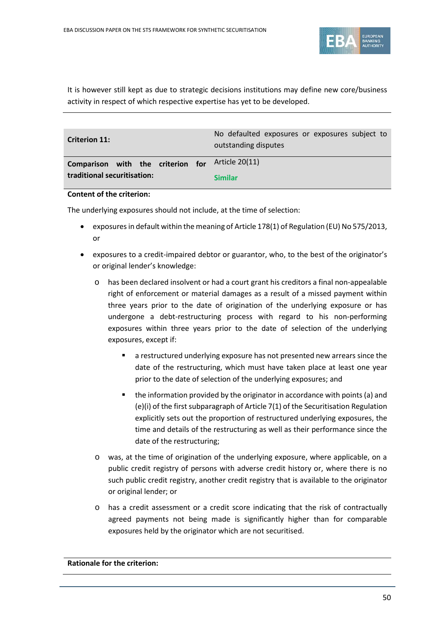

It is however still kept as due to strategic decisions institutions may define new core/business activity in respect of which respective expertise has yet to be developed.

| <b>Criterion 11:</b>              | No defaulted exposures or exposures subject to<br>outstanding disputes |
|-----------------------------------|------------------------------------------------------------------------|
| Comparison with the criterion for | Article 20(11)                                                         |
| traditional securitisation:       | <b>Similar</b>                                                         |

### **Content of the criterion:**

The underlying exposures should not include, at the time of selection:

- exposures in default within the meaning of Article 178(1) of Regulation (EU) No 575/2013, or
- exposures to a credit-impaired debtor or guarantor, who, to the best of the originator's or original lender's knowledge:
	- o has been declared insolvent or had a court grant his creditors a final non-appealable right of enforcement or material damages as a result of a missed payment within three years prior to the date of origination of the underlying exposure or has undergone a debt-restructuring process with regard to his non-performing exposures within three years prior to the date of selection of the underlying exposures, except if:
		- a restructured underlying exposure has not presented new arrears since the date of the restructuring, which must have taken place at least one year prior to the date of selection of the underlying exposures; and
		- **the information provided by the originator in accordance with points (a) and** (e)(i) of the first subparagraph of Article 7(1) of the Securitisation Regulation explicitly sets out the proportion of restructured underlying exposures, the time and details of the restructuring as well as their performance since the date of the restructuring;
	- o was, at the time of origination of the underlying exposure, where applicable, on a public credit registry of persons with adverse credit history or, where there is no such public credit registry, another credit registry that is available to the originator or original lender; or
	- o has a credit assessment or a credit score indicating that the risk of contractually agreed payments not being made is significantly higher than for comparable exposures held by the originator which are not securitised.

**Rationale for the criterion:**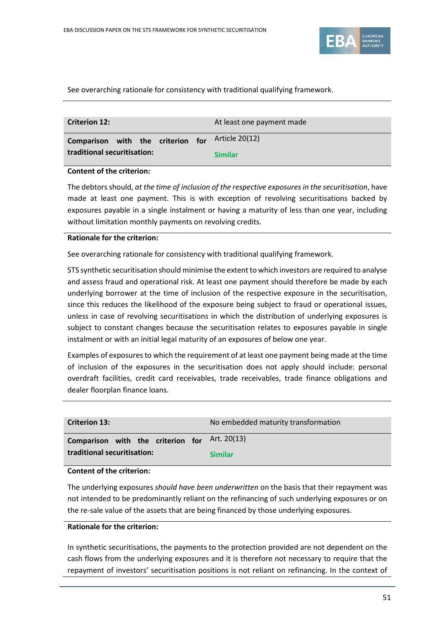

See overarching rationale for consistency with traditional qualifying framework.

| <b>Criterion 12:</b>        |  |  | At least one payment made                        |
|-----------------------------|--|--|--------------------------------------------------|
|                             |  |  | Comparison with the criterion for Article 20(12) |
| traditional securitisation: |  |  | <b>Similar</b>                                   |

### **Content of the criterion:**

The debtors should, *at the time of inclusion of the respective exposures in the securitisation*, have made at least one payment. This is with exception of revolving securitisations backed by exposures payable in a single instalment or having a maturity of less than one year, including without limitation monthly payments on revolving credits.

#### **Rationale for the criterion:**

See overarching rationale for consistency with traditional qualifying framework.

STS synthetic securitisation should minimise the extent to which investors are required to analyse and assess fraud and operational risk. At least one payment should therefore be made by each underlying borrower at the time of inclusion of the respective exposure in the securitisation, since this reduces the likelihood of the exposure being subject to fraud or operational issues, unless in case of revolving securitisations in which the distribution of underlying exposures is subject to constant changes because the securitisation relates to exposures payable in single instalment or with an initial legal maturity of an exposures of below one year.

Examples of exposures to which the requirement of at least one payment being made at the time of inclusion of the exposures in the securitisation does not apply should include: personal overdraft facilities, credit card receivables, trade receivables, trade finance obligations and dealer floorplan finance loans.

| <b>Criterion 13:</b>              | No embedded maturity transformation |
|-----------------------------------|-------------------------------------|
| Comparison with the criterion for | Art. 20(13)                         |
| traditional securitisation:       | <b>Similar</b>                      |

### **Content of the criterion:**

The underlying exposures *should have been underwritten* on the basis that their repayment was not intended to be predominantly reliant on the refinancing of such underlying exposures or on the re-sale value of the assets that are being financed by those underlying exposures.

## **Rationale for the criterion:**

In synthetic securitisations, the payments to the protection provided are not dependent on the cash flows from the underlying exposures and it is therefore not necessary to require that the repayment of investors' securitisation positions is not reliant on refinancing. In the context of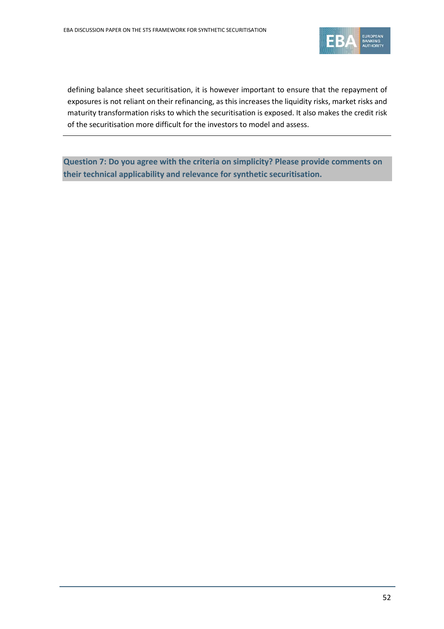

defining balance sheet securitisation, it is however important to ensure that the repayment of exposures is not reliant on their refinancing, as this increases the liquidity risks, market risks and maturity transformation risks to which the securitisation is exposed. It also makes the credit risk of the securitisation more difficult for the investors to model and assess.

**Question 7: Do you agree with the criteria on simplicity? Please provide comments on their technical applicability and relevance for synthetic securitisation.**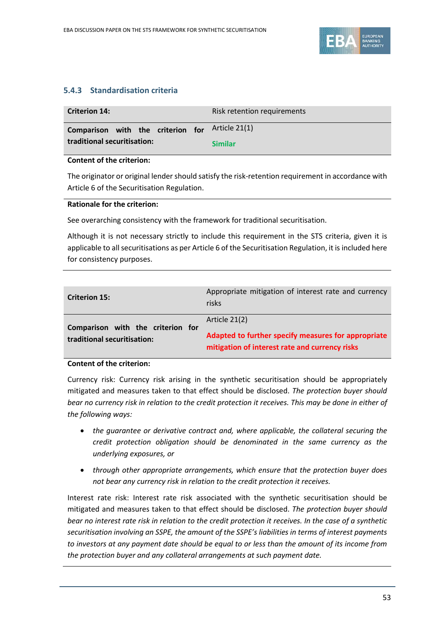

# **5.4.3 Standardisation criteria**

| <b>Criterion 14:</b>                            | Risk retention requirements |  |
|-------------------------------------------------|-----------------------------|--|
| Comparison with the criterion for Article 21(1) |                             |  |
| traditional securitisation:                     | <b>Similar</b>              |  |

### **Content of the criterion:**

The originator or original lender should satisfy the risk-retention requirement in accordance with Article 6 of the Securitisation Regulation.

### **Rationale for the criterion:**

See overarching consistency with the framework for traditional securitisation.

Although it is not necessary strictly to include this requirement in the STS criteria, given it is applicable to all securitisations as per Article 6 of the Securitisation Regulation, it is included here for consistency purposes.

| <b>Criterion 15:</b>                                             | Appropriate mitigation of interest rate and currency<br>risks                                                          |
|------------------------------------------------------------------|------------------------------------------------------------------------------------------------------------------------|
| Comparison with the criterion for<br>traditional securitisation: | Article 21(2)<br>Adapted to further specify measures for appropriate<br>mitigation of interest rate and currency risks |

# **Content of the criterion:**

Currency risk: Currency risk arising in the synthetic securitisation should be appropriately mitigated and measures taken to that effect should be disclosed. *The protection buyer should bear no currency risk in relation to the credit protection it receives. This may be done in either of the following ways:*

- *the guarantee or derivative contract and, where applicable, the collateral securing the credit protection obligation should be denominated in the same currency as the underlying exposures, or*
- *through other appropriate arrangements, which ensure that the protection buyer does not bear any currency risk in relation to the credit protection it receives.*

Interest rate risk: Interest rate risk associated with the synthetic securitisation should be mitigated and measures taken to that effect should be disclosed. *The protection buyer should bear no interest rate risk in relation to the credit protection it receives. In the case of a synthetic securitisation involving an SSPE, the amount of the SSPE's liabilities in terms of interest payments to investors at any payment date should be equal to or less than the amount of its income from the protection buyer and any collateral arrangements at such payment date.*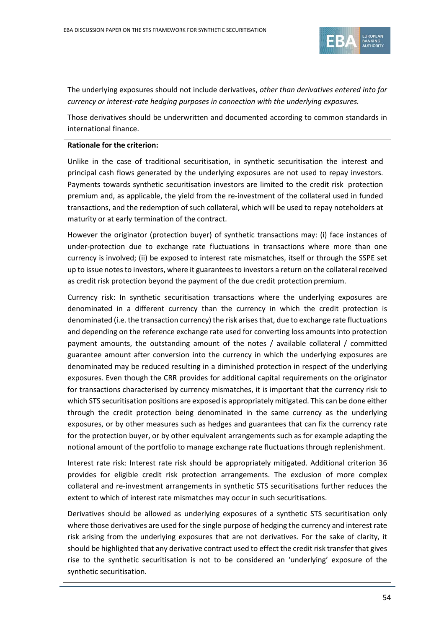

The underlying exposures should not include derivatives, *other than derivatives entered into for currency or interest-rate hedging purposes in connection with the underlying exposures.*

Those derivatives should be underwritten and documented according to common standards in international finance.

#### **Rationale for the criterion:**

Unlike in the case of traditional securitisation, in synthetic securitisation the interest and principal cash flows generated by the underlying exposures are not used to repay investors. Payments towards synthetic securitisation investors are limited to the credit risk protection premium and, as applicable, the yield from the re-investment of the collateral used in funded transactions, and the redemption of such collateral, which will be used to repay noteholders at maturity or at early termination of the contract.

However the originator (protection buyer) of synthetic transactions may: (i) face instances of under-protection due to exchange rate fluctuations in transactions where more than one currency is involved; (ii) be exposed to interest rate mismatches, itself or through the SSPE set up to issue notes to investors, where it guarantees to investors a return on the collateral received as credit risk protection beyond the payment of the due credit protection premium.

Currency risk: In synthetic securitisation transactions where the underlying exposures are denominated in a different currency than the currency in which the credit protection is denominated (i.e. the transaction currency) the risk arises that, due to exchange rate fluctuations and depending on the reference exchange rate used for converting loss amounts into protection payment amounts, the outstanding amount of the notes / available collateral / committed guarantee amount after conversion into the currency in which the underlying exposures are denominated may be reduced resulting in a diminished protection in respect of the underlying exposures. Even though the CRR provides for additional capital requirements on the originator for transactions characterised by currency mismatches, it is important that the currency risk to which STS securitisation positions are exposed is appropriately mitigated. This can be done either through the credit protection being denominated in the same currency as the underlying exposures, or by other measures such as hedges and guarantees that can fix the currency rate for the protection buyer, or by other equivalent arrangements such as for example adapting the notional amount of the portfolio to manage exchange rate fluctuations through replenishment.

Interest rate risk: Interest rate risk should be appropriately mitigated. Additional criterion 36 provides for eligible credit risk protection arrangements. The exclusion of more complex collateral and re-investment arrangements in synthetic STS securitisations further reduces the extent to which of interest rate mismatches may occur in such securitisations.

Derivatives should be allowed as underlying exposures of a synthetic STS securitisation only where those derivatives are used for the single purpose of hedging the currency and interest rate risk arising from the underlying exposures that are not derivatives. For the sake of clarity, it should be highlighted that any derivative contract used to effect the credit risk transfer that gives rise to the synthetic securitisation is not to be considered an 'underlying' exposure of the synthetic securitisation.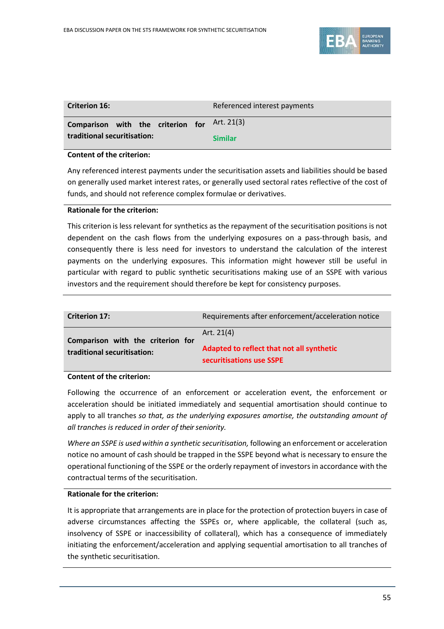

| <b>Criterion 16:</b>                         | Referenced interest payments |
|----------------------------------------------|------------------------------|
| Comparison with the criterion for Art. 21(3) |                              |
| traditional securitisation:                  | <b>Similar</b>               |

### **Content of the criterion:**

Any referenced interest payments under the securitisation assets and liabilities should be based on generally used market interest rates, or generally used sectoral rates reflective of the cost of funds, and should not reference complex formulae or derivatives.

### **Rationale for the criterion:**

This criterion is less relevant for synthetics as the repayment of the securitisation positions is not dependent on the cash flows from the underlying exposures on a pass-through basis, and consequently there is less need for investors to understand the calculation of the interest payments on the underlying exposures. This information might however still be useful in particular with regard to public synthetic securitisations making use of an SSPE with various investors and the requirement should therefore be kept for consistency purposes.

| <b>Criterion 17:</b>                                             | Requirements after enforcement/acceleration notice                                    |
|------------------------------------------------------------------|---------------------------------------------------------------------------------------|
| Comparison with the criterion for<br>traditional securitisation: | Art. $21(4)$<br>Adapted to reflect that not all synthetic<br>securitisations use SSPE |

### **Content of the criterion:**

Following the occurrence of an enforcement or acceleration event, the enforcement or acceleration should be initiated immediately and sequential amortisation should continue to apply to all tranches *so that, as the underlying exposures amortise, the outstanding amount of all tranches is reduced in order of their seniority.*

*Where an SSPE is used within a synthetic securitisation,* following an enforcement or acceleration notice no amount of cash should be trapped in the SSPE beyond what is necessary to ensure the operational functioning of the SSPE or the orderly repayment of investors in accordance with the contractual terms of the securitisation.

### **Rationale for the criterion:**

It is appropriate that arrangements are in place for the protection of protection buyers in case of adverse circumstances affecting the SSPEs or, where applicable, the collateral (such as, insolvency of SSPE or inaccessibility of collateral), which has a consequence of immediately initiating the enforcement/acceleration and applying sequential amortisation to all tranches of the synthetic securitisation.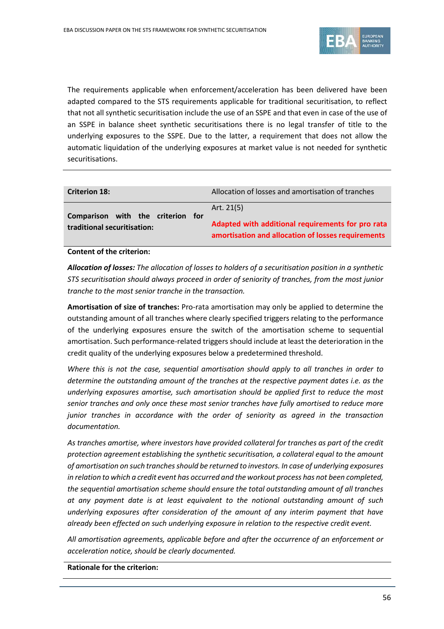

The requirements applicable when enforcement/acceleration has been delivered have been adapted compared to the STS requirements applicable for traditional securitisation, to reflect that not all synthetic securitisation include the use of an SSPE and that even in case of the use of an SSPE in balance sheet synthetic securitisations there is no legal transfer of title to the underlying exposures to the SSPE. Due to the latter, a requirement that does not allow the automatic liquidation of the underlying exposures at market value is not needed for synthetic securitisations.

| <b>Criterion 18:</b>                        | Allocation of losses and amortisation of tranches                                                       |
|---------------------------------------------|---------------------------------------------------------------------------------------------------------|
| Comparison with the criterion<br><b>for</b> | Art. $21(5)$                                                                                            |
| traditional securitisation:                 | Adapted with additional requirements for pro rata<br>amortisation and allocation of losses requirements |

**Content of the criterion:**

*Allocation of losses: The allocation of losses to holders of a securitisation position in a synthetic STS securitisation should always proceed in order of seniority of tranches, from the most junior tranche to the most senior tranche in the transaction.*

**Amortisation of size of tranches:** Pro-rata amortisation may only be applied to determine the outstanding amount of all tranches where clearly specified triggers relating to the performance of the underlying exposures ensure the switch of the amortisation scheme to sequential amortisation. Such performance-related triggers should include at least the deterioration in the credit quality of the underlying exposures below a predetermined threshold.

*Where this is not the case, sequential amortisation should apply to all tranches in order to determine the outstanding amount of the tranches at the respective payment dates i.e. as the underlying exposures amortise, such amortisation should be applied first to reduce the most senior tranches and only once these most senior tranches have fully amortised to reduce more junior tranches in accordance with the order of seniority as agreed in the transaction documentation.* 

*As tranches amortise, where investors have provided collateral for tranches as part of the credit protection agreement establishing the synthetic securitisation, a collateral equal to the amount of amortisation on such tranches should be returned to investors. In case of underlying exposures in relation to which a credit event has occurred and the workout process has not been completed, the sequential amortisation scheme should ensure the total outstanding amount of all tranches at any payment date is at least equivalent to the notional outstanding amount of such underlying exposures after consideration of the amount of any interim payment that have already been effected on such underlying exposure in relation to the respective credit event.*

*All amortisation agreements, applicable before and after the occurrence of an enforcement or acceleration notice, should be clearly documented.*

**Rationale for the criterion:**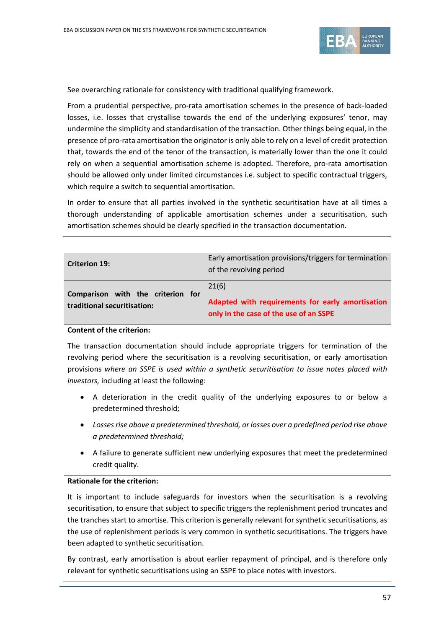

See overarching rationale for consistency with traditional qualifying framework.

From a prudential perspective, pro-rata amortisation schemes in the presence of back-loaded losses, i.e. losses that crystallise towards the end of the underlying exposures' tenor, may undermine the simplicity and standardisation of the transaction. Other things being equal, in the presence of pro-rata amortisation the originator is only able to rely on a level of credit protection that, towards the end of the tenor of the transaction, is materially lower than the one it could rely on when a sequential amortisation scheme is adopted. Therefore, pro-rata amortisation should be allowed only under limited circumstances i.e. subject to specific contractual triggers, which require a switch to sequential amortisation.

In order to ensure that all parties involved in the synthetic securitisation have at all times a thorough understanding of applicable amortisation schemes under a securitisation, such amortisation schemes should be clearly specified in the transaction documentation.

| <b>Criterion 19:</b>                                             | Early amortisation provisions/triggers for termination<br>of the revolving period                   |
|------------------------------------------------------------------|-----------------------------------------------------------------------------------------------------|
| Comparison with the criterion for<br>traditional securitisation: | 21(6)<br>Adapted with requirements for early amortisation<br>only in the case of the use of an SSPE |

#### **Content of the criterion:**

The transaction documentation should include appropriate triggers for termination of the revolving period where the securitisation is a revolving securitisation, or early amortisation provisions *where an SSPE is used within a synthetic securitisation to issue notes placed with investors,* including at least the following:

- A deterioration in the credit quality of the underlying exposures to or below a predetermined threshold;
- *Losses rise above a predetermined threshold, or losses over a predefined period rise above a predetermined threshold;*
- A failure to generate sufficient new underlying exposures that meet the predetermined credit quality.

### **Rationale for the criterion:**

It is important to include safeguards for investors when the securitisation is a revolving securitisation, to ensure that subject to specific triggers the replenishment period truncates and the tranches start to amortise. This criterion is generally relevant for synthetic securitisations, as the use of replenishment periods is very common in synthetic securitisations. The triggers have been adapted to synthetic securitisation.

By contrast, early amortisation is about earlier repayment of principal, and is therefore only relevant for synthetic securitisations using an SSPE to place notes with investors.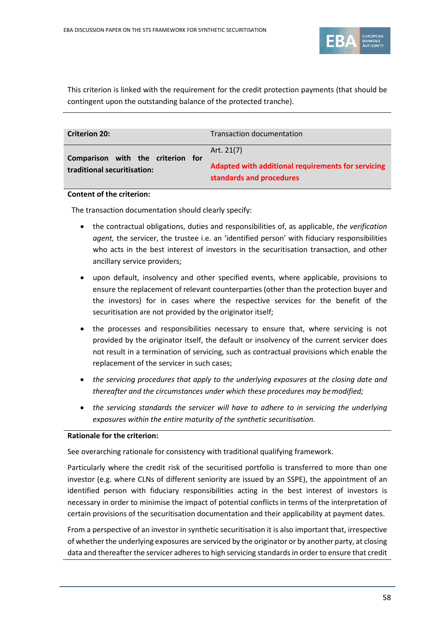

This criterion is linked with the requirement for the credit protection payments (that should be contingent upon the outstanding balance of the protected tranche).

| <b>Criterion 20:</b>                                             | <b>Transaction documentation</b>                                 |
|------------------------------------------------------------------|------------------------------------------------------------------|
| Comparison with the criterion for<br>traditional securitisation: | Art. 21(7)<br>Adapted with additional requirements for servicing |
|                                                                  | standards and procedures                                         |

### **Content of the criterion:**

The transaction documentation should clearly specify:

- the contractual obligations, duties and responsibilities of, as applicable, *the verification agent,* the servicer, the trustee i.e. an 'identified person' with fiduciary responsibilities who acts in the best interest of investors in the securitisation transaction, and other ancillary service providers;
- upon default, insolvency and other specified events, where applicable, provisions to ensure the replacement of relevant counterparties (other than the protection buyer and the investors) for in cases where the respective services for the benefit of the securitisation are not provided by the originator itself;
- the processes and responsibilities necessary to ensure that, where servicing is not provided by the originator itself, the default or insolvency of the current servicer does not result in a termination of servicing, such as contractual provisions which enable the replacement of the servicer in such cases;
- *the servicing procedures that apply to the underlying exposures at the closing date and thereafter and the circumstances under which these procedures may bemodified;*
- *the servicing standards the servicer will have to adhere to in servicing the underlying exposures within the entire maturity of the synthetic securitisation.*

### **Rationale for the criterion:**

See overarching rationale for consistency with traditional qualifying framework.

Particularly where the credit risk of the securitised portfolio is transferred to more than one investor (e.g. where CLNs of different seniority are issued by an SSPE), the appointment of an identified person with fiduciary responsibilities acting in the best interest of investors is necessary in order to minimise the impact of potential conflicts in terms of the interpretation of certain provisions of the securitisation documentation and their applicability at payment dates.

From a perspective of an investor in synthetic securitisation it is also important that, irrespective of whether the underlying exposures are serviced by the originator or by another party, at closing data and thereafter the servicer adheres to high servicing standards in order to ensure that credit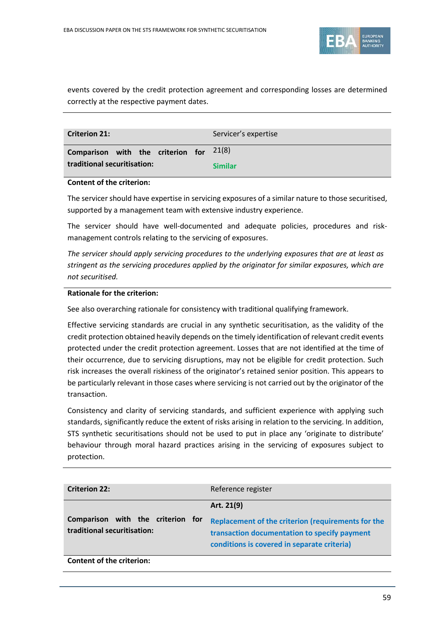

events covered by the credit protection agreement and corresponding losses are determined correctly at the respective payment dates.

| <b>Criterion 21:</b>                      | Servicer's expertise |
|-------------------------------------------|----------------------|
| Comparison with the criterion for $21(8)$ |                      |
| traditional securitisation:               | <b>Similar</b>       |

### **Content of the criterion:**

The servicer should have expertise in servicing exposures of a similar nature to those securitised, supported by a management team with extensive industry experience.

The servicer should have well-documented and adequate policies, procedures and riskmanagement controls relating to the servicing of exposures.

*The servicer should apply servicing procedures to the underlying exposures that are at least as stringent as the servicing procedures applied by the originator for similar exposures, which are not securitised.*

### **Rationale for the criterion:**

See also overarching rationale for consistency with traditional qualifying framework.

Effective servicing standards are crucial in any synthetic securitisation, as the validity of the credit protection obtained heavily depends on the timely identification of relevant credit events protected under the credit protection agreement. Losses that are not identified at the time of their occurrence, due to servicing disruptions, may not be eligible for credit protection. Such risk increases the overall riskiness of the originator's retained senior position. This appears to be particularly relevant in those cases where servicing is not carried out by the originator of the transaction.

Consistency and clarity of servicing standards, and sufficient experience with applying such standards, significantly reduce the extent of risks arising in relation to the servicing. In addition, STS synthetic securitisations should not be used to put in place any 'originate to distribute' behaviour through moral hazard practices arising in the servicing of exposures subject to protection.

| <b>Criterion 22:</b>                                             | Reference register                                                                                                                                |
|------------------------------------------------------------------|---------------------------------------------------------------------------------------------------------------------------------------------------|
|                                                                  | Art. 21(9)                                                                                                                                        |
| Comparison with the criterion for<br>traditional securitisation: | Replacement of the criterion (requirements for the<br>transaction documentation to specify payment<br>conditions is covered in separate criteria) |
| <b>Content of the criterion:</b>                                 |                                                                                                                                                   |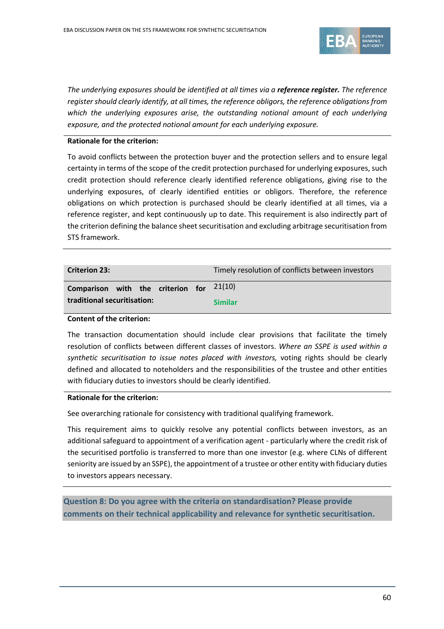

*The underlying exposures should be identified at all times via a reference register. The reference register should clearly identify, at all times, the reference obligors, the reference obligations from which the underlying exposures arise, the outstanding notional amount of each underlying exposure, and the protected notional amount for each underlying exposure.* 

### **Rationale for the criterion:**

To avoid conflicts between the protection buyer and the protection sellers and to ensure legal certainty in terms of the scope of the credit protection purchased for underlying exposures, such credit protection should reference clearly identified reference obligations, giving rise to the underlying exposures, of clearly identified entities or obligors. Therefore, the reference obligations on which protection is purchased should be clearly identified at all times, via a reference register, and kept continuously up to date. This requirement is also indirectly part of the criterion defining the balance sheet securitisation and excluding arbitrage securitisation from STS framework.

| <b>Criterion 23:</b>                       | Timely resolution of conflicts between investors |
|--------------------------------------------|--------------------------------------------------|
| Comparison with the criterion for $21(10)$ |                                                  |
| traditional securitisation:                | <b>Similar</b>                                   |

### **Content of the criterion:**

The transaction documentation should include clear provisions that facilitate the timely resolution of conflicts between different classes of investors. *Where an SSPE is used within a synthetic securitisation to issue notes placed with investors,* voting rights should be clearly defined and allocated to noteholders and the responsibilities of the trustee and other entities with fiduciary duties to investors should be clearly identified.

#### **Rationale for the criterion:**

See overarching rationale for consistency with traditional qualifying framework.

This requirement aims to quickly resolve any potential conflicts between investors, as an additional safeguard to appointment of a verification agent - particularly where the credit risk of the securitised portfolio is transferred to more than one investor (e.g. where CLNs of different seniority are issued by an SSPE), the appointment of a trustee or other entity with fiduciary duties to investors appears necessary.

**Question 8: Do you agree with the criteria on standardisation? Please provide comments on their technical applicability and relevance for synthetic securitisation.**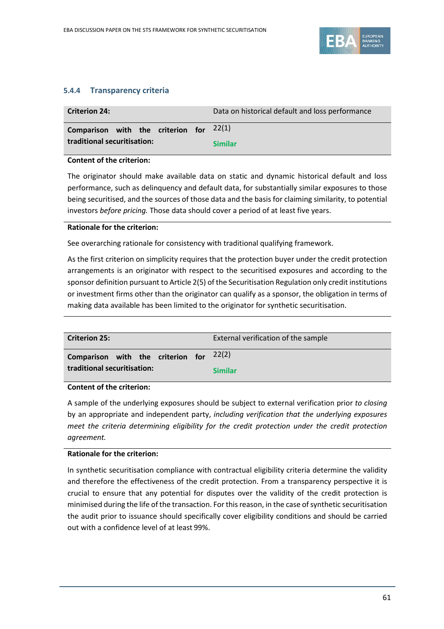

# **5.4.4 Transparency criteria**

| <b>Criterion 24:</b>                      | Data on historical default and loss performance |
|-------------------------------------------|-------------------------------------------------|
| Comparison with the criterion for $22(1)$ |                                                 |
| traditional securitisation:               | <b>Similar</b>                                  |

### **Content of the criterion:**

The originator should make available data on static and dynamic historical default and loss performance, such as delinquency and default data, for substantially similar exposures to those being securitised, and the sources of those data and the basis for claiming similarity, to potential investors *before pricing.* Those data should cover a period of at least five years.

### **Rationale for the criterion:**

See overarching rationale for consistency with traditional qualifying framework.

As the first criterion on simplicity requires that the protection buyer under the credit protection arrangements is an originator with respect to the securitised exposures and according to the sponsor definition pursuant to Article 2(5) of the Securitisation Regulation only credit institutions or investment firms other than the originator can qualify as a sponsor, the obligation in terms of making data available has been limited to the originator for synthetic securitisation.

| <b>Criterion 25:</b>                      | External verification of the sample |
|-------------------------------------------|-------------------------------------|
| Comparison with the criterion for $22(2)$ |                                     |
| traditional securitisation:               | <b>Similar</b>                      |

### **Content of the criterion:**

A sample of the underlying exposures should be subject to external verification prior *to closing*  by an appropriate and independent party, *including verification that the underlying exposures meet the criteria determining eligibility for the credit protection under the credit protection agreement.*

### **Rationale for the criterion:**

In synthetic securitisation compliance with contractual eligibility criteria determine the validity and therefore the effectiveness of the credit protection. From a transparency perspective it is crucial to ensure that any potential for disputes over the validity of the credit protection is minimised during the life of the transaction. For this reason, in the case of synthetic securitisation the audit prior to issuance should specifically cover eligibility conditions and should be carried out with a confidence level of at least 99%.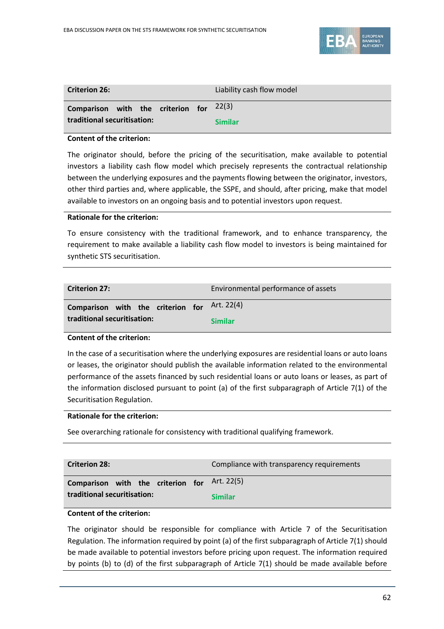

| <b>Criterion 26:</b>                      |  | Liability cash flow model |
|-------------------------------------------|--|---------------------------|
| Comparison with the criterion for $22(3)$ |  |                           |
| traditional securitisation:               |  | <b>Similar</b>            |

### **Content of the criterion:**

The originator should, before the pricing of the securitisation, make available to potential investors a liability cash flow model which precisely represents the contractual relationship between the underlying exposures and the payments flowing between the originator, investors, other third parties and, where applicable, the SSPE, and should, after pricing, make that model available to investors on an ongoing basis and to potential investors upon request.

### **Rationale for the criterion:**

To ensure consistency with the traditional framework, and to enhance transparency, the requirement to make available a liability cash flow model to investors is being maintained for synthetic STS securitisation.

| <b>Criterion 27:</b>                                             | Environmental performance of assets |
|------------------------------------------------------------------|-------------------------------------|
| Comparison with the criterion for<br>traditional securitisation: | Art. 22(4)<br><b>Similar</b>        |
|                                                                  |                                     |

### **Content of the criterion:**

In the case of a securitisation where the underlying exposures are residential loans or auto loans or leases, the originator should publish the available information related to the environmental performance of the assets financed by such residential loans or auto loans or leases, as part of the information disclosed pursuant to point (a) of the first subparagraph of Article 7(1) of the Securitisation Regulation.

### **Rationale for the criterion:**

See overarching rationale for consistency with traditional qualifying framework.

| <b>Criterion 28:</b>              | Compliance with transparency requirements |
|-----------------------------------|-------------------------------------------|
| Comparison with the criterion for | Art. 22(5)                                |
| traditional securitisation:       | <b>Similar</b>                            |

### **Content of the criterion:**

The originator should be responsible for compliance with Article 7 of the Securitisation Regulation. The information required by point (a) of the first subparagraph of Article 7(1) should be made available to potential investors before pricing upon request. The information required by points (b) to (d) of the first subparagraph of Article 7(1) should be made available before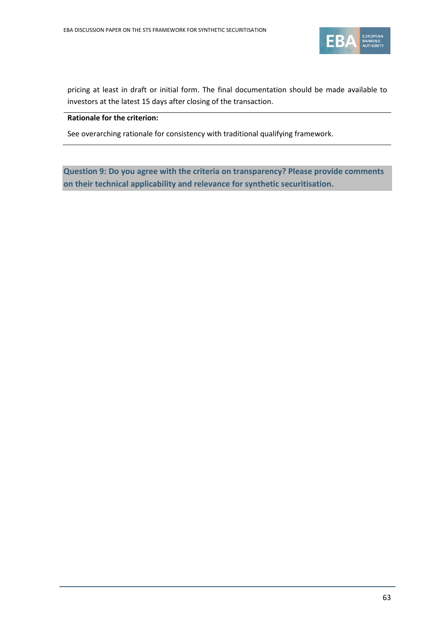

pricing at least in draft or initial form. The final documentation should be made available to investors at the latest 15 days after closing of the transaction.

### **Rationale for the criterion:**

See overarching rationale for consistency with traditional qualifying framework.

**Question 9: Do you agree with the criteria on transparency? Please provide comments on their technical applicability and relevance for synthetic securitisation.**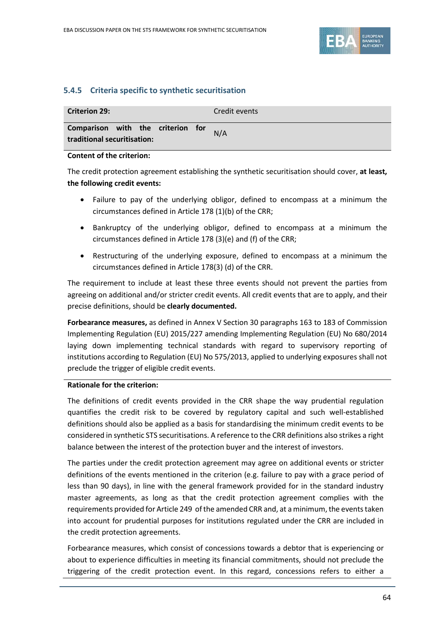

# **5.4.5 Criteria specific to synthetic securitisation**

| <b>Criterion 29:</b>                                             |  |  | Credit events |
|------------------------------------------------------------------|--|--|---------------|
| Comparison with the criterion for<br>traditional securitisation: |  |  | N/A           |

### **Content of the criterion:**

The credit protection agreement establishing the synthetic securitisation should cover, **at least, the following credit events:**

- Failure to pay of the underlying obligor, defined to encompass at a minimum the circumstances defined in Article 178 (1)(b) of the CRR;
- Bankruptcy of the underlying obligor, defined to encompass at a minimum the circumstances defined in Article 178 (3)(e) and (f) of the CRR;
- Restructuring of the underlying exposure, defined to encompass at a minimum the circumstances defined in Article 178(3) (d) of the CRR.

The requirement to include at least these three events should not prevent the parties from agreeing on additional and/or stricter credit events. All credit events that are to apply, and their precise definitions, should be **clearly documented.**

**Forbearance measures,** as defined in Annex V Section 30 paragraphs 163 to 183 of Commission Implementing Regulation (EU) 2015/227 amending Implementing Regulation (EU) No 680/2014 laying down implementing technical standards with regard to supervisory reporting of institutions according to Regulation (EU) No 575/2013, applied to underlying exposures shall not preclude the trigger of eligible credit events.

### **Rationale for the criterion:**

The definitions of credit events provided in the CRR shape the way prudential regulation quantifies the credit risk to be covered by regulatory capital and such well-established definitions should also be applied as a basis for standardising the minimum credit events to be considered in synthetic STS securitisations. A reference to the CRR definitions also strikes a right balance between the interest of the protection buyer and the interest of investors.

The parties under the credit protection agreement may agree on additional events or stricter definitions of the events mentioned in the criterion (e.g. failure to pay with a grace period of less than 90 days), in line with the general framework provided for in the standard industry master agreements, as long as that the credit protection agreement complies with the requirements provided for Article 249 of the amended CRR and, at a minimum, the events taken into account for prudential purposes for institutions regulated under the CRR are included in the credit protection agreements.

Forbearance measures, which consist of concessions towards a debtor that is experiencing or about to experience difficulties in meeting its financial commitments, should not preclude the triggering of the credit protection event. In this regard, concessions refers to either a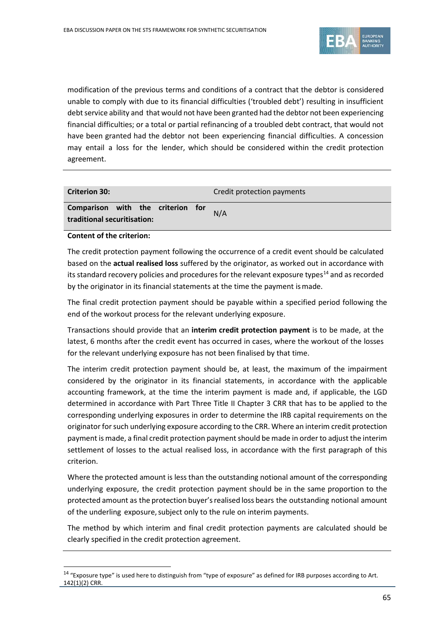

modification of the previous terms and conditions of a contract that the debtor is considered unable to comply with due to its financial difficulties ('troubled debt') resulting in insufficient debt service ability and that would not have been granted had the debtor not been experiencing financial difficulties; or a total or partial refinancing of a troubled debt contract, that would not have been granted had the debtor not been experiencing financial difficulties. A concession may entail a loss for the lender, which should be considered within the credit protection agreement.

| <b>Criterion 30:</b>                                             | Credit protection payments |
|------------------------------------------------------------------|----------------------------|
| Comparison with the criterion for<br>traditional securitisation: | N/A                        |

**Content of the criterion:**

 $\overline{a}$ 

The credit protection payment following the occurrence of a credit event should be calculated based on the **actual realised loss** suffered by the originator, as worked out in accordance with its standard recovery policies and procedures for the relevant exposure types<sup>14</sup> and as recorded by the originator in its financial statements at the time the payment ismade.

The final credit protection payment should be payable within a specified period following the end of the workout process for the relevant underlying exposure.

Transactions should provide that an **interim credit protection payment** is to be made, at the latest, 6 months after the credit event has occurred in cases, where the workout of the losses for the relevant underlying exposure has not been finalised by that time.

The interim credit protection payment should be, at least, the maximum of the impairment considered by the originator in its financial statements, in accordance with the applicable accounting framework, at the time the interim payment is made and, if applicable, the LGD determined in accordance with Part Three Title II Chapter 3 CRR that has to be applied to the corresponding underlying exposures in order to determine the IRB capital requirements on the originator for such underlying exposure according to the CRR. Where an interim credit protection payment is made, a final credit protection payment should be made in order to adjust the interim settlement of losses to the actual realised loss, in accordance with the first paragraph of this criterion.

Where the protected amount is less than the outstanding notional amount of the corresponding underlying exposure, the credit protection payment should be in the same proportion to the protected amount as the protection buyer's realised loss bears the outstanding notional amount of the underling exposure, subject only to the rule on interim payments.

The method by which interim and final credit protection payments are calculated should be clearly specified in the credit protection agreement.

<span id="page-64-0"></span><sup>&</sup>lt;sup>14</sup> "Exposure type" is used here to distinguish from "type of exposure" as defined for IRB purposes according to Art. 142(1)(2) CRR.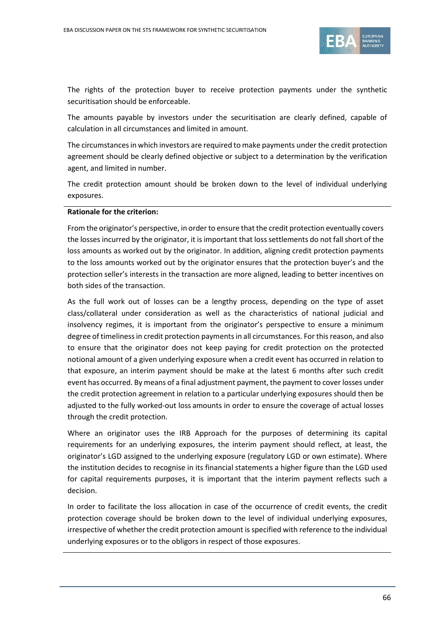

The rights of the protection buyer to receive protection payments under the synthetic securitisation should be enforceable.

The amounts payable by investors under the securitisation are clearly defined, capable of calculation in all circumstances and limited in amount.

The circumstances in which investors are required to make payments under the credit protection agreement should be clearly defined objective or subject to a determination by the verification agent, and limited in number.

The credit protection amount should be broken down to the level of individual underlying exposures.

#### **Rationale for the criterion:**

From the originator's perspective, in order to ensure that the credit protection eventually covers the losses incurred by the originator, it is important that loss settlements do not fall short of the loss amounts as worked out by the originator. In addition, aligning credit protection payments to the loss amounts worked out by the originator ensures that the protection buyer's and the protection seller's interests in the transaction are more aligned, leading to better incentives on both sides of the transaction.

As the full work out of losses can be a lengthy process, depending on the type of asset class/collateral under consideration as well as the characteristics of national judicial and insolvency regimes, it is important from the originator's perspective to ensure a minimum degree of timeliness in credit protection payments in all circumstances. For this reason, and also to ensure that the originator does not keep paying for credit protection on the protected notional amount of a given underlying exposure when a credit event has occurred in relation to that exposure, an interim payment should be make at the latest 6 months after such credit event has occurred. By means of a final adjustment payment, the payment to cover losses under the credit protection agreement in relation to a particular underlying exposures should then be adjusted to the fully worked-out loss amounts in order to ensure the coverage of actual losses through the credit protection.

Where an originator uses the IRB Approach for the purposes of determining its capital requirements for an underlying exposures, the interim payment should reflect, at least, the originator's LGD assigned to the underlying exposure (regulatory LGD or own estimate). Where the institution decides to recognise in its financial statements a higher figure than the LGD used for capital requirements purposes, it is important that the interim payment reflects such a decision.

In order to facilitate the loss allocation in case of the occurrence of credit events, the credit protection coverage should be broken down to the level of individual underlying exposures, irrespective of whether the credit protection amount is specified with reference to the individual underlying exposures or to the obligors in respect of those exposures.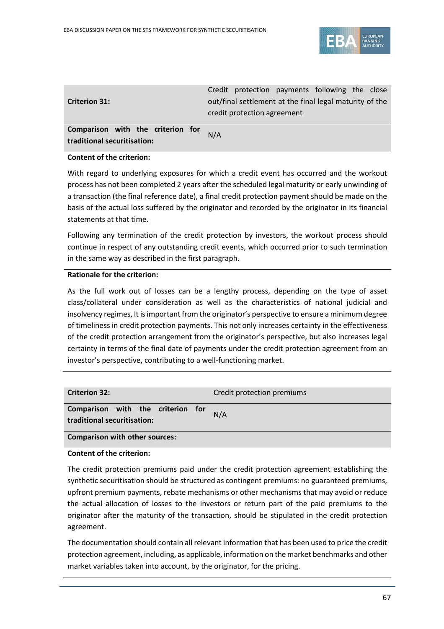

|                                   | Credit protection payments following the close          |
|-----------------------------------|---------------------------------------------------------|
| <b>Criterion 31:</b>              | out/final settlement at the final legal maturity of the |
|                                   | credit protection agreement                             |
|                                   |                                                         |
| Comparison with the criterion for | N/A                                                     |
| traditional securitisation:       |                                                         |

### **Content of the criterion:**

With regard to underlying exposures for which a credit event has occurred and the workout process has not been completed 2 years after the scheduled legal maturity or early unwinding of a transaction (the final reference date), a final credit protection payment should be made on the basis of the actual loss suffered by the originator and recorded by the originator in its financial statements at that time.

Following any termination of the credit protection by investors, the workout process should continue in respect of any outstanding credit events, which occurred prior to such termination in the same way as described in the first paragraph.

### **Rationale for the criterion:**

As the full work out of losses can be a lengthy process, depending on the type of asset class/collateral under consideration as well as the characteristics of national judicial and insolvency regimes, It is important from the originator's perspective to ensure a minimum degree of timeliness in credit protection payments. This not only increases certainty in the effectiveness of the credit protection arrangement from the originator's perspective, but also increases legal certainty in terms of the final date of payments under the credit protection agreement from an investor's perspective, contributing to a well-functioning market.

| <b>Criterion 32:</b>                                             | Credit protection premiums |  |
|------------------------------------------------------------------|----------------------------|--|
| Comparison with the criterion for<br>traditional securitisation: | N/A                        |  |
| <b>Comparison with other sources:</b>                            |                            |  |

## **Content of the criterion:**

The credit protection premiums paid under the credit protection agreement establishing the synthetic securitisation should be structured as contingent premiums: no guaranteed premiums, upfront premium payments, rebate mechanisms or other mechanisms that may avoid or reduce the actual allocation of losses to the investors or return part of the paid premiums to the originator after the maturity of the transaction, should be stipulated in the credit protection agreement.

The documentation should contain all relevant information that has been used to price the credit protection agreement, including, as applicable, information on the market benchmarks and other market variables taken into account, by the originator, for the pricing.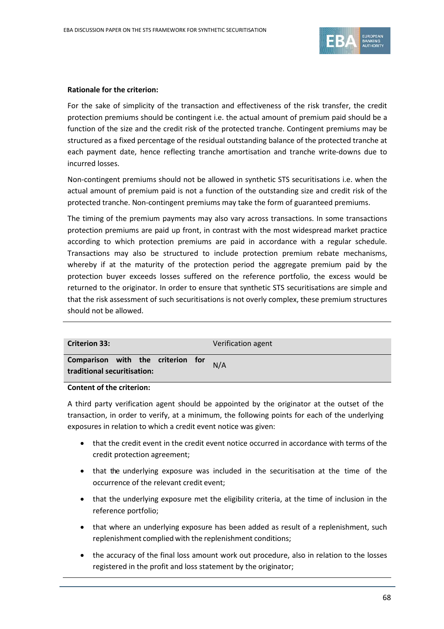

#### **Rationale for the criterion:**

For the sake of simplicity of the transaction and effectiveness of the risk transfer, the credit protection premiums should be contingent i.e. the actual amount of premium paid should be a function of the size and the credit risk of the protected tranche. Contingent premiums may be structured as a fixed percentage of the residual outstanding balance of the protected tranche at each payment date, hence reflecting tranche amortisation and tranche write-downs due to incurred losses.

Non-contingent premiums should not be allowed in synthetic STS securitisations i.e. when the actual amount of premium paid is not a function of the outstanding size and credit risk of the protected tranche. Non-contingent premiums may take the form of guaranteed premiums.

The timing of the premium payments may also vary across transactions. In some transactions protection premiums are paid up front, in contrast with the most widespread market practice according to which protection premiums are paid in accordance with a regular schedule. Transactions may also be structured to include protection premium rebate mechanisms, whereby if at the maturity of the protection period the aggregate premium paid by the protection buyer exceeds losses suffered on the reference portfolio, the excess would be returned to the originator. In order to ensure that synthetic STS securitisations are simple and that the risk assessment of such securitisations is not overly complex, these premium structures should not be allowed.

| <b>Criterion 33:</b>                                             |  |  | Verification agent |
|------------------------------------------------------------------|--|--|--------------------|
| Comparison with the criterion for<br>traditional securitisation: |  |  | N/A                |

#### **Content of the criterion:**

A third party verification agent should be appointed by the originator at the outset of the transaction, in order to verify, at a minimum, the following points for each of the underlying exposures in relation to which a credit event notice was given:

- that the credit event in the credit event notice occurred in accordance with terms of the credit protection agreement;
- that the underlying exposure was included in the securitisation at the time of the occurrence of the relevant credit event;
- that the underlying exposure met the eligibility criteria, at the time of inclusion in the reference portfolio;
- that where an underlying exposure has been added as result of a replenishment, such replenishment complied with the replenishment conditions;
- the accuracy of the final loss amount work out procedure, also in relation to the losses registered in the profit and loss statement by the originator;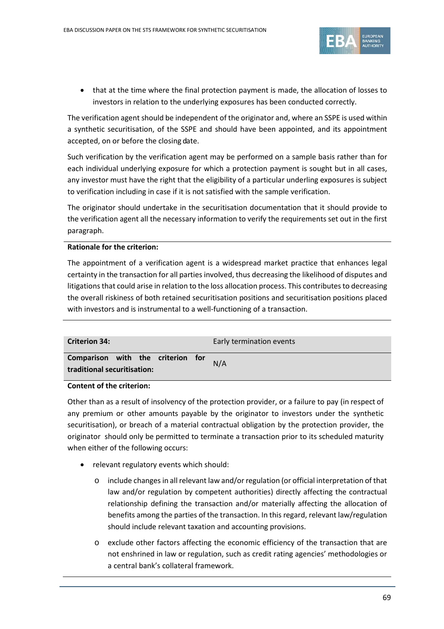

• that at the time where the final protection payment is made, the allocation of losses to investors in relation to the underlying exposures has been conducted correctly.

The verification agent should be independent of the originator and, where an SSPE is used within a synthetic securitisation, of the SSPE and should have been appointed, and its appointment accepted, on or before the closing date.

Such verification by the verification agent may be performed on a sample basis rather than for each individual underlying exposure for which a protection payment is sought but in all cases, any investor must have the right that the eligibility of a particular underling exposures is subject to verification including in case if it is not satisfied with the sample verification.

The originator should undertake in the securitisation documentation that it should provide to the verification agent all the necessary information to verify the requirements set out in the first paragraph.

### **Rationale for the criterion:**

The appointment of a verification agent is a widespread market practice that enhances legal certainty in the transaction for all parties involved, thus decreasing the likelihood of disputes and litigations that could arise in relation to the loss allocation process. This contributes to decreasing the overall riskiness of both retained securitisation positions and securitisation positions placed with investors and is instrumental to a well-functioning of a transaction.

| <b>Criterion 34:</b>                                             | Early termination events |
|------------------------------------------------------------------|--------------------------|
| Comparison with the criterion for<br>traditional securitisation: | N/A                      |

### **Content of the criterion:**

Other than as a result of insolvency of the protection provider, or a failure to pay (in respect of any premium or other amounts payable by the originator to investors under the synthetic securitisation), or breach of a material contractual obligation by the protection provider, the originator should only be permitted to terminate a transaction prior to its scheduled maturity when either of the following occurs:

- relevant regulatory events which should:
	- o include changes in all relevant law and/or regulation (or official interpretation of that law and/or regulation by competent authorities) directly affecting the contractual relationship defining the transaction and/or materially affecting the allocation of benefits among the parties of the transaction. In this regard, relevant law/regulation should include relevant taxation and accounting provisions.
	- o exclude other factors affecting the economic efficiency of the transaction that are not enshrined in law or regulation, such as credit rating agencies' methodologies or a central bank's collateral framework.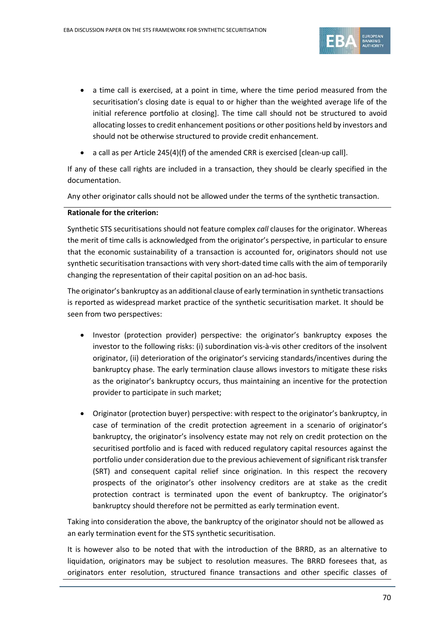

- a time call is exercised, at a point in time, where the time period measured from the securitisation's closing date is equal to or higher than the weighted average life of the initial reference portfolio at closing]. The time call should not be structured to avoid allocating losses to credit enhancement positions or other positions held by investors and should not be otherwise structured to provide credit enhancement.
- a call as per Article 245(4)(f) of the amended CRR is exercised [clean-up call].

If any of these call rights are included in a transaction, they should be clearly specified in the documentation.

Any other originator calls should not be allowed under the terms of the synthetic transaction.

### **Rationale for the criterion:**

Synthetic STS securitisations should not feature complex *call* clauses for the originator. Whereas the merit of time calls is acknowledged from the originator's perspective, in particular to ensure that the economic sustainability of a transaction is accounted for, originators should not use synthetic securitisation transactions with very short-dated time calls with the aim of temporarily changing the representation of their capital position on an ad-hoc basis.

The originator's bankruptcy as an additional clause of early termination in synthetic transactions is reported as widespread market practice of the synthetic securitisation market. It should be seen from two perspectives:

- Investor (protection provider) perspective: the originator's bankruptcy exposes the investor to the following risks: (i) subordination vis-à-vis other creditors of the insolvent originator, (ii) deterioration of the originator's servicing standards/incentives during the bankruptcy phase. The early termination clause allows investors to mitigate these risks as the originator's bankruptcy occurs, thus maintaining an incentive for the protection provider to participate in such market;
- Originator (protection buyer) perspective: with respect to the originator's bankruptcy, in case of termination of the credit protection agreement in a scenario of originator's bankruptcy, the originator's insolvency estate may not rely on credit protection on the securitised portfolio and is faced with reduced regulatory capital resources against the portfolio under consideration due to the previous achievement of significant risk transfer (SRT) and consequent capital relief since origination. In this respect the recovery prospects of the originator's other insolvency creditors are at stake as the credit protection contract is terminated upon the event of bankruptcy. The originator's bankruptcy should therefore not be permitted as early termination event.

Taking into consideration the above, the bankruptcy of the originator should not be allowed as an early termination event for the STS synthetic securitisation.

It is however also to be noted that with the introduction of the BRRD, as an alternative to liquidation, originators may be subject to resolution measures. The BRRD foresees that, as originators enter resolution, structured finance transactions and other specific classes of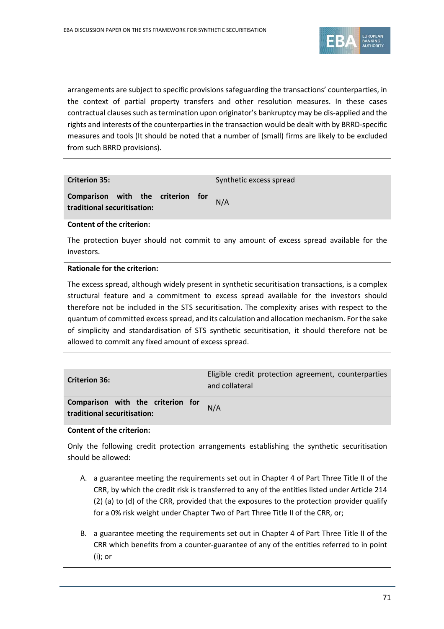

arrangements are subject to specific provisions safeguarding the transactions' counterparties, in the context of partial property transfers and other resolution measures. In these cases contractual clauses such as termination upon originator's bankruptcy may be dis-applied and the rights and interests of the counterparties in the transaction would be dealt with by BRRD-specific measures and tools (It should be noted that a number of (small) firms are likely to be excluded from such BRRD provisions).

| <b>Criterion 35:</b>                                         |  |     | Synthetic excess spread |
|--------------------------------------------------------------|--|-----|-------------------------|
| Comparison with the criterion<br>traditional securitisation: |  | for | N/A                     |

### **Content of the criterion:**

The protection buyer should not commit to any amount of excess spread available for the investors.

### **Rationale for the criterion:**

The excess spread, although widely present in synthetic securitisation transactions, is a complex structural feature and a commitment to excess spread available for the investors should therefore not be included in the STS securitisation. The complexity arises with respect to the quantum of committed excess spread, and its calculation and allocation mechanism. For the sake of simplicity and standardisation of STS synthetic securitisation, it should therefore not be allowed to commit any fixed amount of excess spread.

| <b>Criterion 36:</b>                                             | Eligible credit protection agreement, counterparties<br>and collateral |
|------------------------------------------------------------------|------------------------------------------------------------------------|
| Comparison with the criterion for<br>traditional securitisation: | N/A                                                                    |

# **Content of the criterion:**

Only the following credit protection arrangements establishing the synthetic securitisation should be allowed:

- A. a guarantee meeting the requirements set out in Chapter 4 of Part Three Title II of the CRR, by which the credit risk is transferred to any of the entities listed under Article 214 (2) (a) to (d) of the CRR, provided that the exposures to the protection provider qualify for a 0% risk weight under Chapter Two of Part Three Title II of the CRR, or;
- B. a guarantee meeting the requirements set out in Chapter 4 of Part Three Title II of the CRR which benefits from a counter-guarantee of any of the entities referred to in point (i); or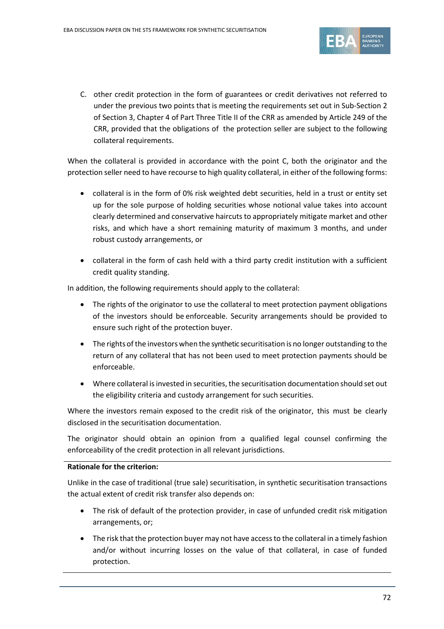

C. other credit protection in the form of guarantees or credit derivatives not referred to under the previous two points that is meeting the requirements set out in Sub-Section 2 of Section 3, Chapter 4 of Part Three Title II of the CRR as amended by Article 249 of the CRR, provided that the obligations of the protection seller are subject to the following collateral requirements.

When the collateral is provided in accordance with the point C, both the originator and the protection seller need to have recourse to high quality collateral, in either of the following forms:

- collateral is in the form of 0% risk weighted debt securities, held in a trust or entity set up for the sole purpose of holding securities whose notional value takes into account clearly determined and conservative haircuts to appropriately mitigate market and other risks, and which have a short remaining maturity of maximum 3 months, and under robust custody arrangements, or
- collateral in the form of cash held with a third party credit institution with a sufficient credit quality standing.

In addition, the following requirements should apply to the collateral:

- The rights of the originator to use the collateral to meet protection payment obligations of the investors should be enforceable. Security arrangements should be provided to ensure such right of the protection buyer.
- The rights of the investors when the synthetic securitisation is no longer outstanding to the return of any collateral that has not been used to meet protection payments should be enforceable.
- Where collateral is invested in securities, the securitisation documentation should set out the eligibility criteria and custody arrangement for such securities.

Where the investors remain exposed to the credit risk of the originator, this must be clearly disclosed in the securitisation documentation.

The originator should obtain an opinion from a qualified legal counsel confirming the enforceability of the credit protection in all relevant jurisdictions.

### **Rationale for the criterion:**

Unlike in the case of traditional (true sale) securitisation, in synthetic securitisation transactions the actual extent of credit risk transfer also depends on:

- The risk of default of the protection provider, in case of unfunded credit risk mitigation arrangements, or;
- The risk that the protection buyer may not have access to the collateral in a timely fashion and/or without incurring losses on the value of that collateral, in case of funded protection.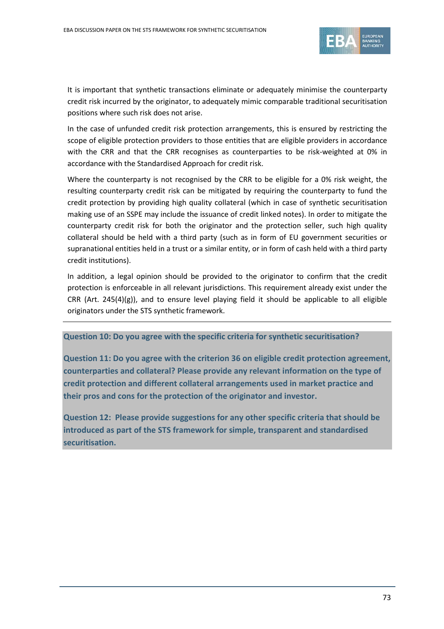

It is important that synthetic transactions eliminate or adequately minimise the counterparty credit risk incurred by the originator, to adequately mimic comparable traditional securitisation positions where such risk does not arise.

In the case of unfunded credit risk protection arrangements, this is ensured by restricting the scope of eligible protection providers to those entities that are eligible providers in accordance with the CRR and that the CRR recognises as counterparties to be risk-weighted at 0% in accordance with the Standardised Approach for credit risk.

Where the counterparty is not recognised by the CRR to be eligible for a 0% risk weight, the resulting counterparty credit risk can be mitigated by requiring the counterparty to fund the credit protection by providing high quality collateral (which in case of synthetic securitisation making use of an SSPE may include the issuance of credit linked notes). In order to mitigate the counterparty credit risk for both the originator and the protection seller, such high quality collateral should be held with a third party (such as in form of EU government securities or supranational entities held in a trust or a similar entity, or in form of cash held with a third party credit institutions).

In addition, a legal opinion should be provided to the originator to confirm that the credit protection is enforceable in all relevant jurisdictions. This requirement already exist under the CRR (Art.  $245(4)(g)$ ), and to ensure level playing field it should be applicable to all eligible originators under the STS synthetic framework.

#### **Question 10: Do you agree with the specific criteria for synthetic securitisation?**

**Question 11: Do you agree with the criterion 36 on eligible credit protection agreement, counterparties and collateral? Please provide any relevant information on the type of credit protection and different collateral arrangements used in market practice and their pros and cons for the protection of the originator and investor.** 

**Question 12: Please provide suggestions for any other specific criteria that should be introduced as part of the STS framework for simple, transparent and standardised securitisation.**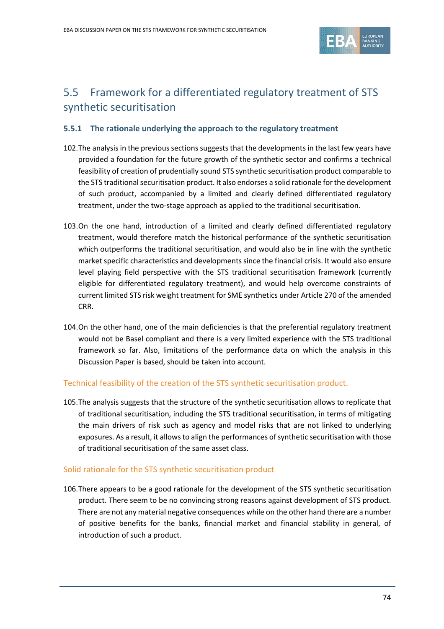

# 5.5 Framework for a differentiated regulatory treatment of STS synthetic securitisation

### **5.5.1 The rationale underlying the approach to the regulatory treatment**

- 102.The analysis in the previous sections suggests that the developments in the last few years have provided a foundation for the future growth of the synthetic sector and confirms a technical feasibility of creation of prudentially sound STS synthetic securitisation product comparable to the STS traditional securitisation product. It also endorses a solid rationale for the development of such product, accompanied by a limited and clearly defined differentiated regulatory treatment, under the two-stage approach as applied to the traditional securitisation.
- 103.On the one hand, introduction of a limited and clearly defined differentiated regulatory treatment, would therefore match the historical performance of the synthetic securitisation which outperforms the traditional securitisation, and would also be in line with the synthetic market specific characteristics and developmentssince the financial crisis. It would also ensure level playing field perspective with the STS traditional securitisation framework (currently eligible for differentiated regulatory treatment), and would help overcome constraints of current limited STS risk weight treatment for SME synthetics under Article 270 of the amended CRR.
- 104.On the other hand, one of the main deficiencies is that the preferential regulatory treatment would not be Basel compliant and there is a very limited experience with the STS traditional framework so far. Also, limitations of the performance data on which the analysis in this Discussion Paper is based, should be taken into account.

#### Technical feasibility of the creation of the STS synthetic securitisation product.

105.The analysis suggests that the structure of the synthetic securitisation allows to replicate that of traditional securitisation, including the STS traditional securitisation, in terms of mitigating the main drivers of risk such as agency and model risks that are not linked to underlying exposures. As a result, it allows to align the performances of synthetic securitisation with those of traditional securitisation of the same asset class.

#### Solid rationale for the STS synthetic securitisation product

106.There appears to be a good rationale for the development of the STS synthetic securitisation product. There seem to be no convincing strong reasons against development of STS product. There are not any material negative consequences while on the other hand there are a number of positive benefits for the banks, financial market and financial stability in general, of introduction of such a product.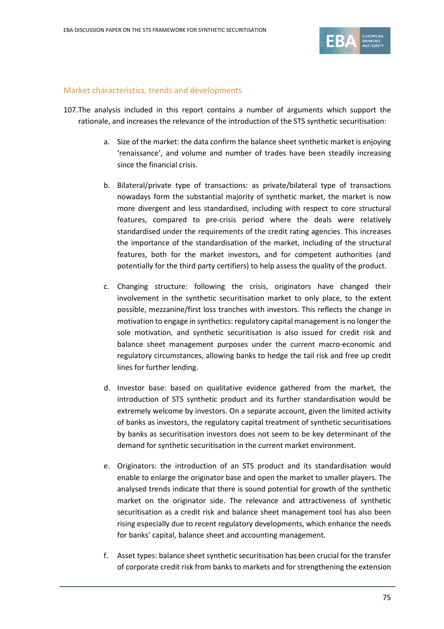

#### Market characteristics, trends and developments

- 107.The analysis included in this report contains a number of arguments which support the rationale, and increases the relevance of the introduction of the STS synthetic securitisation:
	- a. Size of the market: the data confirm the balance sheet synthetic market is enjoying 'renaissance', and volume and number of trades have been steadily increasing since the financial crisis.
	- b. Bilateral/private type of transactions: as private/bilateral type of transactions nowadays form the substantial majority of synthetic market, the market is now more divergent and less standardised, including with respect to core structural features, compared to pre-crisis period where the deals were relatively standardised under the requirements of the credit rating agencies. This increases the importance of the standardisation of the market, including of the structural features, both for the market investors, and for competent authorities (and potentially for the third party certifiers) to help assess the quality of the product.
	- c. Changing structure: following the crisis, originators have changed their involvement in the synthetic securitisation market to only place, to the extent possible, mezzanine/first loss tranches with investors. This reflects the change in motivation to engage in synthetics: regulatory capital management is no longer the sole motivation, and synthetic securitisation is also issued for credit risk and balance sheet management purposes under the current macro-economic and regulatory circumstances, allowing banks to hedge the tail risk and free up credit lines for further lending.
	- d. Investor base: based on qualitative evidence gathered from the market, the introduction of STS synthetic product and its further standardisation would be extremely welcome by investors. On a separate account, given the limited activity of banks as investors, the regulatory capital treatment of synthetic securitisations by banks as securitisation investors does not seem to be key determinant of the demand for synthetic securitisation in the current market environment.
	- e. Originators: the introduction of an STS product and its standardisation would enable to enlarge the originator base and open the market to smaller players. The analysed trends indicate that there is sound potential for growth of the synthetic market on the originator side. The relevance and attractiveness of synthetic securitisation as a credit risk and balance sheet management tool has also been rising especially due to recent regulatory developments, which enhance the needs for banks' capital, balance sheet and accounting management.
	- f. Asset types: balance sheet synthetic securitisation has been crucial for the transfer of corporate credit risk from banks to markets and for strengthening the extension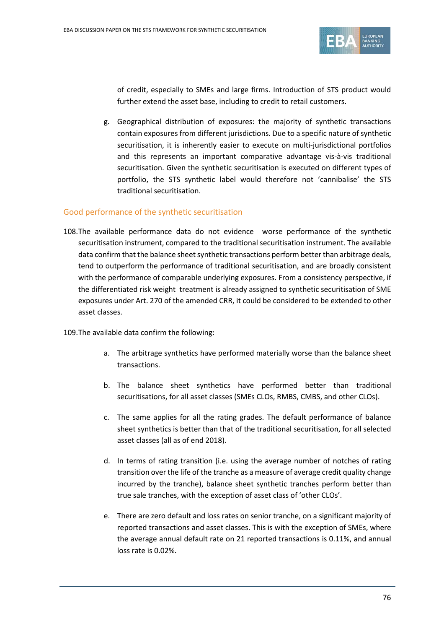

of credit, especially to SMEs and large firms. Introduction of STS product would further extend the asset base, including to credit to retail customers.

g. Geographical distribution of exposures: the majority of synthetic transactions contain exposures from different jurisdictions. Due to a specific nature of synthetic securitisation, it is inherently easier to execute on multi-jurisdictional portfolios and this represents an important comparative advantage vis-à-vis traditional securitisation. Given the synthetic securitisation is executed on different types of portfolio, the STS synthetic label would therefore not 'cannibalise' the STS traditional securitisation.

#### Good performance of the synthetic securitisation

108.The available performance data do not evidence worse performance of the synthetic securitisation instrument, compared to the traditional securitisation instrument. The available data confirm that the balance sheet synthetic transactions perform better than arbitrage deals, tend to outperform the performance of traditional securitisation, and are broadly consistent with the performance of comparable underlying exposures. From a consistency perspective, if the differentiated risk weight treatment is already assigned to synthetic securitisation of SME exposures under Art. 270 of the amended CRR, it could be considered to be extended to other asset classes.

109.The available data confirm the following:

- a. The arbitrage synthetics have performed materially worse than the balance sheet transactions.
- b. The balance sheet synthetics have performed better than traditional securitisations, for all asset classes (SMEs CLOs, RMBS, CMBS, and other CLOs).
- c. The same applies for all the rating grades. The default performance of balance sheet synthetics is better than that of the traditional securitisation, for all selected asset classes (all as of end 2018).
- d. In terms of rating transition (i.e. using the average number of notches of rating transition over the life of the tranche as a measure of average credit quality change incurred by the tranche), balance sheet synthetic tranches perform better than true sale tranches, with the exception of asset class of 'other CLOs'.
- e. There are zero default and loss rates on senior tranche, on a significant majority of reported transactions and asset classes. This is with the exception of SMEs, where the average annual default rate on 21 reported transactions is 0.11%, and annual loss rate is 0.02%.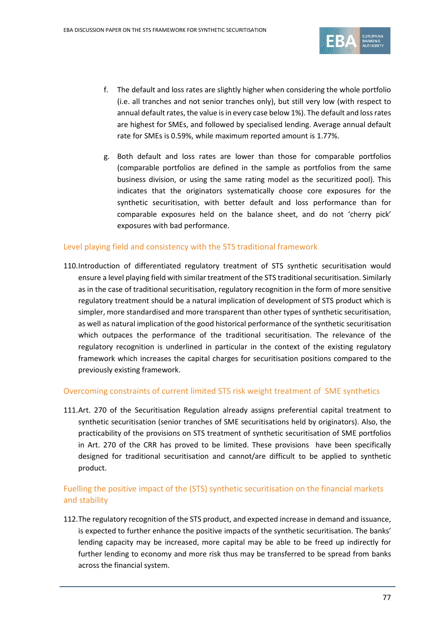

- f. The default and loss rates are slightly higher when considering the whole portfolio (i.e. all tranches and not senior tranches only), but still very low (with respect to annual default rates, the value is in every case below 1%). The default and loss rates are highest for SMEs, and followed by specialised lending. Average annual default rate for SMEs is 0.59%, while maximum reported amount is 1.77%.
- g. Both default and loss rates are lower than those for comparable portfolios (comparable portfolios are defined in the sample as portfolios from the same business division, or using the same rating model as the securitized pool). This indicates that the originators systematically choose core exposures for the synthetic securitisation, with better default and loss performance than for comparable exposures held on the balance sheet, and do not 'cherry pick' exposures with bad performance.

#### Level playing field and consistency with the STS traditional framework

110.Introduction of differentiated regulatory treatment of STS synthetic securitisation would ensure a level playing field with similar treatment of the STS traditional securitisation. Similarly as in the case of traditional securitisation, regulatory recognition in the form of more sensitive regulatory treatment should be a natural implication of development of STS product which is simpler, more standardised and more transparent than other types of synthetic securitisation, as well as natural implication of the good historical performance of the synthetic securitisation which outpaces the performance of the traditional securitisation. The relevance of the regulatory recognition is underlined in particular in the context of the existing regulatory framework which increases the capital charges for securitisation positions compared to the previously existing framework.

#### Overcoming constraints of current limited STS risk weight treatment of SME synthetics

111.Art. 270 of the Securitisation Regulation already assigns preferential capital treatment to synthetic securitisation (senior tranches of SME securitisations held by originators). Also, the practicability of the provisions on STS treatment of synthetic securitisation of SME portfolios in Art. 270 of the CRR has proved to be limited. These provisions have been specifically designed for traditional securitisation and cannot/are difficult to be applied to synthetic product.

# Fuelling the positive impact of the (STS) synthetic securitisation on the financial markets and stability

112.The regulatory recognition of the STS product, and expected increase in demand and issuance, is expected to further enhance the positive impacts of the synthetic securitisation. The banks' lending capacity may be increased, more capital may be able to be freed up indirectly for further lending to economy and more risk thus may be transferred to be spread from banks across the financial system.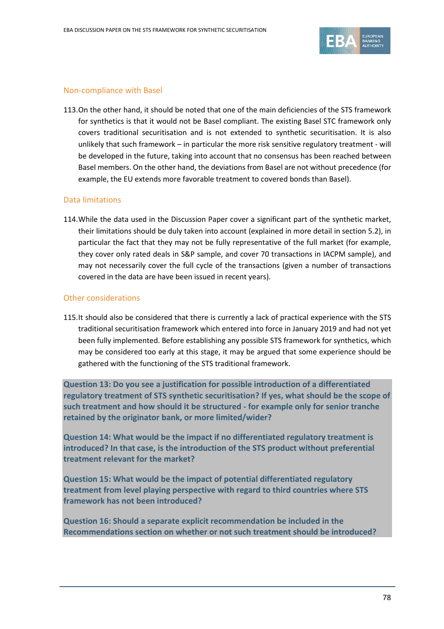

#### Non-compliance with Basel

113.On the other hand, it should be noted that one of the main deficiencies of the STS framework for synthetics is that it would not be Basel compliant. The existing Basel STC framework only covers traditional securitisation and is not extended to synthetic securitisation. It is also unlikely that such framework – in particular the more risk sensitive regulatory treatment - will be developed in the future, taking into account that no consensus has been reached between Basel members. On the other hand, the deviations from Basel are not without precedence (for example, the EU extends more favorable treatment to covered bonds than Basel).

#### Data limitations

114.While the data used in the Discussion Paper cover a significant part of the synthetic market, their limitations should be duly taken into account (explained in more detail in section 5.2), in particular the fact that they may not be fully representative of the full market (for example, they cover only rated deals in S&P sample, and cover 70 transactions in IACPM sample), and may not necessarily cover the full cycle of the transactions (given a number of transactions covered in the data are have been issued in recent years).

#### Other considerations

115.It should also be considered that there is currently a lack of practical experience with the STS traditional securitisation framework which entered into force in January 2019 and had not yet been fully implemented. Before establishing any possible STS framework for synthetics, which may be considered too early at this stage, it may be argued that some experience should be gathered with the functioning of the STS traditional framework.

**Question 13: Do you see a justification for possible introduction of a differentiated regulatory treatment of STS synthetic securitisation? If yes, what should be the scope of such treatment and how should it be structured - for example only for senior tranche retained by the originator bank, or more limited/wider?** 

**Question 14: What would be the impact if no differentiated regulatory treatment is introduced? In that case, is the introduction of the STS product without preferential treatment relevant for the market?**

**Question 15: What would be the impact of potential differentiated regulatory treatment from level playing perspective with regard to third countries where STS framework has not been introduced?**

**Question 16: Should a separate explicit recommendation be included in the Recommendations section on whether or not such treatment should be introduced?**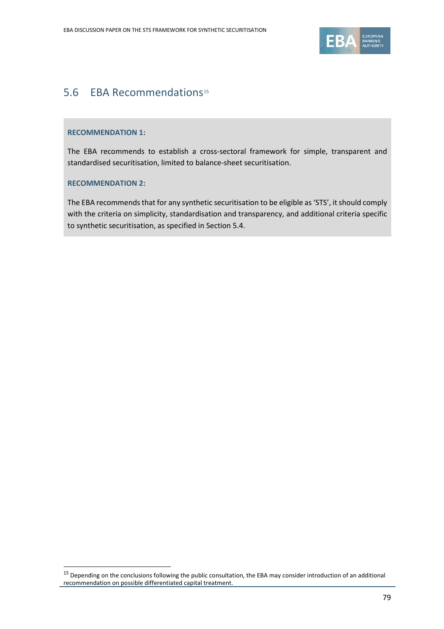

# 5.6 EBA Recommendations<sup>[15](#page-78-0)</sup>

#### **RECOMMENDATION 1:**

The EBA recommends to establish a cross-sectoral framework for simple, transparent and standardised securitisation, limited to balance-sheet securitisation.

#### **RECOMMENDATION 2:**

 $\overline{a}$ 

The EBA recommends that for any synthetic securitisation to be eligible as 'STS', it should comply with the criteria on simplicity, standardisation and transparency, and additional criteria specific to synthetic securitisation, as specified in Section 5.4.

<span id="page-78-0"></span> $15$  Depending on the conclusions following the public consultation, the EBA may consider introduction of an additional recommendation on possible differentiated capital treatment.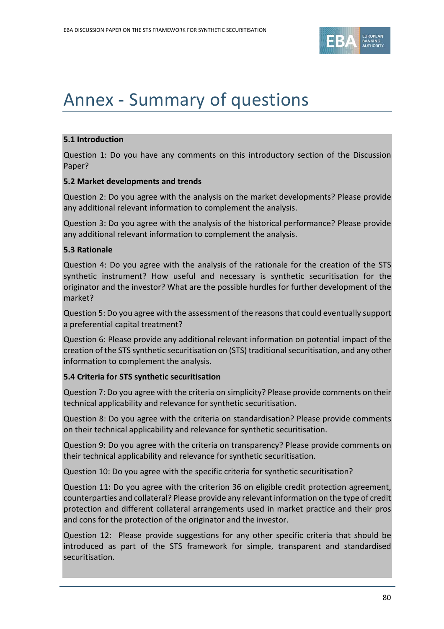

# Annex - Summary of questions

## **5.1 Introduction**

Question 1: Do you have any comments on this introductory section of the Discussion Paper?

#### **5.2 Market developments and trends**

Question 2: Do you agree with the analysis on the market developments? Please provide any additional relevant information to complement the analysis.

Question 3: Do you agree with the analysis of the historical performance? Please provide any additional relevant information to complement the analysis.

## **5.3 Rationale**

Question 4: Do you agree with the analysis of the rationale for the creation of the STS synthetic instrument? How useful and necessary is synthetic securitisation for the originator and the investor? What are the possible hurdles for further development of the market?

Question 5: Do you agree with the assessment of the reasons that could eventually support a preferential capital treatment?

Question 6: Please provide any additional relevant information on potential impact of the creation of the STS synthetic securitisation on (STS) traditional securitisation, and any other information to complement the analysis.

# **5.4 Criteria for STS synthetic securitisation**

Question 7: Do you agree with the criteria on simplicity? Please provide comments on their technical applicability and relevance for synthetic securitisation.

Question 8: Do you agree with the criteria on standardisation? Please provide comments on their technical applicability and relevance for synthetic securitisation.

Question 9: Do you agree with the criteria on transparency? Please provide comments on their technical applicability and relevance for synthetic securitisation.

Question 10: Do you agree with the specific criteria for synthetic securitisation?

Question 11: Do you agree with the criterion 36 on eligible credit protection agreement, counterparties and collateral? Please provide any relevant information on the type of credit protection and different collateral arrangements used in market practice and their pros and cons for the protection of the originator and the investor.

Question 12: Please provide suggestions for any other specific criteria that should be introduced as part of the STS framework for simple, transparent and standardised securitisation.